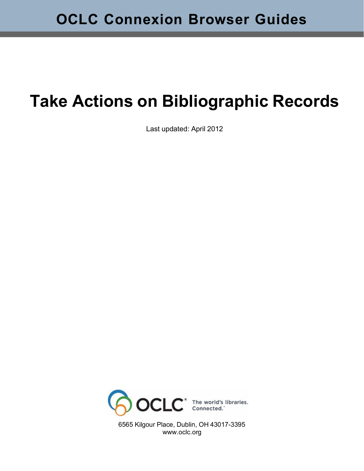# **Take Actions on Bibliographic Records**

Last updated: April 2012



6565 Kilgour Place, Dublin, OH 43017-3395 [www.oclc.org](http://www.oclc.org/)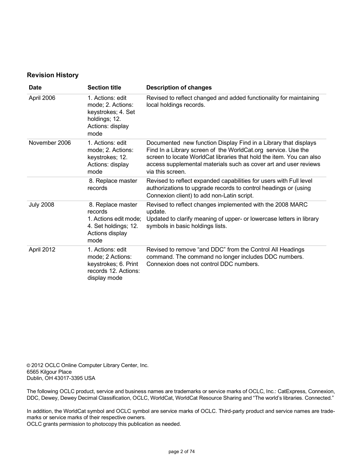#### **Revision History**

| <b>Date</b>      | <b>Section title</b>                                                                                     | <b>Description of changes</b>                                                                                                                                                                                                                                                                    |
|------------------|----------------------------------------------------------------------------------------------------------|--------------------------------------------------------------------------------------------------------------------------------------------------------------------------------------------------------------------------------------------------------------------------------------------------|
| April 2006       | 1. Actions: edit<br>mode; 2. Actions:<br>keystrokes; 4. Set<br>holdings; 12.<br>Actions: display<br>mode | Revised to reflect changed and added functionality for maintaining<br>local holdings records.                                                                                                                                                                                                    |
| November 2006    | 1. Actions: edit<br>mode; 2. Actions:<br>keystrokes; 12.<br>Actions: display<br>mode                     | Documented new function Display Find in a Library that displays<br>Find In a Library screen of the WorldCat.org service. Use the<br>screen to locate WorldCat libraries that hold the item. You can also<br>access supplemental materials such as cover art and user reviews<br>via this screen. |
|                  | 8. Replace master<br>records                                                                             | Revised to reflect expanded capabilities for users with Full level<br>authorizations to upgrade records to control headings or (using<br>Connexion client) to add non-Latin script.                                                                                                              |
| <b>July 2008</b> | 8. Replace master<br>records<br>1. Actions edit mode;<br>4. Set holdings; 12.<br>Actions display<br>mode | Revised to reflect changes implemented with the 2008 MARC<br>update.<br>Updated to clarify meaning of upper- or lowercase letters in library<br>symbols in basic holdings lists.                                                                                                                 |
| April 2012       | 1. Actions: edit<br>mode; 2 Actions:<br>keystrokes; 6. Print<br>records 12. Actions:<br>display mode     | Revised to remove "and DDC" from the Control All Headings<br>command. The command no longer includes DDC numbers.<br>Connexion does not control DDC numbers.                                                                                                                                     |

© 2012 OCLC Online Computer Library Center, Inc. 6565 Kilgour Place Dublin, OH 43017-3395 USA

The following OCLC product, service and business names are trademarks or service marks of OCLC, Inc.: CatExpress, Connexion, DDC, Dewey, Dewey Decimal Classification, OCLC, WorldCat, WorldCat Resource Sharing and "The world's libraries. Connected."

In addition, the WorldCat symbol and OCLC symbol are service marks of OCLC. Third-party product and service names are trademarks or service marks of their respective owners.

OCLC grants permission to photocopy this publication as needed.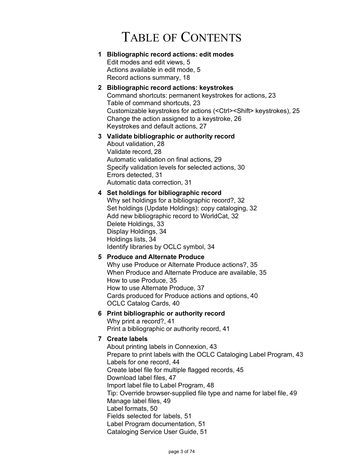## TABLE OF CONTENTS

#### **1 [Bibliographic](#page-4-0) record actions: edit modes** [Edit modes and edit views, 5](#page-4-1) Actions [available](#page-4-2) in edit mode, 5

Record actions [summary,](#page-17-0) 18

## **2 [Bibliographic](#page-22-0) record actions: keystrokes**

Command shortcuts: [permanent](#page-22-1) keystrokes for actions, 23 Table of command [shortcuts, 23](#page-22-2) Customizable keystrokes for actions [\(<Ctrl><Shift>](#page-24-0) keystrokes), 25 Change the [action assigned](#page-25-0) to a keystroke, 26 [Keystrokes](#page-26-0) and default actions, 27

#### **3 Validate [bibliographic](#page-27-0) or authority record** About [validation,](#page-27-1) 28 [Validate](#page-27-2) record, 28 [Automatic](#page-28-0) validation on final actions, 29 Specify [validation](#page-29-0) levels for selected actions, 30 Errors [detected,](#page-30-0) 31

Automatic data [correction,](#page-30-1) 31

## **4 Set holdings for [bibliographic](#page-31-0) record**

Why set holdings for a [bibliographic](#page-31-1) record?, 32 Set holdings (Update Holdings): copy [cataloging,](#page-31-2) 32 [Add new bibliographic record to WorldCat, 32](#page-31-3) Delete [Holdings, 33](#page-32-0) Display [Holdings,](#page-33-0) 34 [Holdings](#page-33-1) lists, 34 Identify [libraries](#page-33-2) by OCLC symbol, 34

## **5 Produce and [Alternate](#page-34-0) Produce**

[Why use Produce or Alternate Produce actions?, 35](#page-34-1) When Produce and Alternate Produce are [available,](#page-34-2) 35 How [to use Produce,](#page-34-3) 35 How to use Alternate [Produce,](#page-36-0) 37 Cards [produced](#page-39-0) for Produce actions and options, 40 OCLC [Catalog Cards, 40](#page-39-1)

## **6 Print [bibliographic](#page-40-0) or authority record**

Why print a [record?,](#page-40-1) 41 Print a [bibliographic](#page-40-2) or authority record, 41

## **7 [Create](#page-42-0) labels**

About printing labels in [Connexion,](#page-42-1) 43 Prepare to print labels with the OCLC [Cataloging](#page-42-2) Label Program, 43 Labels [for one record, 44](#page-43-0) Create label file for multiple flagged [records,](#page-44-0) 45 Download [label files, 47](#page-46-0) Import label file to Label [Program,](#page-47-0) 48 Tip: Override [browser-supplied](#page-48-0) file type and name for label file, 49 Manage [label files,](#page-48-1) 49 Label [formats,](#page-49-0) 50 Fields [selected](#page-50-0) for labels, 51 [Label Program documentation, 51](#page-50-1) [Cataloging](#page-50-2) Service User Guide, 51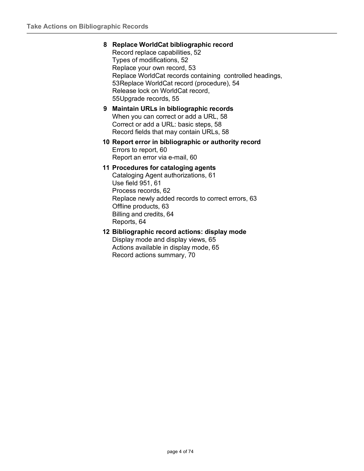#### **8 Replace WorldCat [bibliographic](#page-51-0) record**

Record replace [capabilities,](#page-51-1) 52 [Types of modifications, 52](#page-51-2) [Replace](#page-52-0) your own record, 53 Replace [WorldCat records](#page-52-1) containing controlled headings, [53R](#page-52-1)eplace [WorldCat record](#page-53-0) (procedure), 54 Release lock on [WorldCat record,](#page-54-0) [55](#page-54-0)[Upgrade](#page-54-1) records, 55

#### **9 Maintain URLs in [bibliographic](#page-57-0) records** [When you can correct or add a URL, 58](#page-57-1) [Correct or add a URL: basic steps, 58](#page-57-2) [Record](#page-57-3) fields that may contain URLs, 58

#### **10 Report error in [bibliographic](#page-59-0) or authority record** Errors to [report,](#page-59-1) 60 [Report](#page-59-2) an error via e-mail, 60

#### **11 [Procedures](#page-60-0) for cataloging agents**

Cataloging Agent [authorizations,](#page-60-1) 61 Use [field 951,](#page-60-2) 61 [Process](#page-61-0) records, 62 [Replace](#page-62-0) newly added records to correct errors, 63 Offline [products, 63](#page-62-1) Billing and [credits,](#page-63-0) 64 [Reports,](#page-63-1) 64

#### **12 [Bibliographic](#page-64-0) record actions: display mode**

[Display mode and display views, 65](#page-64-1) Actions [available](#page-64-2) in display mode, 65 Record actions [summary,](#page-69-0) 70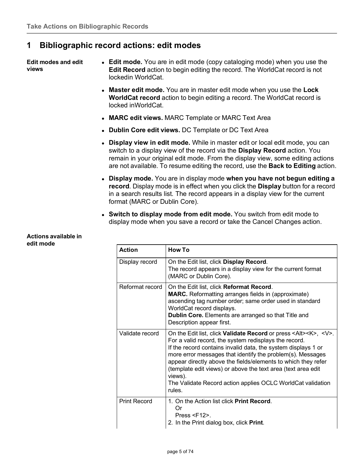## <span id="page-4-0"></span>**1 Bibliographic record actions: edit modes**

<span id="page-4-1"></span>**Edit modes and edit views**

- **Edit mode.** You are in edit mode (copy cataloging mode) when you use the **Edit Record** action to begin editing the record. The WorldCat record is not lockedin WorldCat.
	- **Master edit mode.** You are in master edit mode when you use the **Lock WorldCat record** action to begin editing a record. The WorldCat record is locked inWorldCat.
	- **MARC edit views.** MARC Template or MARC Text Area
	- **Dublin Core edit views.** DC Template or DC Text Area
	- **Display view in edit mode.** While in master edit or local edit mode, you can switch to a display view of the record via the **Display Record** action. You remain in your original edit mode. From the display view, some editing actions are not available. To resume editing the record, use the **Back to Editing** action.
	- **Display mode.** You are in display mode **when you have not begun editing a record**. Display mode is in effect when you click the **Display** button for a record in a search results list. The record appears in a display view for the current format (MARC or Dublin Core).
	- **Switch to display mode from edit mode.** You switch from edit mode to display mode when you save a record or take the Cancel Changes action.

<span id="page-4-2"></span>

| Actions available in |  |
|----------------------|--|
| edit mode            |  |

| <b>Action</b>       | <b>How To</b>                                                                                                                                                                                                                                                                                                                                                                                                                                                                                      |
|---------------------|----------------------------------------------------------------------------------------------------------------------------------------------------------------------------------------------------------------------------------------------------------------------------------------------------------------------------------------------------------------------------------------------------------------------------------------------------------------------------------------------------|
| Display record      | On the Edit list, click Display Record.<br>The record appears in a display view for the current format<br>(MARC or Dublin Core).                                                                                                                                                                                                                                                                                                                                                                   |
| Reformat record     | On the Edit list, click Reformat Record.<br><b>MARC.</b> Reformatting arranges fields in (approximate)<br>ascending tag number order; same order used in standard<br>WorldCat record displays.<br>Dublin Core. Elements are arranged so that Title and<br>Description appear first.                                                                                                                                                                                                                |
| Validate record     | On the Edit list, click Validate Record or press <alt><k>, <v>.<br/>For a valid record, the system redisplays the record.<br/>If the record contains invalid data, the system displays 1 or<br/>more error messages that identify the problem(s). Messages<br/>appear directly above the fields/elements to which they refer<br/>(template edit views) or above the text area (text area edit<br/>views).<br/>The Validate Record action applies OCLC WorldCat validation<br/>rules.</v></k></alt> |
| <b>Print Record</b> | 1. On the Action list click <b>Print Record</b> .<br>Or<br>Press $\le$ F12>.<br>2. In the Print dialog box, click Print.                                                                                                                                                                                                                                                                                                                                                                           |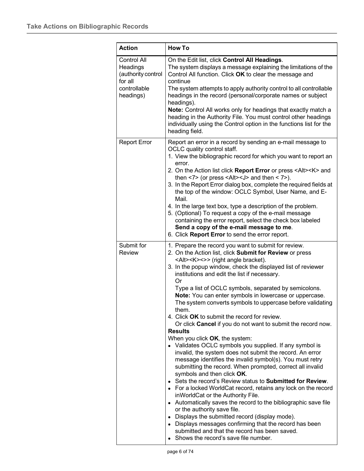| <b>Action</b>                                                                                | <b>How To</b>                                                                                                                                                                                                                                                                                                                                                                                                                                                                                                                                                                                                                                                                                                                                                                                                                                                                                                                                                                                                                                                                                                                                                                                                                                                                                                                                                                                                                                       |
|----------------------------------------------------------------------------------------------|-----------------------------------------------------------------------------------------------------------------------------------------------------------------------------------------------------------------------------------------------------------------------------------------------------------------------------------------------------------------------------------------------------------------------------------------------------------------------------------------------------------------------------------------------------------------------------------------------------------------------------------------------------------------------------------------------------------------------------------------------------------------------------------------------------------------------------------------------------------------------------------------------------------------------------------------------------------------------------------------------------------------------------------------------------------------------------------------------------------------------------------------------------------------------------------------------------------------------------------------------------------------------------------------------------------------------------------------------------------------------------------------------------------------------------------------------------|
| <b>Control All</b><br>Headings<br>(authority control<br>for all<br>controllable<br>headings) | On the Edit list, click Control All Headings.<br>The system displays a message explaining the limitations of the<br>Control All function. Click OK to clear the message and<br>continue<br>The system attempts to apply authority control to all controllable<br>headings in the record (personal/corporate names or subject<br>headings).<br>Note: Control All works only for headings that exactly match a<br>heading in the Authority File. You must control other headings<br>individually using the Control option in the functions list for the<br>heading field.                                                                                                                                                                                                                                                                                                                                                                                                                                                                                                                                                                                                                                                                                                                                                                                                                                                                             |
| <b>Report Error</b>                                                                          | Report an error in a record by sending an e-mail message to<br>OCLC quality control staff.<br>1. View the bibliographic record for which you want to report an<br>error.<br>2. On the Action list click Report Error or press <alt><k> and<br/>then <math>&lt;</math>7&gt; (or press <math>&lt;</math>Alt&gt;<math>&lt;</math>J&gt; and then <math>&lt;</math> 7&gt;).<br/>3. In the Report Error dialog box, complete the required fields at<br/>the top of the window: OCLC Symbol, User Name, and E-<br/>Mail.<br/>4. In the large text box, type a description of the problem.<br/>5. (Optional) To request a copy of the e-mail message<br/>containing the error report, select the check box labeled<br/>Send a copy of the e-mail message to me.<br/>6. Click Report Error to send the error report.</k></alt>                                                                                                                                                                                                                                                                                                                                                                                                                                                                                                                                                                                                                               |
| Submit for<br>Review                                                                         | 1. Prepare the record you want to submit for review.<br>2. On the Action list, click Submit for Review or press<br><alt><k>&lt;&gt;&gt; (right angle bracket).<br/>3. In the popup window, check the displayed list of reviewer<br/>institutions and edit the list if necessary.<br/>Or<br/>Type a list of OCLC symbols, separated by semicolons.<br/>Note: You can enter symbols in lowercase or uppercase.<br/>The system converts symbols to uppercase before validating<br/>them.<br/>4. Click OK to submit the record for review.<br/>Or click Cancel if you do not want to submit the record now.<br/><b>Results</b><br/>When you click OK, the system:<br/>• Validates OCLC symbols you supplied. If any symbol is<br/>invalid, the system does not submit the record. An error<br/>message identifies the invalid symbol(s). You must retry<br/>submitting the record. When prompted, correct all invalid<br/>symbols and then click OK.<br/>• Sets the record's Review status to Submitted for Review.<br/>• For a locked WorldCat record, retains any lock on the record<br/>inWorldCat or the Authority File.<br/>• Automatically saves the record to the bibliographic save file<br/>or the authority save file.<br/>• Displays the submitted record (display mode).<br/>• Displays messages confirming that the record has been<br/>submitted and that the record has been saved.<br/>• Shows the record's save file number.</k></alt> |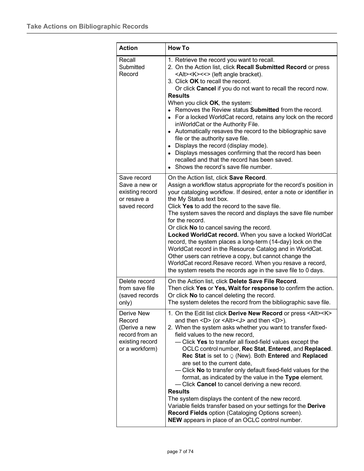| <b>Action</b>                                                                                | <b>How To</b>                                                                                                                                                                                                                                                                                                                                                                                                                                                                                                                                                                                                                                                                                                                                                                                                                                                                                          |
|----------------------------------------------------------------------------------------------|--------------------------------------------------------------------------------------------------------------------------------------------------------------------------------------------------------------------------------------------------------------------------------------------------------------------------------------------------------------------------------------------------------------------------------------------------------------------------------------------------------------------------------------------------------------------------------------------------------------------------------------------------------------------------------------------------------------------------------------------------------------------------------------------------------------------------------------------------------------------------------------------------------|
| Recall<br>Submitted<br>Record                                                                | 1. Retrieve the record you want to recall.<br>2. On the Action list, click Recall Submitted Record or press<br><alt><k>&lt;&lt;&gt; (left angle bracket).<br/>3. Click OK to recall the record.<br/>Or click Cancel if you do not want to recall the record now.<br/><b>Results</b><br/>When you click OK, the system:<br/>• Removes the Review status Submitted from the record.<br/>• For a locked WorldCat record, retains any lock on the record<br/>inWorldCat or the Authority File.<br/>• Automatically resaves the record to the bibliographic save<br/>file or the authority save file.<br/>• Displays the record (display mode).<br/>• Displays messages confirming that the record has been<br/>recalled and that the record has been saved.<br/>Shows the record's save file number.</k></alt>                                                                                             |
| Save record<br>Save a new or<br>existing record<br>or resave a<br>saved record               | On the Action list, click Save Record.<br>Assign a workflow status appropriate for the record's position in<br>your cataloging workflow. If desired, enter a note or identifier in<br>the My Status text box.<br>Click Yes to add the record to the save file.<br>The system saves the record and displays the save file number<br>for the record.<br>Or click No to cancel saving the record.<br>Locked WorldCat record. When you save a locked WorldCat<br>record, the system places a long-term (14-day) lock on the<br>WorldCat record in the Resource Catalog and in WorldCat.<br>Other users can retrieve a copy, but cannot change the<br>WorldCat record. Resave record. When you resave a record,<br>the system resets the records age in the save file to 0 days.                                                                                                                            |
| Delete record<br>from save file<br>(saved records<br>only)                                   | On the Action list, click Delete Save File Record.<br>Then click Yes or Yes, Wait for response to confirm the action.<br>Or click No to cancel deleting the record.<br>The system deletes the record from the bibliographic save file.                                                                                                                                                                                                                                                                                                                                                                                                                                                                                                                                                                                                                                                                 |
| Derive New<br>Record<br>(Derive a new<br>record from an<br>existing record<br>or a workform) | 1. On the Edit list click Derive New Record or press <alt><k><br/>and then <d> (or <alt><j> and then <d>).<br/>2. When the system asks whether you want to transfer fixed-<br/>field values to the new record,<br/>- Click Yes to transfer all fixed-field values except the<br/>OCLC control number, Rec Stat, Entered, and Replaced.<br/>Rec Stat is set to Q (New). Both Entered and Replaced<br/>are set to the current date,<br/>- Click No to transfer only default fixed-field values for the<br/>format, as indicated by the value in the Type element.<br/>- Click Cancel to cancel deriving a new record.<br/><b>Results</b><br/>The system displays the content of the new record.<br/>Variable fields transfer based on your settings for the Derive<br/>Record Fields option (Cataloging Options screen).<br/>NEW appears in place of an OCLC control number.</d></j></alt></d></k></alt> |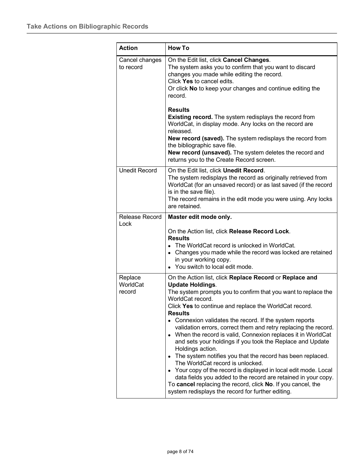| <b>Action</b>                 | <b>How To</b>                                                                                                                                                                                                                                                                                                                                                                                                                                                                                                                                                                                                                                                                                                                                                                                                                                                                                       |
|-------------------------------|-----------------------------------------------------------------------------------------------------------------------------------------------------------------------------------------------------------------------------------------------------------------------------------------------------------------------------------------------------------------------------------------------------------------------------------------------------------------------------------------------------------------------------------------------------------------------------------------------------------------------------------------------------------------------------------------------------------------------------------------------------------------------------------------------------------------------------------------------------------------------------------------------------|
| Cancel changes<br>to record   | On the Edit list, click Cancel Changes.<br>The system asks you to confirm that you want to discard<br>changes you made while editing the record.<br>Click Yes to cancel edits.<br>Or click No to keep your changes and continue editing the<br>record.<br><b>Results</b>                                                                                                                                                                                                                                                                                                                                                                                                                                                                                                                                                                                                                            |
|                               | <b>Existing record.</b> The system redisplays the record from<br>WorldCat, in display mode. Any locks on the record are<br>released.<br>New record (saved). The system redisplays the record from<br>the bibliographic save file.<br>New record (unsaved). The system deletes the record and<br>returns you to the Create Record screen.                                                                                                                                                                                                                                                                                                                                                                                                                                                                                                                                                            |
| <b>Unedit Record</b>          | On the Edit list, click Unedit Record.<br>The system redisplays the record as originally retrieved from<br>WorldCat (for an unsaved record) or as last saved (if the record<br>is in the save file).<br>The record remains in the edit mode you were using. Any locks<br>are retained.                                                                                                                                                                                                                                                                                                                                                                                                                                                                                                                                                                                                              |
| Release Record<br>Lock        | Master edit mode only.<br>On the Action list, click Release Record Lock.<br><b>Results</b><br>• The WorldCat record is unlocked in WorldCat.<br>• Changes you made while the record was locked are retained<br>in your working copy.<br>• You switch to local edit mode.                                                                                                                                                                                                                                                                                                                                                                                                                                                                                                                                                                                                                            |
| Replace<br>WorldCat<br>record | On the Action list, click Replace Record or Replace and<br><b>Update Holdings.</b><br>The system prompts you to confirm that you want to replace the<br>WorldCat record.<br>Click Yes to continue and replace the WorldCat record.<br><b>Results</b><br>• Connexion validates the record. If the system reports<br>validation errors, correct them and retry replacing the record.<br>• When the record is valid, Connexion replaces it in WorldCat<br>and sets your holdings if you took the Replace and Update<br>Holdings action.<br>• The system notifies you that the record has been replaced.<br>The WorldCat record is unlocked.<br>• Your copy of the record is displayed in local edit mode. Local<br>data fields you added to the record are retained in your copy.<br>To cancel replacing the record, click No. If you cancel, the<br>system redisplays the record for further editing. |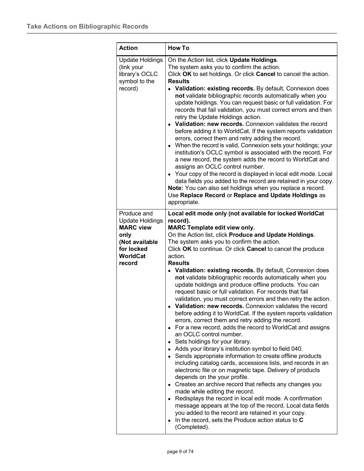| <b>Action</b>                                                                                                                  | <b>How To</b>                                                                                                                                                                                                                                                                                                                                                                                                                                                                                                                                                                                                                                                                                                                                                                                                                                                                                                                                                                                                                                                                                                                                                                                                                                                                                                                                                                                                                                                                                                                                                                                            |
|--------------------------------------------------------------------------------------------------------------------------------|----------------------------------------------------------------------------------------------------------------------------------------------------------------------------------------------------------------------------------------------------------------------------------------------------------------------------------------------------------------------------------------------------------------------------------------------------------------------------------------------------------------------------------------------------------------------------------------------------------------------------------------------------------------------------------------------------------------------------------------------------------------------------------------------------------------------------------------------------------------------------------------------------------------------------------------------------------------------------------------------------------------------------------------------------------------------------------------------------------------------------------------------------------------------------------------------------------------------------------------------------------------------------------------------------------------------------------------------------------------------------------------------------------------------------------------------------------------------------------------------------------------------------------------------------------------------------------------------------------|
| <b>Update Holdings</b><br>(link your<br>library's OCLC<br>symbol to the<br>record)                                             | On the Action list, click Update Holdings.<br>The system asks you to confirm the action.<br>Click OK to set holdings. Or click Cancel to cancel the action.<br><b>Results</b><br>• Validation: existing records. By default, Connexion does<br>not validate bibliographic records automatically when you<br>update holdings. You can request basic or full validation. For<br>records that fail validation, you must correct errors and then<br>retry the Update Holdings action.<br>• Validation: new records. Connexion validates the record<br>before adding it to WorldCat. If the system reports validation<br>errors, correct them and retry adding the record.<br>• When the record is valid, Connexion sets your holdings; your<br>institution's OCLC symbol is associated with the record. For<br>a new record, the system adds the record to WorldCat and<br>assigns an OCLC control number.<br>• Your copy of the record is displayed in local edit mode. Local<br>data fields you added to the record are retained in your copy.<br>Note: You can also set holdings when you replace a record.<br>Use Replace Record or Replace and Update Holdings as<br>appropriate.                                                                                                                                                                                                                                                                                                                                                                                                                       |
| Produce and<br><b>Update Holdings</b><br><b>MARC view</b><br>only<br>(Not available<br>for locked<br><b>WorldCat</b><br>record | Local edit mode only (not available for locked WorldCat<br>record).<br><b>MARC Template edit view only.</b><br>On the Action list, click Produce and Update Holdings.<br>The system asks you to confirm the action.<br>Click OK to continue. Or click Cancel to cancel the produce<br>action.<br><b>Results</b><br>• Validation: existing records. By default, Connexion does<br>not validate bibliographic records automatically when you<br>update holdings and produce offline products. You can<br>request basic or full validation. For records that fail<br>validation, you must correct errors and then retry the action.<br>Validation: new records. Connexion validates the record<br>before adding it to WorldCat. If the system reports validation<br>errors, correct them and retry adding the record.<br>• For a new record, adds the record to WorldCat and assigns<br>an OCLC control number.<br>• Sets holdings for your library.<br>• Adds your library's institution symbol to field 040.<br>• Sends appropriate information to create offline products<br>including catalog cards, accessions lists, and records in an<br>electronic file or on magnetic tape. Delivery of products<br>depends on the your profile.<br>• Creates an archive record that reflects any changes you<br>made while editing the record.<br>• Redisplays the record in local edit mode. A confirmation<br>message appears at the top of the record. Local data fields<br>you added to the record are retained in your copy.<br>$\bullet$ In the record, sets the Produce action status to C<br>(Completed). |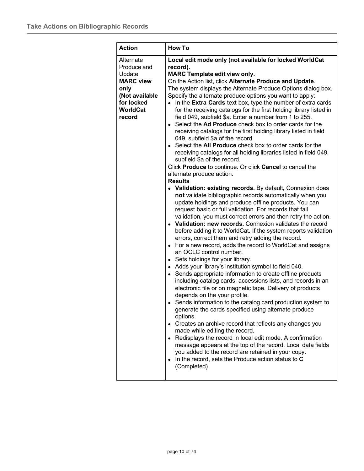| <b>Action</b>                                                                                                        | <b>How To</b>                                                                                                                                                                                                                                                                                                                                                                                                                                                                                                                                                                                                                                                                                                                                                                                                                                                                                                                                                                                                                                                                                                                                                                                                                                                                                                                                                                                                                                                                                                                                                                                                                                                                                                                                                                                                                                                                                                                                                                                                                                                                                                                                                                                                                                                                                                                                                                                         |
|----------------------------------------------------------------------------------------------------------------------|-------------------------------------------------------------------------------------------------------------------------------------------------------------------------------------------------------------------------------------------------------------------------------------------------------------------------------------------------------------------------------------------------------------------------------------------------------------------------------------------------------------------------------------------------------------------------------------------------------------------------------------------------------------------------------------------------------------------------------------------------------------------------------------------------------------------------------------------------------------------------------------------------------------------------------------------------------------------------------------------------------------------------------------------------------------------------------------------------------------------------------------------------------------------------------------------------------------------------------------------------------------------------------------------------------------------------------------------------------------------------------------------------------------------------------------------------------------------------------------------------------------------------------------------------------------------------------------------------------------------------------------------------------------------------------------------------------------------------------------------------------------------------------------------------------------------------------------------------------------------------------------------------------------------------------------------------------------------------------------------------------------------------------------------------------------------------------------------------------------------------------------------------------------------------------------------------------------------------------------------------------------------------------------------------------------------------------------------------------------------------------------------------------|
| Alternate<br>Produce and<br>Update<br><b>MARC view</b><br>only<br>(Not available<br>for locked<br>WorldCat<br>record | Local edit mode only (not available for locked WorldCat<br>record).<br><b>MARC Template edit view only.</b><br>On the Action list, click Alternate Produce and Update.<br>The system displays the Alternate Produce Options dialog box.<br>Specify the alternate produce options you want to apply:<br>• In the Extra Cards text box, type the number of extra cards<br>for the receiving catalogs for the first holding library listed in<br>field 049, subfield \$a. Enter a number from 1 to 255.<br>Select the Ad Produce check box to order cards for the<br>receiving catalogs for the first holding library listed in field<br>049, subfield \$a of the record.<br>Select the All Produce check box to order cards for the<br>receiving catalogs for all holding libraries listed in field 049,<br>subfield \$a of the record.<br>Click <b>Produce</b> to continue. Or click <b>Cancel</b> to cancel the<br>alternate produce action.<br><b>Results</b><br>• Validation: existing records. By default, Connexion does<br>not validate bibliographic records automatically when you<br>update holdings and produce offline products. You can<br>request basic or full validation. For records that fail<br>validation, you must correct errors and then retry the action.<br>Validation: new records. Connexion validates the record<br>before adding it to WorldCat. If the system reports validation<br>errors, correct them and retry adding the record.<br>For a new record, adds the record to WorldCat and assigns<br>$\bullet$<br>an OCLC control number.<br>Sets holdings for your library.<br>٠<br>Adds your library's institution symbol to field 040.<br>٠<br>Sends appropriate information to create offline products<br>٠<br>including catalog cards, accessions lists, and records in an<br>electronic file or on magnetic tape. Delivery of products<br>depends on the your profile.<br>• Sends information to the catalog card production system to<br>generate the cards specified using alternate produce<br>options.<br>• Creates an archive record that reflects any changes you<br>made while editing the record.<br>• Redisplays the record in local edit mode. A confirmation<br>message appears at the top of the record. Local data fields<br>you added to the record are retained in your copy.<br>In the record, sets the Produce action status to C<br>(Completed). |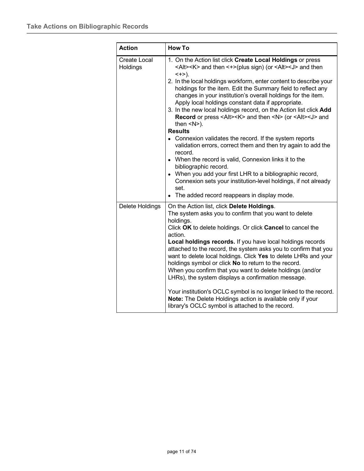| <b>Action</b>                   | <b>How To</b>                                                                                                                                                                                                                                                                                                                                                                                                                                                                                                                                                                                                                                                                                                                                                                                                                                                                                                                                                                                                                                                                    |
|---------------------------------|----------------------------------------------------------------------------------------------------------------------------------------------------------------------------------------------------------------------------------------------------------------------------------------------------------------------------------------------------------------------------------------------------------------------------------------------------------------------------------------------------------------------------------------------------------------------------------------------------------------------------------------------------------------------------------------------------------------------------------------------------------------------------------------------------------------------------------------------------------------------------------------------------------------------------------------------------------------------------------------------------------------------------------------------------------------------------------|
| <b>Create Local</b><br>Holdings | 1. On the Action list click Create Local Holdings or press<br><alt><k> and then &lt;+&gt;(plus sign) (or <alt><j> and then<br/><math>&lt; + &gt;</math>).<br/>2. In the local holdings workform, enter content to describe your<br/>holdings for the item. Edit the Summary field to reflect any<br/>changes in your institution's overall holdings for the item.<br/>Apply local holdings constant data if appropriate.<br/>3. In the new local holdings record, on the Action list click Add<br/>Record or press <alt><k> and then <n> (or <alt><j> and<br/>then <math>&lt; N</math>).<br/><b>Results</b><br/>• Connexion validates the record. If the system reports<br/>validation errors, correct them and then try again to add the<br/>record.<br/>• When the record is valid, Connexion links it to the<br/>bibliographic record.<br/>• When you add your first LHR to a bibliographic record,<br/>Connexion sets your institution-level holdings, if not already<br/>set.<br/>• The added record reappears in display mode.</j></alt></n></k></alt></j></alt></k></alt> |
| Delete Holdings                 | On the Action list, click Delete Holdings.<br>The system asks you to confirm that you want to delete<br>holdings.<br>Click OK to delete holdings. Or click Cancel to cancel the<br>action.<br>Local holdings records. If you have local holdings records<br>attached to the record, the system asks you to confirm that you<br>want to delete local holdings. Click Yes to delete LHRs and your<br>holdings symbol or click No to return to the record.<br>When you confirm that you want to delete holdings (and/or<br>LHRs), the system displays a confirmation message.<br>Your institution's OCLC symbol is no longer linked to the record.<br>Note: The Delete Holdings action is available only if your<br>library's OCLC symbol is attached to the record.                                                                                                                                                                                                                                                                                                                |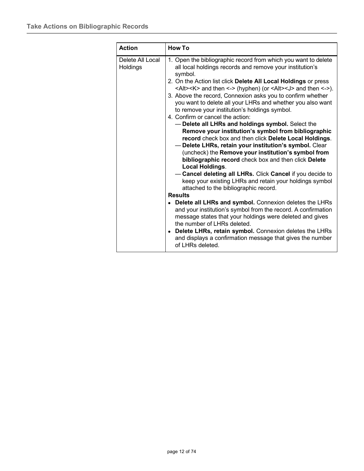| Delete All Local<br>1. Open the bibliographic record from which you want to delete<br>all local holdings records and remove your institution's<br>Holdings<br>symbol.<br>2. On the Action list click Delete All Local Holdings or press<br><alt><k> and then &lt;-&gt; (hyphen) (or <alt><j> and then &lt;-&gt;).<br/>3. Above the record, Connexion asks you to confirm whether<br/>you want to delete all your LHRs and whether you also want<br/>to remove your institution's holdings symbol.<br/>4. Confirm or cancel the action:<br/>- Delete all LHRs and holdings symbol. Select the<br/>Remove your institution's symbol from bibliographic<br/>record check box and then click Delete Local Holdings.<br/>Delete LHRs, retain your institution's symbol. Clear<br/>(uncheck) the Remove your institution's symbol from<br/>bibliographic record check box and then click Delete<br/><b>Local Holdings.</b></j></alt></k></alt> | <b>Action</b> | <b>How To</b> |
|------------------------------------------------------------------------------------------------------------------------------------------------------------------------------------------------------------------------------------------------------------------------------------------------------------------------------------------------------------------------------------------------------------------------------------------------------------------------------------------------------------------------------------------------------------------------------------------------------------------------------------------------------------------------------------------------------------------------------------------------------------------------------------------------------------------------------------------------------------------------------------------------------------------------------------------|---------------|---------------|
| - Cancel deleting all LHRs. Click Cancel if you decide to<br>keep your existing LHRs and retain your holdings symbol<br>attached to the bibliographic record.<br><b>Results</b><br>Delete all LHRs and symbol. Connexion deletes the LHRs<br>and your institution's symbol from the record. A confirmation<br>message states that your holdings were deleted and gives<br>the number of LHRs deleted.<br>• Delete LHRs, retain symbol. Connexion deletes the LHRs<br>and displays a confirmation message that gives the number<br>of LHRs deleted.                                                                                                                                                                                                                                                                                                                                                                                       |               |               |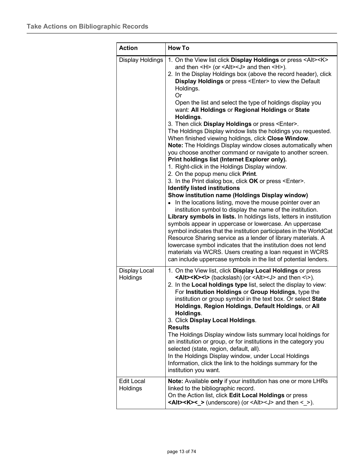| <b>Action</b>                 | <b>How To</b>                                                                                                                                                                                                                                                                                                                                                                                                                                                                                                                                                                                                                                                                                                                                                                                                                                                                                                                                                                                                                                                                                                                                                                                                                                                                                                                                                                                                                                                                                                                                                                                                                                                               |
|-------------------------------|-----------------------------------------------------------------------------------------------------------------------------------------------------------------------------------------------------------------------------------------------------------------------------------------------------------------------------------------------------------------------------------------------------------------------------------------------------------------------------------------------------------------------------------------------------------------------------------------------------------------------------------------------------------------------------------------------------------------------------------------------------------------------------------------------------------------------------------------------------------------------------------------------------------------------------------------------------------------------------------------------------------------------------------------------------------------------------------------------------------------------------------------------------------------------------------------------------------------------------------------------------------------------------------------------------------------------------------------------------------------------------------------------------------------------------------------------------------------------------------------------------------------------------------------------------------------------------------------------------------------------------------------------------------------------------|
| Display Holdings              | 1. On the View list click Display Holdings or press <alt><k><br/>and then <h> (or <alt><j> and then <h>).<br/>2. In the Display Holdings box (above the record header), click<br/>Display Holdings or press <enter> to view the Default<br/>Holdings.<br/>Or<br/>Open the list and select the type of holdings display you<br/>want: All Holdings or Regional Holdings or State<br/>Holdings.<br/>3. Then click Display Holdings or press <enter>.<br/>The Holdings Display window lists the holdings you requested.<br/>When finished viewing holdings, click Close Window.<br/>Note: The Holdings Display window closes automatically when<br/>you choose another command or navigate to another screen.<br/>Print holdings list (Internet Explorer only).<br/>1. Right-click in the Holdings Display window.<br/>2. On the popup menu click Print.<br/>3. In the Print dialog box, click OK or press <enter>.<br/><b>Identify listed institutions</b><br/>Show institution name (Holdings Display window)<br/>In the locations listing, move the mouse pointer over an<br/>institution symbol to display the name of the institution.<br/>Library symbols in lists. In holdings lists, letters in institution<br/>symbols appear in uppercase or lowercase. An uppercase<br/>symbol indicates that the institution participates in the WorldCat<br/>Resource Sharing service as a lender of library materials. A<br/>lowercase symbol indicates that the institution does not lend<br/>materials via WCRS. Users creating a loan request in WCRS<br/>can include uppercase symbols in the list of potential lenders.</enter></enter></enter></h></j></alt></h></k></alt> |
| Display Local<br>Holdings     | 1. On the View list, click Display Local Holdings or press<br><alt><k>&lt;\&gt; (backslash) (or <alt><j> and then &lt;\&gt;).<br/>2. In the Local holdings type list, select the display to view:<br/>For Institution Holdings or Group Holdings, type the<br/>institution or group symbol in the text box. Or select State<br/>Holdings, Region Holdings, Default Holdings, or All<br/>Holdings.<br/>3. Click Display Local Holdings.<br/><b>Results</b><br/>The Holdings Display window lists summary local holdings for<br/>an institution or group, or for institutions in the category you<br/>selected (state, region, default, all).<br/>In the Holdings Display window, under Local Holdings<br/>Information, click the link to the holdings summary for the<br/>institution you want.</j></alt></k></alt>                                                                                                                                                                                                                                                                                                                                                                                                                                                                                                                                                                                                                                                                                                                                                                                                                                                          |
| <b>Edit Local</b><br>Holdings | Note: Available only if your institution has one or more LHRs<br>linked to the bibliographic record.<br>On the Action list, click Edit Local Holdings or press<br><alt><k>&lt;_&gt; (underscore) (or <alt><j> and then &lt; &gt;).</j></alt></k></alt>                                                                                                                                                                                                                                                                                                                                                                                                                                                                                                                                                                                                                                                                                                                                                                                                                                                                                                                                                                                                                                                                                                                                                                                                                                                                                                                                                                                                                      |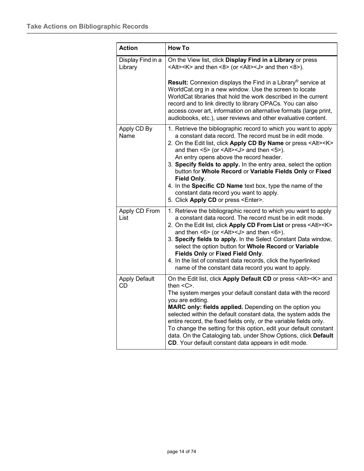| <b>Action</b>                | <b>How To</b>                                                                                                                                                                                                                                                                                                                                                                                                                                                                                                                                                                                                                                               |
|------------------------------|-------------------------------------------------------------------------------------------------------------------------------------------------------------------------------------------------------------------------------------------------------------------------------------------------------------------------------------------------------------------------------------------------------------------------------------------------------------------------------------------------------------------------------------------------------------------------------------------------------------------------------------------------------------|
| Display Find in a<br>Library | On the View list, click Display Find in a Library or press<br><alt><k> and then &lt;8&gt; (or <alt><j> and then &lt;8&gt;).</j></alt></k></alt>                                                                                                                                                                                                                                                                                                                                                                                                                                                                                                             |
|                              | <b>Result:</b> Connexion displays the Find in a Library <sup>®</sup> service at<br>WorldCat.org in a new window. Use the screen to locate<br>WorldCat libraries that hold the work described in the current<br>record and to link directly to library OPACs. You can also<br>access cover art, information on alternative formats (large print,<br>audiobooks, etc.), user reviews and other evaluative content.                                                                                                                                                                                                                                            |
| Apply CD By<br>Name          | 1. Retrieve the bibliographic record to which you want to apply<br>a constant data record. The record must be in edit mode.<br>2. On the Edit list, click Apply CD By Name or press <alt><k><br/>and then <math>5</math> (or <math>4</math>lt<math>&gt;1</math> and then <math>5</math>).<br/>An entry opens above the record header.<br/>3. Specify fields to apply. In the entry area, select the option<br/>button for Whole Record or Variable Fields Only or Fixed<br/>Field Only.<br/>4. In the Specific CD Name text box, type the name of the<br/>constant data record you want to apply.<br/>5. Click Apply CD or press <enter>.</enter></k></alt> |
| Apply CD From<br>List        | 1. Retrieve the bibliographic record to which you want to apply<br>a constant data record. The record must be in edit mode.<br>2. On the Edit list, click Apply CD From List or press <alt><k><br/>and then <math>\leq 6</math> (or <math>\leq</math>Alt <math>\leq</math>J and then <math>\leq 6</math>).<br/>3. Specify fields to apply. In the Select Constant Data window,<br/>select the option button for Whole Record or Variable<br/>Fields Only or Fixed Field Only.<br/>4. In the list of constant data records, click the hyperlinked<br/>name of the constant data record you want to apply.</k></alt>                                          |
| <b>Apply Default</b><br>CD   | On the Edit list, click Apply Default CD or press <alt><k> and<br/>then <math>&lt;</math> <math>C</math><math>&gt;</math>.<br/>The system merges your default constant data with the record<br/>you are editing.<br/>MARC only: fields applied. Depending on the option you<br/>selected within the default constant data, the system adds the<br/>entire record, the fixed fields only, or the variable fields only.<br/>To change the setting for this option, edit your default constant<br/>data. On the Cataloging tab, under Show Options, click Default<br/>CD. Your default constant data appears in edit mode.</k></alt>                           |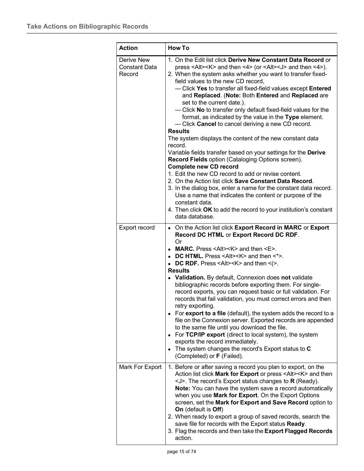| <b>Action</b>                                | <b>How To</b>                                                                                                                                                                                                                                                                                                                                                                                                                                                                                                                                                                                                                                                                                                                                                                                                                                                                                                                                                                                                                                                                                                                                                                                                                             |
|----------------------------------------------|-------------------------------------------------------------------------------------------------------------------------------------------------------------------------------------------------------------------------------------------------------------------------------------------------------------------------------------------------------------------------------------------------------------------------------------------------------------------------------------------------------------------------------------------------------------------------------------------------------------------------------------------------------------------------------------------------------------------------------------------------------------------------------------------------------------------------------------------------------------------------------------------------------------------------------------------------------------------------------------------------------------------------------------------------------------------------------------------------------------------------------------------------------------------------------------------------------------------------------------------|
| Derive New<br><b>Constant Data</b><br>Record | 1. On the Edit list click Derive New Constant Data Record or<br>press <alt><k> and then &lt;4&gt; (or <alt><j> and then &lt;4&gt;).<br/>2. When the system asks whether you want to transfer fixed-<br/>field values to the new CD record,<br/>- Click Yes to transfer all fixed-field values except Entered<br/>and Replaced. (Note: Both Entered and Replaced are<br/>set to the current date.).<br/>- Click No to transfer only default fixed-field values for the<br/>format, as indicated by the value in the Type element.<br/>- Click Cancel to cancel deriving a new CD record.<br/><b>Results</b><br/>The system displays the content of the new constant data<br/>record.<br/>Variable fields transfer based on your settings for the Derive<br/>Record Fields option (Cataloging Options screen).<br/><b>Complete new CD record</b><br/>1. Edit the new CD record to add or revise content.<br/>2. On the Action list click <b>Save Constant Data Record.</b><br/>3. In the dialog box, enter a name for the constant data record.<br/>Use a name that indicates the content or purpose of the<br/>constant data.<br/>4. Then click OK to add the record to your institution's constant<br/>data database.</j></alt></k></alt> |
| Export record                                | • On the Action list click Export Record in MARC or Export<br>Record DC HTML or Export Record DC RDF.<br>Or<br>• MARC. Press <alt><k> and then <e>.<br/>• DC HTML. Press <alt><k> and then &lt;*&gt;.<br/>• DC RDF. Press <alt><k> and then &lt;<math>(&gt;</math>.<br/><b>Results</b><br/>• Validation. By default, Connexion does not validate<br/>bibliographic records before exporting them. For single-<br/>record exports, you can request basic or full validation. For<br/>records that fail validation, you must correct errors and then<br/>retry exporting.<br/>• For export to a file (default), the system adds the record to a<br/>file on the Connexion server. Exported records are appended<br/>to the same file until you download the file.<br/>For TCP/IP export (direct to local system), the system<br/><math display="inline">\bullet</math><br/>exports the record immediately.<br/>• The system changes the record's Export status to <math>C</math><br/>(Completed) or F (Failed).</k></alt></k></alt></e></k></alt>                                                                                                                                                                                           |
| Mark For Export                              | 1. Before or after saving a record you plan to export, on the<br>Action list click Mark for Export or press <alt><k> and then<br/><math>\le</math>J&gt;. The record's Export status changes to R (Ready).<br/>Note: You can have the system save a record automatically<br/>when you use Mark for Export. On the Export Options<br/>screen, set the Mark for Export and Save Record option to<br/>On (default is Off)<br/>2. When ready to export a group of saved records, search the<br/>save file for records with the Export status Ready.<br/>3. Flag the records and then take the Export Flagged Records<br/>action.</k></alt>                                                                                                                                                                                                                                                                                                                                                                                                                                                                                                                                                                                                     |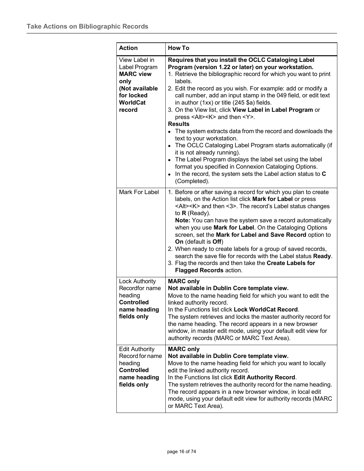| <b>Action</b>                                                                                                           | <b>How To</b>                                                                                                                                                                                                                                                                                                                                                                                                                                                                                                                                                                                                                                                                                                                                                                                                                                                                                                                               |
|-------------------------------------------------------------------------------------------------------------------------|---------------------------------------------------------------------------------------------------------------------------------------------------------------------------------------------------------------------------------------------------------------------------------------------------------------------------------------------------------------------------------------------------------------------------------------------------------------------------------------------------------------------------------------------------------------------------------------------------------------------------------------------------------------------------------------------------------------------------------------------------------------------------------------------------------------------------------------------------------------------------------------------------------------------------------------------|
| View Label in<br>Label Program<br><b>MARC view</b><br>only<br>(Not available<br>for locked<br><b>WorldCat</b><br>record | Requires that you install the OCLC Cataloging Label<br>Program (version 1.22 or later) on your workstation.<br>1. Retrieve the bibliographic record for which you want to print<br>labels.<br>2. Edit the record as you wish. For example: add or modify a<br>call number, add an input stamp in the 049 field, or edit text<br>in author (1xx) or title (245 \$a) fields.<br>3. On the View list, click View Label in Label Program or<br>press <alt><k> and then <y>.<br/><b>Results</b><br/>• The system extracts data from the record and downloads the<br/>text to your workstation.<br/>• The OCLC Cataloging Label Program starts automatically (if<br/>it is not already running).<br/>• The Label Program displays the label set using the label<br/>format you specified in Connexion Cataloging Options.<br/>In the record, the system sets the Label action status to C<br/><math>\bullet</math><br/>(Completed).</y></k></alt> |
| Mark For Label                                                                                                          | 1. Before or after saving a record for which you plan to create<br>labels, on the Action list click Mark for Label or press<br><alt><k> and then &lt;3&gt;. The record's Label status changes<br/>to <math>R</math> (Ready).<br/>Note: You can have the system save a record automatically<br/>when you use Mark for Label. On the Cataloging Options<br/>screen, set the Mark for Label and Save Record option to<br/>On (default is Off)<br/>2. When ready to create labels for a group of saved records,<br/>search the save file for records with the Label status Ready.<br/>3. Flag the records and then take the Create Labels for<br/><b>Flagged Records action.</b></k></alt>                                                                                                                                                                                                                                                      |
| <b>Lock Authority</b><br>Recordfor name<br>heading<br><b>Controlled</b><br>name heading<br>fields only                  | <b>MARC only</b><br>Not available in Dublin Core template view.<br>Move to the name heading field for which you want to edit the<br>linked authority record.<br>In the Functions list click Lock WorldCat Record.<br>The system retrieves and locks the master authority record for<br>the name heading. The record appears in a new browser<br>window, in master edit mode, using your default edit view for<br>authority records (MARC or MARC Text Area).                                                                                                                                                                                                                                                                                                                                                                                                                                                                                |
| <b>Edit Authority</b><br>Record for name<br>heading<br><b>Controlled</b><br>name heading<br>fields only                 | <b>MARC only</b><br>Not available in Dublin Core template view.<br>Move to the name heading field for which you want to locally<br>edit the linked authority record.<br>In the Functions list click Edit Authority Record.<br>The system retrieves the authority record for the name heading.<br>The record appears in a new browser window, in local edit<br>mode, using your default edit view for authority records (MARC<br>or MARC Text Area).                                                                                                                                                                                                                                                                                                                                                                                                                                                                                         |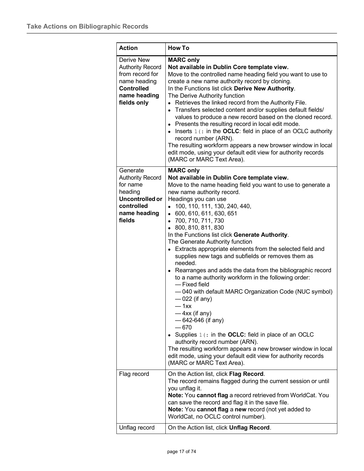| <b>Action</b>                                                                                                                | <b>How To</b>                                                                                                                                                                                                                                                                                                                                                                                                                                                                                                                                                                                                                                                                                                                                                                                                                                                                                                                                                                                                                                                                   |
|------------------------------------------------------------------------------------------------------------------------------|---------------------------------------------------------------------------------------------------------------------------------------------------------------------------------------------------------------------------------------------------------------------------------------------------------------------------------------------------------------------------------------------------------------------------------------------------------------------------------------------------------------------------------------------------------------------------------------------------------------------------------------------------------------------------------------------------------------------------------------------------------------------------------------------------------------------------------------------------------------------------------------------------------------------------------------------------------------------------------------------------------------------------------------------------------------------------------|
| Derive New<br><b>Authority Record</b><br>from record for<br>name heading<br><b>Controlled</b><br>name heading<br>fields only | <b>MARC only</b><br>Not available in Dublin Core template view.<br>Move to the controlled name heading field you want to use to<br>create a new name authority record by cloning.<br>In the Functions list click Derive New Authority.<br>The Derive Authority function<br>• Retrieves the linked record from the Authority File.<br>• Transfers selected content and/or supplies default fields/<br>values to produce a new record based on the cloned record.<br>• Presents the resulting record in local edit mode.<br>$\bullet$ Inserts $1$ (: in the OCLC: field in place of an OCLC authority<br>record number (ARN).<br>The resulting workform appears a new browser window in local<br>edit mode, using your default edit view for authority records<br>(MARC or MARC Text Area).                                                                                                                                                                                                                                                                                       |
| Generate<br><b>Authority Record</b><br>for name<br>heading<br>Uncontrolled or<br>controlled<br>name heading<br>fields        | <b>MARC only</b><br>Not available in Dublin Core template view.<br>Move to the name heading field you want to use to generate a<br>new name authority record.<br>Headings you can use<br>• 100, 110, 111, 130, 240, 440,<br>• 600, 610, 611, 630, 651<br>• 700, 710, 711, 730<br>$\bullet$ 800, 810, 811, 830<br>In the Functions list click Generate Authority.<br>The Generate Authority function<br>• Extracts appropriate elements from the selected field and<br>supplies new tags and subfields or removes them as<br>needed.<br>• Rearranges and adds the data from the bibliographic record<br>to a name authority workform in the following order:<br>- Fixed field<br>-040 with default MARC Organization Code (NUC symbol)<br>$-022$ (if any)<br>— 1хх<br>$-4xx$ (if any)<br>$-642-646$ (if any)<br>$-670$<br>Supplies $1$ (: in the OCLC: field in place of an OCLC<br>authority record number (ARN).<br>The resulting workform appears a new browser window in local<br>edit mode, using your default edit view for authority records<br>(MARC or MARC Text Area). |
| Flag record                                                                                                                  | On the Action list, click Flag Record.<br>The record remains flagged during the current session or until<br>you unflag it.<br>Note: You cannot flag a record retrieved from WorldCat. You<br>can save the record and flag it in the save file.<br>Note: You cannot flag a new record (not yet added to<br>WorldCat, no OCLC control number).                                                                                                                                                                                                                                                                                                                                                                                                                                                                                                                                                                                                                                                                                                                                    |
| Unflag record                                                                                                                | On the Action list, click <b>Unflag Record</b> .                                                                                                                                                                                                                                                                                                                                                                                                                                                                                                                                                                                                                                                                                                                                                                                                                                                                                                                                                                                                                                |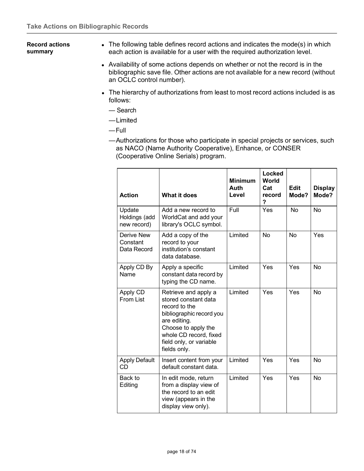#### <span id="page-17-0"></span>**Record actions summary**

- The following table defines record actions and indicates the mode(s) in which each action is available for a user with the required authorization level.
	- Availability of some actions depends on whether or not the record is in the bibliographic save file. Other actions are not available for a new record (without an OCLC control number).
	- The hierarchy of authorizations from least to most record actions included is as follows:
		- Search
		- —Limited
		- —Full
		- —Authorizations for those who participate in special projects or services, such as NACO (Name Authority Cooperative), Enhance, or CONSER (Cooperative Online Serials) program.

| <b>Action</b>                                | <b>What it does</b>                                                                                                                                                                                   | <b>Minimum</b><br>Auth<br>Level | <b>Locked</b><br>World<br>Cat<br>record<br>? | <b>Edit</b><br>Mode? | <b>Display</b><br>Mode? |
|----------------------------------------------|-------------------------------------------------------------------------------------------------------------------------------------------------------------------------------------------------------|---------------------------------|----------------------------------------------|----------------------|-------------------------|
| Update<br>Holdings (add<br>new record)       | Add a new record to<br>WorldCat and add your<br>library's OCLC symbol.                                                                                                                                | Full                            | Yes                                          | <b>No</b>            | <b>No</b>               |
| <b>Derive New</b><br>Constant<br>Data Record | Add a copy of the<br>record to your<br>institution's constant<br>data database.                                                                                                                       | Limited                         | No                                           | <b>No</b>            | Yes                     |
| Apply CD By<br>Name                          | Apply a specific<br>constant data record by<br>typing the CD name.                                                                                                                                    | Limited                         | Yes                                          | Yes                  | <b>No</b>               |
| Apply CD<br>From List                        | Retrieve and apply a<br>stored constant data<br>record to the<br>bibliographic record you<br>are editing.<br>Choose to apply the<br>whole CD record, fixed<br>field only, or variable<br>fields only. | Limited                         | Yes                                          | Yes                  | No                      |
| <b>Apply Default</b><br>CD                   | Insert content from your<br>default constant data.                                                                                                                                                    | Limited                         | Yes                                          | Yes                  | <b>No</b>               |
| Back to<br>Editing                           | In edit mode, return<br>from a display view of<br>the record to an edit<br>view (appears in the<br>display view only).                                                                                | Limited                         | Yes                                          | Yes                  | <b>No</b>               |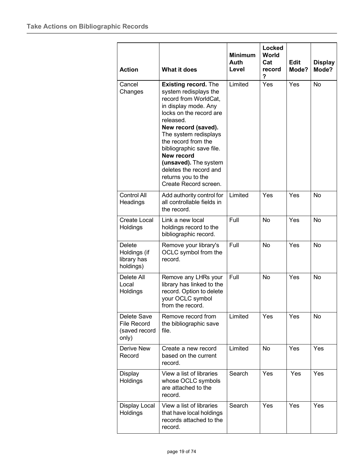| <b>Action</b>                                               | <b>What it does</b>                                                                                                                                                                                                                                                                                                                                              | <b>Minimum</b><br>Auth<br>Level | Locked<br><b>World</b><br>Cat<br>record<br>? | <b>Edit</b><br>Mode? | <b>Display</b><br>Mode? |
|-------------------------------------------------------------|------------------------------------------------------------------------------------------------------------------------------------------------------------------------------------------------------------------------------------------------------------------------------------------------------------------------------------------------------------------|---------------------------------|----------------------------------------------|----------------------|-------------------------|
| Cancel<br>Changes                                           | <b>Existing record.</b> The<br>system redisplays the<br>record from WorldCat,<br>in display mode. Any<br>locks on the record are<br>released.<br>New record (saved).<br>The system redisplays<br>the record from the<br>bibliographic save file.<br>New record<br>(unsaved). The system<br>deletes the record and<br>returns you to the<br>Create Record screen. | Limited                         | Yes                                          | Yes                  | <b>No</b>               |
| Control All<br>Headings                                     | Add authority control for<br>all controllable fields in<br>the record.                                                                                                                                                                                                                                                                                           | Limited                         | Yes                                          | Yes                  | <b>No</b>               |
| <b>Create Local</b><br>Holdings                             | Link a new local<br>holdings record to the<br>bibliographic record.                                                                                                                                                                                                                                                                                              | Full                            | No                                           | Yes                  | <b>No</b>               |
| Delete<br>Holdings (if<br>library has<br>holdings)          | Remove your library's<br>OCLC symbol from the<br>record.                                                                                                                                                                                                                                                                                                         | Full                            | <b>No</b>                                    | Yes                  | <b>No</b>               |
| Delete All<br>Local<br>Holdings                             | Remove any LHRs your<br>library has linked to the<br>record. Option to delete<br>your OCLC symbol<br>from the record.                                                                                                                                                                                                                                            | Full                            | No                                           | Yes                  | No                      |
| Delete Save<br><b>File Record</b><br>(saved record<br>only) | Remove record from<br>the bibliographic save<br>file.                                                                                                                                                                                                                                                                                                            | Limited                         | Yes                                          | Yes                  | <b>No</b>               |
| <b>Derive New</b><br>Record                                 | Create a new record<br>based on the current<br>record.                                                                                                                                                                                                                                                                                                           | Limited                         | <b>No</b>                                    | Yes                  | Yes                     |
| Display<br>Holdings                                         | View a list of libraries<br>whose OCLC symbols<br>are attached to the<br>record.                                                                                                                                                                                                                                                                                 | Search                          | Yes                                          | Yes                  | Yes                     |
| Display Local<br>Holdings                                   | View a list of libraries<br>that have local holdings<br>records attached to the<br>record.                                                                                                                                                                                                                                                                       | Search                          | Yes                                          | <b>Yes</b>           | Yes                     |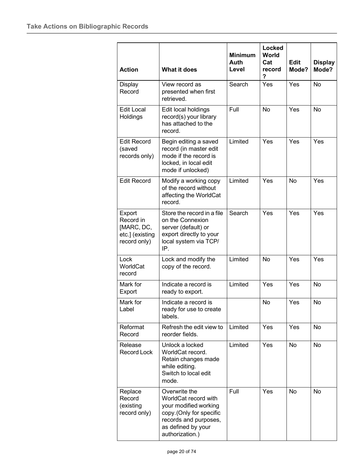| <b>Action</b>                                                        | <b>What it does</b>                                                                                                                                          | <b>Minimum</b><br>Auth<br>Level | Locked<br>World<br>Cat<br>record<br>? | <b>Edit</b><br>Mode? | <b>Display</b><br>Mode? |
|----------------------------------------------------------------------|--------------------------------------------------------------------------------------------------------------------------------------------------------------|---------------------------------|---------------------------------------|----------------------|-------------------------|
| Display<br>Record                                                    | View record as<br>presented when first<br>retrieved.                                                                                                         | Search                          | Yes                                   | Yes                  | No                      |
| <b>Edit Local</b><br>Holdings                                        | Edit local holdings<br>record(s) your library<br>has attached to the<br>record.                                                                              | Full                            | <b>No</b>                             | Yes                  | No                      |
| <b>Edit Record</b><br>(saved<br>records only)                        | Begin editing a saved<br>record (in master edit<br>mode if the record is<br>locked, in local edit<br>mode if unlocked)                                       | Limited                         | Yes                                   | Yes                  | Yes                     |
| <b>Edit Record</b>                                                   | Modify a working copy<br>of the record without<br>affecting the WorldCat<br>record.                                                                          | Limited                         | Yes                                   | <b>No</b>            | Yes                     |
| Export<br>Record in<br>[MARC, DC,<br>etc.] (existing<br>record only) | Store the record in a file<br>on the Connexion<br>server (default) or<br>export directly to your<br>local system via TCP/<br>IP.                             | Search                          | Yes                                   | Yes                  | Yes                     |
| Lock<br>WorldCat<br>record                                           | Lock and modify the<br>copy of the record.                                                                                                                   | Limited                         | <b>No</b>                             | Yes                  | Yes                     |
| Mark for<br>Export                                                   | Indicate a record is<br>ready to export.                                                                                                                     | Limited                         | Yes                                   | Yes                  | No                      |
| Mark for<br>Label                                                    | Indicate a record is<br>ready for use to create<br>labels.                                                                                                   |                                 | No                                    | Yes                  | No                      |
| Reformat<br>Record                                                   | Refresh the edit view to<br>reorder fields.                                                                                                                  | Limited                         | Yes                                   | Yes                  | No                      |
| Release<br>Record Lock                                               | Unlock a locked<br>WorldCat record.<br>Retain changes made<br>while editing.<br>Switch to local edit<br>mode.                                                | Limited                         | Yes                                   | N <sub>o</sub>       | No                      |
| Replace<br>Record<br>(existing<br>record only)                       | Overwrite the<br>WorldCat record with<br>your modified working<br>copy. (Only for specific<br>records and purposes,<br>as defined by your<br>authorization.) | Full                            | Yes                                   | No                   | No                      |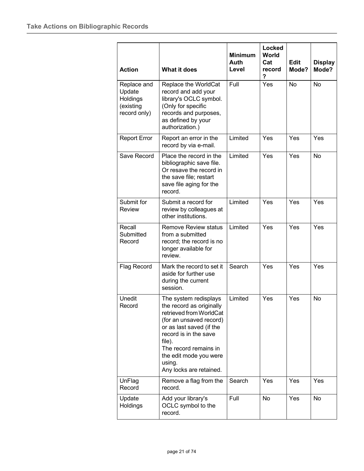| <b>Action</b>                                                  | <b>What it does</b>                                                                                                                                                                                                                                            | <b>Minimum</b><br>Auth<br>Level | Locked<br><b>World</b><br>Cat<br>record<br>? | <b>Edit</b><br>Mode? | <b>Display</b><br>Mode? |
|----------------------------------------------------------------|----------------------------------------------------------------------------------------------------------------------------------------------------------------------------------------------------------------------------------------------------------------|---------------------------------|----------------------------------------------|----------------------|-------------------------|
| Replace and<br>Update<br>Holdings<br>(existing<br>record only) | Replace the WorldCat<br>record and add your<br>library's OCLC symbol.<br>(Only for specific<br>records and purposes,<br>as defined by your<br>authorization.)                                                                                                  | Full                            | Yes                                          | <b>No</b>            | <b>No</b>               |
| <b>Report Error</b>                                            | Report an error in the<br>record by via e-mail.                                                                                                                                                                                                                | Limited                         | Yes                                          | Yes                  | Yes                     |
| Save Record                                                    | Place the record in the<br>bibliographic save file.<br>Or resave the record in<br>the save file; restart<br>save file aging for the<br>record.                                                                                                                 | Limited                         | Yes                                          | Yes                  | No                      |
| Submit for<br><b>Review</b>                                    | Submit a record for<br>review by colleagues at<br>other institutions.                                                                                                                                                                                          | Limited                         | Yes                                          | Yes                  | Yes                     |
| Recall<br>Submitted<br>Record                                  | <b>Remove Review status</b><br>from a submitted<br>record; the record is no<br>longer available for<br>review.                                                                                                                                                 | Limited                         | Yes                                          | Yes                  | Yes                     |
| Flag Record                                                    | Mark the record to set it<br>aside for further use<br>during the current<br>session.                                                                                                                                                                           | Search                          | Yes                                          | Yes                  | Yes                     |
| Unedit<br>Record                                               | The system redisplays<br>the record as originally<br>retrieved from WorldCat<br>(for an unsaved record)<br>or as last saved (if the<br>record is in the save<br>file).<br>The record remains in<br>the edit mode you were<br>using.<br>Any locks are retained. | Limited                         | Yes                                          | Yes                  | No                      |
| UnFlag<br>Record                                               | Remove a flag from the<br>record.                                                                                                                                                                                                                              | Search                          | Yes                                          | Yes                  | Yes                     |
| Update<br>Holdings                                             | Add your library's<br>OCLC symbol to the<br>record.                                                                                                                                                                                                            | Full                            | No                                           | Yes                  | No                      |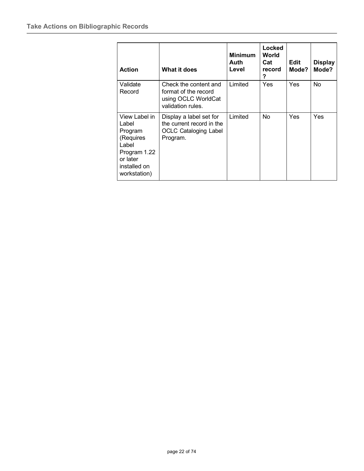| <b>Action</b>                                                                                                       | What it does                                                                                     | <b>Minimum</b><br>Auth<br>Level | Locked<br>World<br>Cat<br>record<br>? | Edit<br>Mode? | <b>Display</b><br>Mode? |
|---------------------------------------------------------------------------------------------------------------------|--------------------------------------------------------------------------------------------------|---------------------------------|---------------------------------------|---------------|-------------------------|
| Validate<br>Record                                                                                                  | Check the content and<br>format of the record<br>using OCLC WorldCat<br>validation rules.        | Limited                         | <b>Yes</b>                            | <b>Yes</b>    | No                      |
| View Label in<br>Label<br>Program<br>(Requires<br>Label<br>Program 1.22<br>or later<br>installed on<br>workstation) | Display a label set for<br>the current record in the<br><b>OCLC Cataloging Label</b><br>Program. | Limited                         | N <sub>o</sub>                        | <b>Yes</b>    | Yes                     |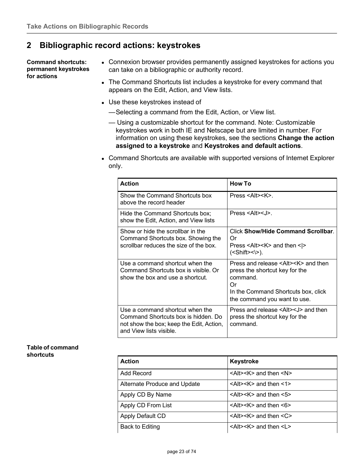## <span id="page-22-0"></span>**2 Bibliographic record actions: keystrokes**

<span id="page-22-1"></span>**Command shortcuts: permanent keystrokes for actions**

- Connexion browser provides permanently assigned keystrokes for actions you can take on a bibliographic or authority record.
- The Command Shortcuts list includes a keystroke for every command that appears on the Edit, Action, and View lists.
- Use these keystrokes instead of
	- —Selecting a command from the Edit, Action, or View list.
	- Using a customizable shortcut for the command. Note: Customizable keystrokes work in both IE and Netscape but are limited in number. For information on using these keystrokes, see the sections **Change the action assigned to a keystroke** and **Keystrokes and default actions**.
- Command Shortcuts are available with supported versions of Internet Explorer only.

| <b>Action</b>                                                                                                                                 | <b>How To</b>                                                                                                                                                                 |
|-----------------------------------------------------------------------------------------------------------------------------------------------|-------------------------------------------------------------------------------------------------------------------------------------------------------------------------------|
| Show the Command Shortcuts box<br>above the record header                                                                                     | $Press <$ Alt $>>$ K $>$ .                                                                                                                                                    |
| Hide the Command Shortcuts box;<br>show the Edit, Action, and View lists                                                                      | Press $\leq$ Alt $\geq$ ,                                                                                                                                                     |
| Show or hide the scrollbar in the<br>Command Shortcuts box. Showing the<br>scrollbar reduces the size of the box.                             | <b>Click Show/Hide Command Scrollbar.</b><br>Or<br>Press <alt><k> and then &lt;<math>\vert</math>&gt;&gt;<br/><math>(&lt;</math>Shift&gt;&lt;<math>\&amp;</math>).</k></alt>  |
| Use a command shortcut when the<br>Command Shortcuts box is visible. Or<br>show the box and use a shortcut.                                   | Press and release <alt><k> and then<br/>press the shortcut key for the<br/>command.<br/>Ωr<br/>In the Command Shortcuts box, click<br/>the command you want to use.</k></alt> |
| Use a command shortcut when the<br>Command Shortcuts box is hidden. Do<br>not show the box; keep the Edit, Action,<br>and View lists visible. | Press and release <alt><j> and then<br/>press the shortcut key for the<br/>command.</j></alt>                                                                                 |

#### <span id="page-22-2"></span>**Table of command shortcuts**

| <b>Action</b>                | <b>Keystroke</b>                         |
|------------------------------|------------------------------------------|
| Add Record                   | $\leq$ Alt> $\leq$ K> and then $\leq$ N> |
| Alternate Produce and Update | $\leq$ Alt> $\leq$ K> and then $\leq$ 1> |
| Apply CD By Name             | $\leq$ Alt> $\leq$ K> and then $\leq$ 5> |
| Apply CD From List           | $\leq$ Alt> $\leq$ K> and then $\leq$ 6> |
| Apply Default CD             | $\leq$ Alt> $\leq$ K> and then $\leq$ C> |
| Back to Editing              | $\leq$ Alt> $\leq$ K> and then $\leq$ L> |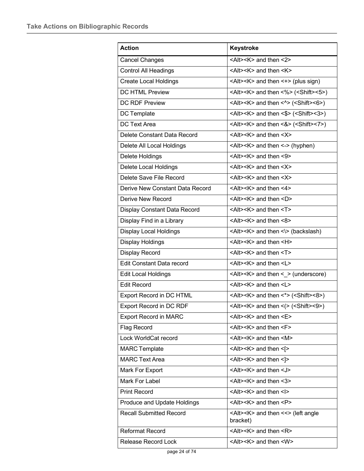| <b>Action</b>                    | <b>Keystroke</b>                                                                    |
|----------------------------------|-------------------------------------------------------------------------------------|
| <b>Cancel Changes</b>            | $\leq$ Alt> $\leq$ K> and then $\leq$ 2>                                            |
| <b>Control All Headings</b>      | <alt><k> and then <k></k></k></alt>                                                 |
| <b>Create Local Holdings</b>     | $\leq$ Alt> $\leq$ K> and then $\leq$ +> (plus sign)                                |
| <b>DC HTML Preview</b>           | <alt><k> and then &lt;%&gt; (<shift>&lt;5&gt;)</shift></k></alt>                    |
| <b>DC RDF Preview</b>            | <alt><k> and then &lt;<math>\textdegree</math> (<shift>&lt;6&gt;)</shift></k></alt> |
| DC Template                      | <alt><k> and then &lt;\$&gt; (<shift>&lt;3&gt;)</shift></k></alt>                   |
| <b>DC Text Area</b>              | <alt><k> and then &lt;<math>8</math>&gt; (<shift>&lt;7&gt;)</shift></k></alt>       |
| Delete Constant Data Record      | <alt><k> and then <x></x></k></alt>                                                 |
| Delete All Local Holdings        | <alt><k> and then &lt;-&gt; (hyphen)</k></alt>                                      |
| Delete Holdings                  | $\leq$ Alt> $\leq$ K> and then $\leq$ 9>                                            |
| Delete Local Holdings            | <alt><k> and then <x></x></k></alt>                                                 |
| Delete Save File Record          | $\leq$ Alt> $\leq$ K> and then $\leq$ X>                                            |
| Derive New Constant Data Record  | $\leq$ Alt> $\leq$ K> and then $\leq$ 4>                                            |
| Derive New Record                | <alt><k> and then <d></d></k></alt>                                                 |
| Display Constant Data Record     | <alt><k> and then <t></t></k></alt>                                                 |
| Display Find in a Library        | <alt><k> and then &lt;8&gt;</k></alt>                                               |
| <b>Display Local Holdings</b>    | <alt><k> and then &lt;\&gt; (backslash)</k></alt>                                   |
| <b>Display Holdings</b>          | $\leq$ Alt> $\leq$ K> and then $\leq$ H>                                            |
| Display Record                   | <alt><k> and then <t></t></k></alt>                                                 |
| <b>Edit Constant Data record</b> | <alt><k> and then <l></l></k></alt>                                                 |
| <b>Edit Local Holdings</b>       | $\leq$ Alt> $\leq$ K> and then $\leq$ > (underscore)                                |
| <b>Edit Record</b>               | <alt><k> and then <l></l></k></alt>                                                 |
| Export Record in DC HTML         | <alt><k> and then &lt;*&gt; (<shift>&lt;8&gt;)</shift></k></alt>                    |
| Export Record in DC RDF          | <alt><k> and then &lt;(&gt; (<shift>&lt;9&gt;)</shift></k></alt>                    |
| <b>Export Record in MARC</b>     | <alt><k> and then <e></e></k></alt>                                                 |
| Flag Record                      | <alt><k> and then <f></f></k></alt>                                                 |
| Lock WorldCat record             | <alt><k> and then <m></m></k></alt>                                                 |
| <b>MARC</b> Template             | $\leq$ Alt> $\leq$ K> and then $\leq$ [>                                            |
| <b>MARC Text Area</b>            | <alt><k> and then &lt;]&gt;</k></alt>                                               |
| Mark For Export                  | <alt><k> and then <j></j></k></alt>                                                 |
| Mark For Label                   | $\leq$ Alt> $\leq$ K> and then $\leq$ 3>                                            |
| <b>Print Record</b>              | <alt><k> and then <i></i></k></alt>                                                 |
| Produce and Update Holdings      | <alt><k> and then <p></p></k></alt>                                                 |
| <b>Recall Submitted Record</b>   | <alt><k> and then &lt;&lt;&gt; (left angle<br/>bracket)</k></alt>                   |
| <b>Reformat Record</b>           | <alt><k> and then <r></r></k></alt>                                                 |
| Release Record Lock              | <alt><k> and then <w></w></k></alt>                                                 |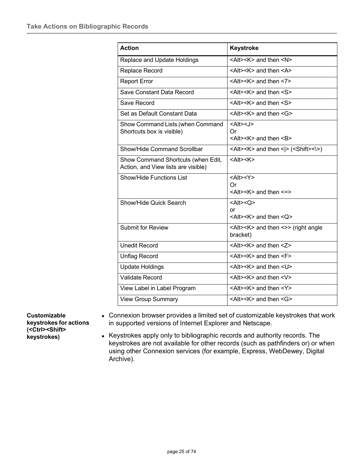| <b>Action</b>                                                             | <b>Keystroke</b>                                                                                |
|---------------------------------------------------------------------------|-------------------------------------------------------------------------------------------------|
| Replace and Update Holdings                                               | $\leq$ Alt> $\leq$ K> and then $\leq$ N>                                                        |
| Replace Record                                                            | <alt><k> and then <a></a></k></alt>                                                             |
| <b>Report Error</b>                                                       | $\leq$ Alt> $\leq$ K> and then $\leq$ 7>                                                        |
| Save Constant Data Record                                                 | $<$ Alt> $<$ K $>$ and then $<$ S $>$                                                           |
| Save Record                                                               | <alt><k> and then <s></s></k></alt>                                                             |
| Set as Default Constant Data                                              | <alt><k> and then <g></g></k></alt>                                                             |
| Show Command Lists (when Command<br>Shortcuts box is visible)             | $<$ Alt> <j><br/>Or<br/><alt><k> and then <b></b></k></alt></j>                                 |
| Show/Hide Command Scrollbar                                               | <alt><k> and then &lt;<math> &gt;</math> (<shift>&lt;<math>\&amp;&gt;</math>)</shift></k></alt> |
| Show Command Shortcuts (when Edit,<br>Action, and View lists are visible) | $<$ Alt $>$ $<$ K $>$                                                                           |
| <b>Show/Hide Functions List</b>                                           | $<$ Alt> $<$ Y><br>Or<br>$\leq$ Alt> $\leq$ K> and then $\leq$ =>                               |
| Show/Hide Quick Search                                                    | $<$ Alt> $<$ Q><br>or<br>$\leq$ Alt> $\leq$ K> and then $\leq$ O>                               |
| <b>Submit for Review</b>                                                  | <alt><k> and then &lt;&gt;&gt; (right angle<br/>bracket)</k></alt>                              |
| <b>Unedit Record</b>                                                      | <alt><k> and then <z></z></k></alt>                                                             |
| Unflag Record                                                             | $\leq$ Alt> $\leq$ K> and then $\leq$ F>                                                        |
| <b>Update Holdings</b>                                                    | <alt><k> and then <u></u></k></alt>                                                             |
| <b>Validate Record</b>                                                    | <alt><k> and then <v></v></k></alt>                                                             |
| View Label in Label Program                                               | $\leq$ Alt> $\leq$ K> and then $\leq$ Y>                                                        |
| <b>View Group Summary</b>                                                 | <alt><k> and then <g></g></k></alt>                                                             |

<span id="page-24-0"></span>**Customizable keystrokes for actions (<Ctrl><Shift> keystrokes)**

- Connexion browser provides a limited set of customizable keystrokes that work in supported versions of Internet Explorer and Netscape.
- Keystrokes apply only to bibliographic records and authority records. The keystrokes are not available for other records (such as pathfinders or) or when using other Connexion services (for example, Express, WebDewey, Digital Archive).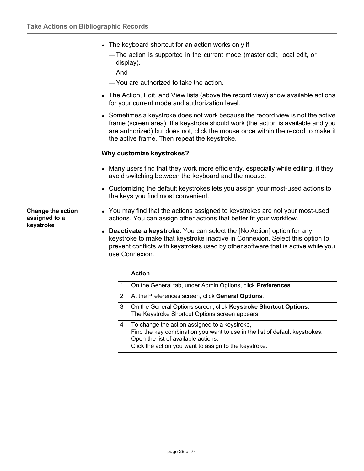- The keyboard shortcut for an action works only if
	- —The action is supported in the current mode (master edit, local edit, or display).

And

- —You are authorized to take the action.
- The Action, Edit, and View lists (above the record view) show available actions for your current mode and authorization level.
- Sometimes a keystroke does not work because the record view is not the active frame (screen area). If a keystroke should work (the action is available and you are authorized) but does not, click the mouse once within the record to make it the active frame. Then repeat the keystroke.

#### **Why customize keystrokes?**

- Many users find that they work more efficiently, especially while editing, if they avoid switching between the keyboard and the mouse.
- Customizing the default keystrokes lets you assign your most-used actions to the keys you find most convenient.

 You may find that the actions assigned to keystrokes are not your most-used actions. You can assign other actions that better fit your workflow.

 **Deactivate a keystroke.** You can select the [No Action] option for any keystroke to make that keystroke inactive in Connexion. Select this option to prevent conflicts with keystrokes used by other software that is active while you use Connexion.

|   | <b>Action</b>                                                                                                                                                                                                                |
|---|------------------------------------------------------------------------------------------------------------------------------------------------------------------------------------------------------------------------------|
|   | On the General tab, under Admin Options, click Preferences.                                                                                                                                                                  |
| 2 | At the Preferences screen, click General Options.                                                                                                                                                                            |
| 3 | On the General Options screen, click Keystroke Shortcut Options.<br>The Keystroke Shortcut Options screen appears.                                                                                                           |
| 4 | To change the action assigned to a keystroke,<br>Find the key combination you want to use in the list of default keystrokes.<br>Open the list of available actions.<br>Click the action you want to assign to the keystroke. |

<span id="page-25-0"></span>**Change the action assigned to a keystroke**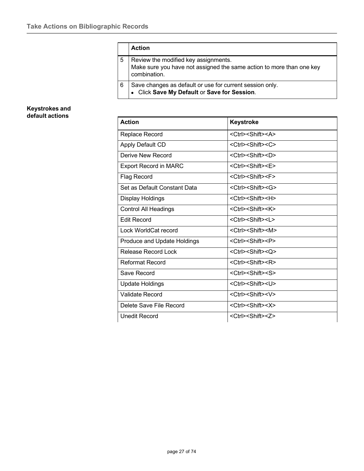|   | <b>Action</b>                                                                                                                |
|---|------------------------------------------------------------------------------------------------------------------------------|
| 5 | Review the modified key assignments.<br>Make sure you have not assigned the same action to more than one key<br>combination. |
| 6 | Save changes as default or use for current session only.<br>• Click Save My Default or Save for Session.                     |

#### <span id="page-26-0"></span>**Keystrokes and default actions**

| <b>Action</b>                | <b>Keystroke</b>                    |
|------------------------------|-------------------------------------|
| Replace Record               | <ctrl><shift><a></a></shift></ctrl> |
| <b>Apply Default CD</b>      | <ctrl><shift><c></c></shift></ctrl> |
| Derive New Record            | <ctrl><shift><d></d></shift></ctrl> |
| <b>Export Record in MARC</b> | <ctrl><shift><e></e></shift></ctrl> |
| <b>Flag Record</b>           | <ctrl><shift><f></f></shift></ctrl> |
| Set as Default Constant Data | <ctrl><shift><g></g></shift></ctrl> |
| Display Holdings             | <ctrl><shift><h></h></shift></ctrl> |
| <b>Control All Headings</b>  | <ctrl><shift><k></k></shift></ctrl> |
| <b>Edit Record</b>           | <ctrl><shift><l></l></shift></ctrl> |
| Lock WorldCat record         | <ctrl><shift><m></m></shift></ctrl> |
| Produce and Update Holdings  | <ctrl><shift><p></p></shift></ctrl> |
| Release Record Lock          | <ctrl><shift><q></q></shift></ctrl> |
| Reformat Record              | <ctrl><shift><r></r></shift></ctrl> |
| Save Record                  | <ctrl><shift><s></s></shift></ctrl> |
| <b>Update Holdings</b>       | <ctrl><shift><u></u></shift></ctrl> |
| Validate Record              | <ctrl><shift><v></v></shift></ctrl> |
| Delete Save File Record      | <ctrl><shift><x></x></shift></ctrl> |
| <b>Unedit Record</b>         | <ctrl><shift><z></z></shift></ctrl> |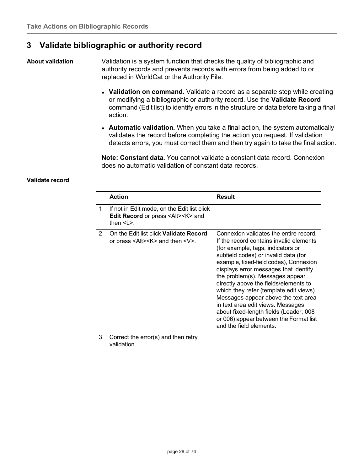## <span id="page-27-0"></span>**3 Validate bibliographic or authority record**

<span id="page-27-1"></span>**About validation** Validation is a system function that checks the quality of bibliographic and authority records and prevents records with errors from being added to or replaced in WorldCat or the Authority File.

- **Validation on command.** Validate a record as a separate step while creating or modifying a bibliographic or authority record. Use the **Validate Record** command (Edit list) to identify errors in the structure or data before taking a final action.
- **Automatic validation.** When you take a final action, the system automatically validates the record before completing the action you request. If validation detects errors, you must correct them and then try again to take the final action.

**Note: Constant data.** You cannot validate a constant data record. Connexion does no automatic validation of constant data records.

#### <span id="page-27-2"></span>**Validate record**

|   | <b>Action</b>                                                                                                           | <b>Result</b>                                                                                                                                                                                                                                                                                                                                                                                                                                                                                                                                                       |
|---|-------------------------------------------------------------------------------------------------------------------------|---------------------------------------------------------------------------------------------------------------------------------------------------------------------------------------------------------------------------------------------------------------------------------------------------------------------------------------------------------------------------------------------------------------------------------------------------------------------------------------------------------------------------------------------------------------------|
| 1 | If not in Edit mode, on the Edit list click<br>Edit Record or press <alt><k> and<br/>then <math>\leq L</math></k></alt> |                                                                                                                                                                                                                                                                                                                                                                                                                                                                                                                                                                     |
| 2 | On the Edit list click <b>Validate Record</b><br>or press $\leq$ Alt $\geq$ K $\geq$ and then $\leq$ V $\geq$ .         | Connexion validates the entire record.<br>If the record contains invalid elements<br>(for example, tags, indicators or<br>subfield codes) or invalid data (for<br>example, fixed-field codes), Connexion<br>displays error messages that identify<br>the problem(s). Messages appear<br>directly above the fields/elements to<br>which they refer (template edit views).<br>Messages appear above the text area<br>in text area edit views. Messages<br>about fixed-length fields (Leader, 008<br>or 006) appear between the Format list<br>and the field elements. |
| 3 | Correct the error(s) and then retry<br>validation.                                                                      |                                                                                                                                                                                                                                                                                                                                                                                                                                                                                                                                                                     |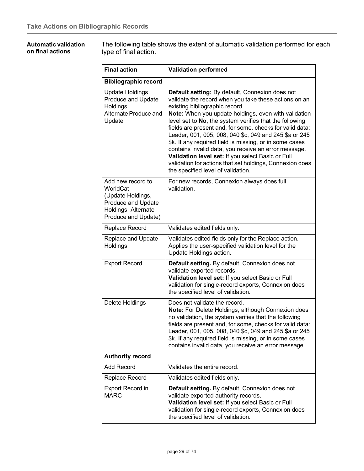#### <span id="page-28-0"></span>**Automatic validation on final actions**

The following table shows the extent of automatic validation performed for each type of final action.

| <b>Final action</b>                                                                                                           | <b>Validation performed</b>                                                                                                                                                                                                                                                                                                                                                                                                                                                                                                                                                                                                                                   |
|-------------------------------------------------------------------------------------------------------------------------------|---------------------------------------------------------------------------------------------------------------------------------------------------------------------------------------------------------------------------------------------------------------------------------------------------------------------------------------------------------------------------------------------------------------------------------------------------------------------------------------------------------------------------------------------------------------------------------------------------------------------------------------------------------------|
| <b>Bibliographic record</b>                                                                                                   |                                                                                                                                                                                                                                                                                                                                                                                                                                                                                                                                                                                                                                                               |
| <b>Update Holdings</b><br>Produce and Update<br>Holdings<br>Alternate Produce and<br>Update                                   | Default setting: By default, Connexion does not<br>validate the record when you take these actions on an<br>existing bibliographic record.<br>Note: When you update holdings, even with validation<br>level set to No, the system verifies that the following<br>fields are present and, for some, checks for valid data:<br>Leader, 001, 005, 008, 040 \$c, 049 and 245 \$a or 245<br>\$k. If any required field is missing, or in some cases<br>contains invalid data, you receive an error message.<br>Validation level set: If you select Basic or Full<br>validation for actions that set holdings, Connexion does<br>the specified level of validation. |
| Add new record to<br>WorldCat<br>(Update Holdings,<br><b>Produce and Update</b><br>Holdings, Alternate<br>Produce and Update) | For new records, Connexion always does full<br>validation.                                                                                                                                                                                                                                                                                                                                                                                                                                                                                                                                                                                                    |
| Replace Record                                                                                                                | Validates edited fields only.                                                                                                                                                                                                                                                                                                                                                                                                                                                                                                                                                                                                                                 |
| Replace and Update<br>Holdings                                                                                                | Validates edited fields only for the Replace action.<br>Applies the user-specified validation level for the<br>Update Holdings action.                                                                                                                                                                                                                                                                                                                                                                                                                                                                                                                        |
| <b>Export Record</b>                                                                                                          | Default setting. By default, Connexion does not<br>validate exported records.<br>Validation level set: If you select Basic or Full<br>validation for single-record exports, Connexion does<br>the specified level of validation.                                                                                                                                                                                                                                                                                                                                                                                                                              |
| Delete Holdings                                                                                                               | Does not validate the record.<br>Note: For Delete Holdings, although Connexion does<br>no validation, the system verifies that the following<br>fields are present and, for some, checks for valid data:<br>Leader, 001, 005, 008, 040 \$c, 049 and 245 \$a or 245<br>\$k. If any required field is missing, or in some cases<br>contains invalid data, you receive an error message.                                                                                                                                                                                                                                                                         |
| <b>Authority record</b>                                                                                                       |                                                                                                                                                                                                                                                                                                                                                                                                                                                                                                                                                                                                                                                               |
| Add Record                                                                                                                    | Validates the entire record.                                                                                                                                                                                                                                                                                                                                                                                                                                                                                                                                                                                                                                  |
| Replace Record                                                                                                                | Validates edited fields only.                                                                                                                                                                                                                                                                                                                                                                                                                                                                                                                                                                                                                                 |
| <b>Export Record in</b><br><b>MARC</b>                                                                                        | Default setting. By default, Connexion does not<br>validate exported authority records.<br>Validation level set: If you select Basic or Full<br>validation for single-record exports, Connexion does<br>the specified level of validation.                                                                                                                                                                                                                                                                                                                                                                                                                    |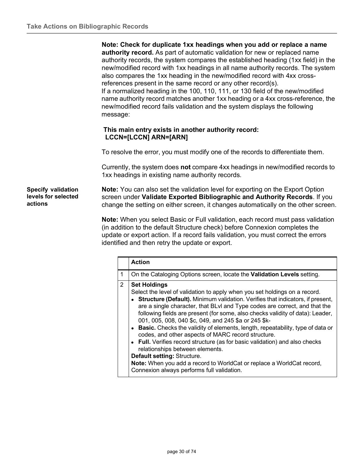**Note: Check for duplicate 1xx headings when you add or replace a name authority record.** As part of automatic validation for new or replaced name authority records, the system compares the established heading (1xx field) in the new/modified record with 1xx headings in all name authority records. The system also compares the 1xx heading in the new/modified record with 4xx crossreferences present in the same record or any other record(s). If a normalized heading in the 100, 110, 111, or 130 field of the new/modified name authority record matches another 1xx heading or a 4xx cross-reference, the new/modified record fails validation and the system displays the following message:

#### **This main entry exists in another authority record: LCCN=[LCCN] ARN=[ARN]**

To resolve the error, you must modify one of the records to differentiate them.

Currently, the system does **not** compare 4xx headings in new/modified records to 1xx headings in existing name authority records.

<span id="page-29-0"></span>**Specify validation levels for selected actions**

**Note:** You can also set the validation level for exporting on the Export Option screen under **Validate Exported Bibliographic and Authority Records**. If you change the setting on either screen, it changes automatically on the other screen.

**Note:** When you select Basic or Full validation, each record must pass validation (in addition to the default Structure check) before Connexion completes the update or export action. If a record fails validation, you must correct the errors identified and then retry the update or export.

|   | <b>Action</b>                                                                                                                                                                                                                                                                                                                                                                                                                                                                                                                                                                                                                                                                                                                                                                                                                   |
|---|---------------------------------------------------------------------------------------------------------------------------------------------------------------------------------------------------------------------------------------------------------------------------------------------------------------------------------------------------------------------------------------------------------------------------------------------------------------------------------------------------------------------------------------------------------------------------------------------------------------------------------------------------------------------------------------------------------------------------------------------------------------------------------------------------------------------------------|
| 1 | On the Cataloging Options screen, locate the Validation Levels setting.                                                                                                                                                                                                                                                                                                                                                                                                                                                                                                                                                                                                                                                                                                                                                         |
| 2 | <b>Set Holdings</b><br>Select the level of validation to apply when you set holdings on a record.<br>• Structure (Default). Minimum validation. Verifies that indicators, if present,<br>are a single character, that BLvI and Type codes are correct, and that the<br>following fields are present (for some, also checks validity of data): Leader,<br>001, 005, 008, 040 \$c, 049, and 245 \$a or 245 \$k-<br>• Basic. Checks the validity of elements, length, repeatability, type of data or<br>codes, and other aspects of MARC record structure.<br>• Full. Verifies record structure (as for basic validation) and also checks<br>relationships between elements.<br>Default setting: Structure.<br>Note: When you add a record to WorldCat or replace a WorldCat record,<br>Connexion always performs full validation. |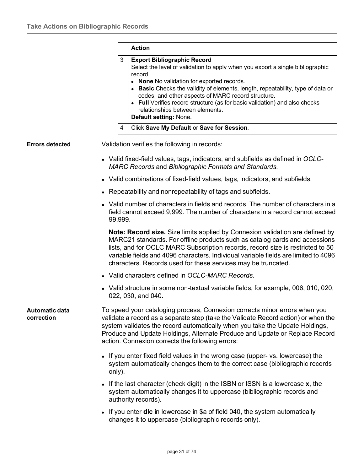<span id="page-30-1"></span><span id="page-30-0"></span>

|                                     |         | <b>Action</b>                                                                                                                                                                                                                                                                                                                                                                                                                                                     |
|-------------------------------------|---------|-------------------------------------------------------------------------------------------------------------------------------------------------------------------------------------------------------------------------------------------------------------------------------------------------------------------------------------------------------------------------------------------------------------------------------------------------------------------|
|                                     | 3       | <b>Export Bibliographic Record</b><br>Select the level of validation to apply when you export a single bibliographic<br>record.<br>• None No validation for exported records.<br>• Basic Checks the validity of elements, length, repeatability, type of data or<br>codes, and other aspects of MARC record structure.<br>• Full Verifies record structure (as for basic validation) and also checks<br>relationships between elements.<br>Default setting: None. |
|                                     | 4       | Click Save My Default or Save for Session.                                                                                                                                                                                                                                                                                                                                                                                                                        |
| <b>Errors detected</b>              |         | Validation verifies the following in records:                                                                                                                                                                                                                                                                                                                                                                                                                     |
|                                     |         | • Valid fixed-field values, tags, indicators, and subfields as defined in OCLC-<br><b>MARC Records and Bibliographic Formats and Standards.</b>                                                                                                                                                                                                                                                                                                                   |
|                                     |         | • Valid combinations of fixed-field values, tags, indicators, and subfields.                                                                                                                                                                                                                                                                                                                                                                                      |
|                                     |         | • Repeatability and nonrepeatability of tags and subfields.                                                                                                                                                                                                                                                                                                                                                                                                       |
|                                     | 99,999. | • Valid number of characters in fields and records. The number of characters in a<br>field cannot exceed 9,999. The number of characters in a record cannot exceed                                                                                                                                                                                                                                                                                                |
|                                     |         | <b>Note: Record size.</b> Size limits applied by Connexion validation are defined by<br>MARC21 standards. For offline products such as catalog cards and accessions<br>lists, and for OCLC MARC Subscription records, record size is restricted to 50<br>variable fields and 4096 characters. Individual variable fields are limited to 4096<br>characters. Records used for these services may be truncated.                                                     |
|                                     |         | • Valid characters defined in OCLC-MARC Records.                                                                                                                                                                                                                                                                                                                                                                                                                  |
|                                     |         | Valid structure in some non-textual variable fields, for example, 006, 010, 020,<br>022, 030, and 040.                                                                                                                                                                                                                                                                                                                                                            |
| <b>Automatic data</b><br>correction |         | To speed your cataloging process, Connexion corrects minor errors when you<br>validate a record as a separate step (take the Validate Record action) or when the<br>system validates the record automatically when you take the Update Holdings,<br>Produce and Update Holdings, Alternate Produce and Update or Replace Record<br>action. Connexion corrects the following errors:                                                                               |
|                                     | only).  | • If you enter fixed field values in the wrong case (upper- vs. lowercase) the<br>system automatically changes them to the correct case (bibliographic records                                                                                                                                                                                                                                                                                                    |
|                                     |         | If the last character (check digit) in the ISBN or ISSN is a lowercase $x$ , the<br>system automatically changes it to uppercase (bibliographic records and<br>authority records).                                                                                                                                                                                                                                                                                |
|                                     |         | If you enter <b>dlc</b> in lowercase in $\hat{\mathbb{R}}$ of field 040, the system automatically                                                                                                                                                                                                                                                                                                                                                                 |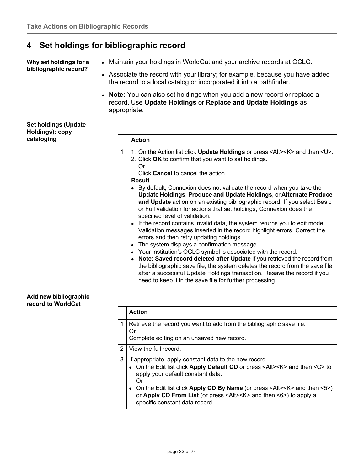## <span id="page-31-0"></span>**4 Set holdings for bibliographic record**

<span id="page-31-1"></span>**Why set holdings for a bibliographic record?**

- Maintain your holdings in WorldCat and your archive records at OCLC.
- Associate the record with your library; for example, because you have added the record to a local catalog or incorporated it into a pathfinder.
- **Note:** You can also set holdings when you add a new record or replace a record. Use **Update Holdings** or **Replace and Update Holdings** as appropriate.

<span id="page-31-2"></span>

| Set holdings (Update |  |
|----------------------|--|
| Holdings): copy      |  |
| cataloging           |  |

#### <span id="page-31-3"></span>**Add new bibliographic record to WorldCat**

|   | <b>Action</b>                                                                                                                                                                                                                                                                                                                                                                                                                                                                           |
|---|-----------------------------------------------------------------------------------------------------------------------------------------------------------------------------------------------------------------------------------------------------------------------------------------------------------------------------------------------------------------------------------------------------------------------------------------------------------------------------------------|
|   | Retrieve the record you want to add from the bibliographic save file.<br>Or<br>Complete editing on an unsaved new record.                                                                                                                                                                                                                                                                                                                                                               |
| 2 | View the full record.                                                                                                                                                                                                                                                                                                                                                                                                                                                                   |
| 3 | If appropriate, apply constant data to the new record.<br>• On the Edit list click Apply Default CD or press <alt><k> and then <c> to<br/>apply your default constant data.<br/>Ωr<br/>• On the Edit list click Apply CD By Name (or press <math>\leq</math>Alt<math>\geq</math>K<math>&gt;</math> and then <math>\leq</math>5<math>\geq</math>)<br/>or Apply CD From List (or press <alt><k> and then &lt;6&gt;) to apply a<br/>specific constant data record.</k></alt></c></k></alt> |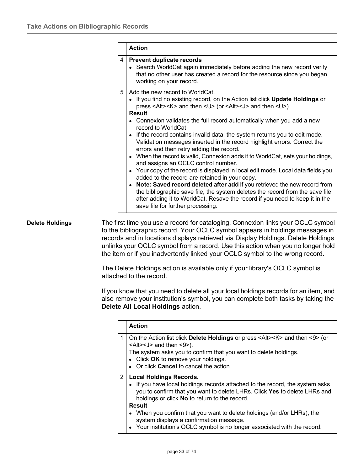|   | <b>Action</b>                                                                                                                                                                                                                                                                                                                                                                                                                                                                                                                                                                                                                                                                                                                                                                                                                                                                                                                                                                                                                                                                                           |
|---|---------------------------------------------------------------------------------------------------------------------------------------------------------------------------------------------------------------------------------------------------------------------------------------------------------------------------------------------------------------------------------------------------------------------------------------------------------------------------------------------------------------------------------------------------------------------------------------------------------------------------------------------------------------------------------------------------------------------------------------------------------------------------------------------------------------------------------------------------------------------------------------------------------------------------------------------------------------------------------------------------------------------------------------------------------------------------------------------------------|
| 4 | <b>Prevent duplicate records</b><br>• Search WorldCat again immediately before adding the new record verify<br>that no other user has created a record for the resource since you began<br>working on your record.                                                                                                                                                                                                                                                                                                                                                                                                                                                                                                                                                                                                                                                                                                                                                                                                                                                                                      |
| 5 | Add the new record to WorldCat.<br>• If you find no existing record, on the Action list click <b>Update Holdings</b> or<br>press <alt><k> and then <u> (or <alt><j> and then <u>).<br/><b>Result</b><br/>Connexion validates the full record automatically when you add a new<br/>record to WorldCat.<br/>• If the record contains invalid data, the system returns you to edit mode.<br/>Validation messages inserted in the record highlight errors. Correct the<br/>errors and then retry adding the record.<br/>• When the record is valid, Connexion adds it to WorldCat, sets your holdings,<br/>and assigns an OCLC control number.<br/>• Your copy of the record is displayed in local edit mode. Local data fields you<br/>added to the record are retained in your copy.<br/>• Note: Saved record deleted after add If you retrieved the new record from<br/>the bibliographic save file, the system deletes the record from the save file<br/>after adding it to WorldCat. Resave the record if you need to keep it in the<br/>save file for further processing.</u></j></alt></u></k></alt> |

<span id="page-32-0"></span>**Delete Holdings** The first time you use a record for cataloging, Connexion links your OCLC symbol to the bibliographic record. Your OCLC symbol appears in holdings messages in records and in locations displays retrieved via Display Holdings. Delete Holdings unlinks your OCLC symbol from a record. Use this action when you no longer hold the item or if you inadvertently linked your OCLC symbol to the wrong record.

> The Delete Holdings action is available only if your library's OCLC symbol is attached to the record.

If you know that you need to delete all your local holdings records for an item, and also remove your institution's symbol, you can complete both tasks by taking the **Delete All Local Holdings** action.

|                | <b>Action</b>                                                                                                                                                                                                                                                                                                                                                                                                                                                   |
|----------------|-----------------------------------------------------------------------------------------------------------------------------------------------------------------------------------------------------------------------------------------------------------------------------------------------------------------------------------------------------------------------------------------------------------------------------------------------------------------|
|                | On the Action list click Delete Holdings or press <alt><k> and then &lt;9&gt; (or<br/><math>\leq</math>Alt&gt;<math>\leq</math>J&gt; and then <math>\leq</math>9&gt;).<br/>The system asks you to confirm that you want to delete holdings.<br/>• Click OK to remove your holdings.<br/>• Or click <b>Cancel</b> to cancel the action.</k></alt>                                                                                                                |
| $\overline{2}$ | <b>Local Holdings Records.</b><br>• If you have local holdings records attached to the record, the system asks<br>you to confirm that you want to delete LHRs. Click Yes to delete LHRs and<br>holdings or click No to return to the record.<br><b>Result</b><br>• When you confirm that you want to delete holdings (and/or LHRs), the<br>system displays a confirmation message.<br>• Your institution's OCLC symbol is no longer associated with the record. |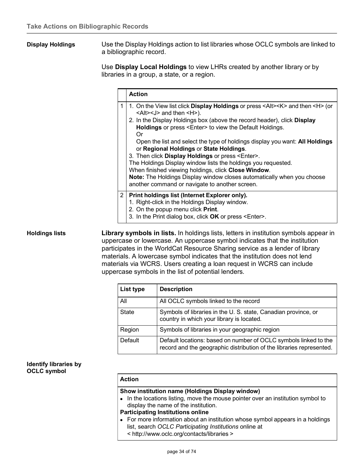<span id="page-33-0"></span>**Display Holdings** Use the Display Holdings action to list libraries whose OCLC symbols are linked to a bibliographic record.

> Use **Display Local Holdings** to view LHRs created by another library or by libraries in a group, a state, or a region.

|                | <b>Action</b>                                                                                                                                                                                                                                                                                                                                                                                                                                                                                                                                                                                                                                                                                                                                         |
|----------------|-------------------------------------------------------------------------------------------------------------------------------------------------------------------------------------------------------------------------------------------------------------------------------------------------------------------------------------------------------------------------------------------------------------------------------------------------------------------------------------------------------------------------------------------------------------------------------------------------------------------------------------------------------------------------------------------------------------------------------------------------------|
| 1              | 1. On the View list click <b>Display Holdings</b> or press <alt><k> and then <h> (or<br/><alt><j> and then <h>).<br/>2. In the Display Holdings box (above the record header), click Display<br/>Holdings or press <enter> to view the Default Holdings.<br/>Or<br/>Open the list and select the type of holdings display you want: All Holdings<br/>or Regional Holdings or State Holdings.<br/>3. Then click Display Holdings or press <enter>.<br/>The Holdings Display window lists the holdings you requested.<br/>When finished viewing holdings, click Close Window.<br/>Note: The Holdings Display window closes automatically when you choose<br/>another command or navigate to another screen.</enter></enter></h></j></alt></h></k></alt> |
| $\overline{2}$ | Print holdings list (Internet Explorer only).<br>1. Right-click in the Holdings Display window.<br>2. On the popup menu click Print.<br>3. In the Print dialog box, click OK or press <enter>.</enter>                                                                                                                                                                                                                                                                                                                                                                                                                                                                                                                                                |

<span id="page-33-1"></span>**Holdings lists Library symbols in lists.** In holdings lists, letters in institution symbols appear in uppercase or lowercase. An uppercase symbol indicates that the institution participates in the WorldCat Resource Sharing service as a lender of library materials. A lowercase symbol indicates that the institution does not lend materials via WCRS. Users creating a loan request in WCRS can include uppercase symbols in the list of potential lenders.

| List type    | <b>Description</b>                                                                                                                       |
|--------------|------------------------------------------------------------------------------------------------------------------------------------------|
| All          | All OCLC symbols linked to the record                                                                                                    |
| <b>State</b> | Symbols of libraries in the U.S. state, Canadian province, or<br>country in which your library is located.                               |
| Region       | Symbols of libraries in your geographic region                                                                                           |
| Default      | Default locations: based on number of OCLC symbols linked to the<br>record and the geographic distribution of the libraries represented. |

#### <span id="page-33-2"></span>**Identify libraries by OCLC symbol**

#### **Action**

#### **Show institution name (Holdings Display window)**

• In the locations listing, move the mouse pointer over an institution symbol to display the name of the institution.

#### **Participating Institutions online**

• For more information about an institution whose symbol appears in a holdings list, search *OCLC Participating Institutions* online at < <http://www.oclc.org/contacts/libraries> >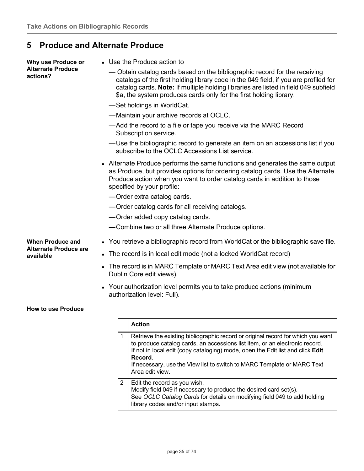## <span id="page-34-0"></span>**5 Produce and Alternate Produce**

<span id="page-34-1"></span>

| Why use Produce or                                      | • Use the Produce action to                                                                                                                                                                                                                                                                                                     |
|---------------------------------------------------------|---------------------------------------------------------------------------------------------------------------------------------------------------------------------------------------------------------------------------------------------------------------------------------------------------------------------------------|
| <b>Alternate Produce</b><br>actions?                    | — Obtain catalog cards based on the bibliographic record for the receiving<br>catalogs of the first holding library code in the 049 field, if you are profiled for<br>catalog cards. Note: If multiple holding libraries are listed in field 049 subfield<br>\$a, the system produces cards only for the first holding library. |
|                                                         | -Set holdings in WorldCat.                                                                                                                                                                                                                                                                                                      |
|                                                         | -Maintain your archive records at OCLC.                                                                                                                                                                                                                                                                                         |
|                                                         | —Add the record to a file or tape you receive via the MARC Record<br>Subscription service.                                                                                                                                                                                                                                      |
|                                                         | —Use the bibliographic record to generate an item on an accessions list if you<br>subscribe to the OCLC Accessions List service.                                                                                                                                                                                                |
|                                                         | • Alternate Produce performs the same functions and generates the same output<br>as Produce, but provides options for ordering catalog cards. Use the Alternate<br>Produce action when you want to order catalog cards in addition to those<br>specified by your profile:                                                       |
|                                                         | -Order extra catalog cards.                                                                                                                                                                                                                                                                                                     |
|                                                         | — Order catalog cards for all receiving catalogs.                                                                                                                                                                                                                                                                               |
|                                                         | -Order added copy catalog cards.                                                                                                                                                                                                                                                                                                |
|                                                         | -Combine two or all three Alternate Produce options.                                                                                                                                                                                                                                                                            |
| <b>When Produce and</b><br><b>Alternate Produce are</b> | • You retrieve a bibliographic record from WorldCat or the bibliographic save file.                                                                                                                                                                                                                                             |
| available                                               | • The record is in local edit mode (not a locked WorldCat record)                                                                                                                                                                                                                                                               |
|                                                         | The record is in MARC Template or MARC Text Area edit view (not available for<br>$\bullet$<br>Dublin Core edit views).                                                                                                                                                                                                          |
|                                                         | • Your authorization level permits you to take produce actions (minimum                                                                                                                                                                                                                                                         |

authorization level: Full).

#### <span id="page-34-3"></span><span id="page-34-2"></span>**How to use Produce**

|   | <b>Action</b>                                                                                                                                                                                                                                                                                                                                              |
|---|------------------------------------------------------------------------------------------------------------------------------------------------------------------------------------------------------------------------------------------------------------------------------------------------------------------------------------------------------------|
|   | Retrieve the existing bibliographic record or original record for which you want<br>to produce catalog cards, an accessions list item, or an electronic record.<br>If not in local edit (copy cataloging) mode, open the Edit list and click Edit<br>Record.<br>If necessary, use the View list to switch to MARC Template or MARC Text<br>Area edit view. |
| 2 | Edit the record as you wish.<br>Modify field 049 if necessary to produce the desired card set(s).<br>See OCLC Catalog Cards for details on modifying field 049 to add holding<br>library codes and/or input stamps.                                                                                                                                        |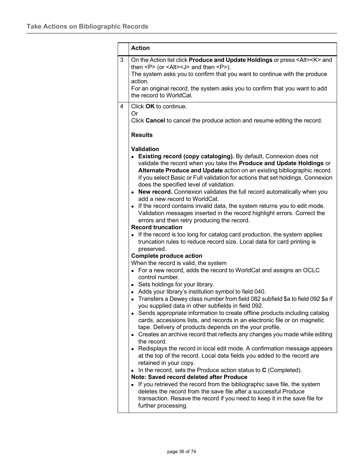|   | <b>Action</b>                                                                                                                                                                                                                                                                                                                                                                                                                                                                                                                                                                                                                                                                                                                                                                                                                                                                                                                                                                                                                                                                                                                                                                                                                                                                                                                                                                                                                                                                                                                                                                                                                                                                                                                                                                                                                                                                                                                                                                                                                                                                                            |
|---|----------------------------------------------------------------------------------------------------------------------------------------------------------------------------------------------------------------------------------------------------------------------------------------------------------------------------------------------------------------------------------------------------------------------------------------------------------------------------------------------------------------------------------------------------------------------------------------------------------------------------------------------------------------------------------------------------------------------------------------------------------------------------------------------------------------------------------------------------------------------------------------------------------------------------------------------------------------------------------------------------------------------------------------------------------------------------------------------------------------------------------------------------------------------------------------------------------------------------------------------------------------------------------------------------------------------------------------------------------------------------------------------------------------------------------------------------------------------------------------------------------------------------------------------------------------------------------------------------------------------------------------------------------------------------------------------------------------------------------------------------------------------------------------------------------------------------------------------------------------------------------------------------------------------------------------------------------------------------------------------------------------------------------------------------------------------------------------------------------|
| 3 | On the Action list click Produce and Update Holdings or press <alt><k> and<br/>then <math>&lt; P</math> (or <math>&lt; A</math>It<math>&gt; I</math> and then <math>&lt; P</math>).<br/>The system asks you to confirm that you want to continue with the produce<br/>action.<br/>For an original record, the system asks you to confirm that you want to add<br/>the record to WorldCat.</k></alt>                                                                                                                                                                                                                                                                                                                                                                                                                                                                                                                                                                                                                                                                                                                                                                                                                                                                                                                                                                                                                                                                                                                                                                                                                                                                                                                                                                                                                                                                                                                                                                                                                                                                                                      |
| 4 | Click OK to continue.<br>Or<br>Click Cancel to cancel the produce action and resume editing the record.<br><b>Results</b>                                                                                                                                                                                                                                                                                                                                                                                                                                                                                                                                                                                                                                                                                                                                                                                                                                                                                                                                                                                                                                                                                                                                                                                                                                                                                                                                                                                                                                                                                                                                                                                                                                                                                                                                                                                                                                                                                                                                                                                |
|   | <b>Validation</b><br>Existing record (copy cataloging). By default, Connexion does not<br>validate the record when you take the Produce and Update Holdings or<br>Alternate Produce and Update action on an existing bibliographic record.<br>If you select Basic or Full validation for actions that set holdings, Connexion<br>does the specified level of validation.<br>• New record. Connexion validates the full record automatically when you<br>add a new record to WorldCat.<br>• If the record contains invalid data, the system returns you to edit mode.<br>Validation messages inserted in the record highlight errors. Correct the<br>errors and then retry producing the record.<br><b>Record truncation</b><br>• If the record is too long for catalog card production, the system applies<br>truncation rules to reduce record size. Local data for card printing is<br>preserved.<br><b>Complete produce action</b><br>When the record is valid, the system<br>• For a new record, adds the record to WorldCat and assigns an OCLC<br>control number.<br>• Sets holdings for your library.<br>• Adds your library's institution symbol to field 040.<br>• Transfers a Dewey class number from field 082 subfield \$a to field 092 \$a if<br>you supplied data in other subfields in field 092.<br>• Sends appropriate information to create offline products including catalog<br>cards, accessions lists, and records in an electronic file or on magnetic<br>tape. Delivery of products depends on the your profile.<br>• Creates an archive record that reflects any changes you made while editing<br>the record.<br>• Redisplays the record in local edit mode. A confirmation message appears<br>at the top of the record. Local data fields you added to the record are<br>retained in your copy.<br>In the record, sets the Produce action status to C (Completed).<br>$\bullet$<br>Note: Saved record deleted after Produce<br>• If you retrieved the record from the bibliographic save file, the system<br>deletes the record from the save file after a successful Produce |
|   | transaction. Resave the record if you need to keep it in the save file for<br>further processing.                                                                                                                                                                                                                                                                                                                                                                                                                                                                                                                                                                                                                                                                                                                                                                                                                                                                                                                                                                                                                                                                                                                                                                                                                                                                                                                                                                                                                                                                                                                                                                                                                                                                                                                                                                                                                                                                                                                                                                                                        |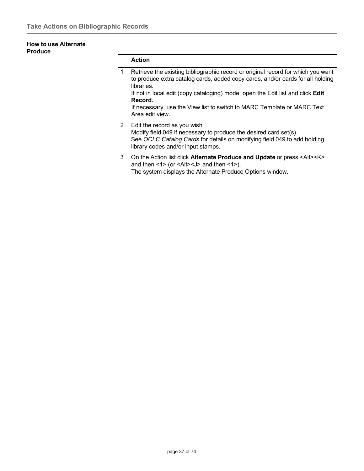## **How to use Alternate Produce**

|   | <b>Action</b>                                                                                                                                                                                                                                                                                                                                                   |
|---|-----------------------------------------------------------------------------------------------------------------------------------------------------------------------------------------------------------------------------------------------------------------------------------------------------------------------------------------------------------------|
| 1 | Retrieve the existing bibliographic record or original record for which you want<br>to produce extra catalog cards, added copy cards, and/or cards for all holding<br>libraries.<br>If not in local edit (copy cataloging) mode, open the Edit list and click <b>Edit</b><br>Record.<br>If necessary, use the View list to switch to MARC Template or MARC Text |
|   | Area edit view.                                                                                                                                                                                                                                                                                                                                                 |
| 2 | Edit the record as you wish.<br>Modify field 049 if necessary to produce the desired card set(s).<br>See OCLC Catalog Cards for details on modifying field 049 to add holding<br>library codes and/or input stamps.                                                                                                                                             |
| 3 | On the Action list click Alternate Produce and Update or press <alt><k><br/>and then <math>\leq</math> 1&gt; (or <math>\leq</math>Alt&gt;<math>\leq</math>J&gt; and then <math>\leq</math>1&gt;).<br/>The system displays the Alternate Produce Options window.</k></alt>                                                                                       |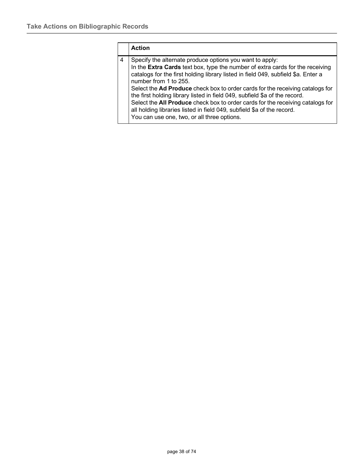|   | <b>Action</b>                                                                                                                                                                                                                                                                                                                                                                                                                                                                                                                                                                                                                     |
|---|-----------------------------------------------------------------------------------------------------------------------------------------------------------------------------------------------------------------------------------------------------------------------------------------------------------------------------------------------------------------------------------------------------------------------------------------------------------------------------------------------------------------------------------------------------------------------------------------------------------------------------------|
| 4 | Specify the alternate produce options you want to apply:<br>In the Extra Cards text box, type the number of extra cards for the receiving<br>catalogs for the first holding library listed in field 049, subfield \$a. Enter a<br>number from 1 to 255.<br>Select the Ad Produce check box to order cards for the receiving catalogs for<br>the first holding library listed in field 049, subfield \$a of the record.<br>Select the All Produce check box to order cards for the receiving catalogs for<br>all holding libraries listed in field 049, subfield \$a of the record.<br>You can use one, two, or all three options. |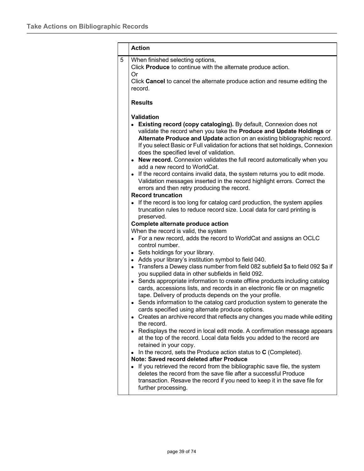|   | <b>Action</b>                                                                                                                                                                                                                                                                                                                                       |  |  |
|---|-----------------------------------------------------------------------------------------------------------------------------------------------------------------------------------------------------------------------------------------------------------------------------------------------------------------------------------------------------|--|--|
| 5 | When finished selecting options,<br>Click Produce to continue with the alternate produce action.<br>Or                                                                                                                                                                                                                                              |  |  |
|   | Click Cancel to cancel the alternate produce action and resume editing the<br>record.                                                                                                                                                                                                                                                               |  |  |
|   | <b>Results</b>                                                                                                                                                                                                                                                                                                                                      |  |  |
|   | <b>Validation</b>                                                                                                                                                                                                                                                                                                                                   |  |  |
|   | Existing record (copy cataloging). By default, Connexion does not<br>validate the record when you take the Produce and Update Holdings or<br>Alternate Produce and Update action on an existing bibliographic record.<br>If you select Basic or Full validation for actions that set holdings, Connexion<br>does the specified level of validation. |  |  |
|   | • New record. Connexion validates the full record automatically when you                                                                                                                                                                                                                                                                            |  |  |
|   | add a new record to WorldCat.<br>If the record contains invalid data, the system returns you to edit mode.<br>Validation messages inserted in the record highlight errors. Correct the<br>errors and then retry producing the record.                                                                                                               |  |  |
|   | <b>Record truncation</b>                                                                                                                                                                                                                                                                                                                            |  |  |
|   | If the record is too long for catalog card production, the system applies<br>truncation rules to reduce record size. Local data for card printing is<br>preserved.                                                                                                                                                                                  |  |  |
|   | Complete alternate produce action                                                                                                                                                                                                                                                                                                                   |  |  |
|   | When the record is valid, the system                                                                                                                                                                                                                                                                                                                |  |  |
|   | • For a new record, adds the record to WorldCat and assigns an OCLC<br>control number.                                                                                                                                                                                                                                                              |  |  |
|   | • Sets holdings for your library.                                                                                                                                                                                                                                                                                                                   |  |  |
|   | Adds your library's institution symbol to field 040.                                                                                                                                                                                                                                                                                                |  |  |
|   | Transfers a Dewey class number from field 082 subfield \$a to field 092 \$a if<br>you supplied data in other subfields in field 092.                                                                                                                                                                                                                |  |  |
|   | Sends appropriate information to create offline products including catalog<br>cards, accessions lists, and records in an electronic file or on magnetic<br>tape. Delivery of products depends on the your profile.                                                                                                                                  |  |  |
|   | Sends information to the catalog card production system to generate the<br>cards specified using alternate produce options.                                                                                                                                                                                                                         |  |  |
|   | Creates an archive record that reflects any changes you made while editing<br>the record.                                                                                                                                                                                                                                                           |  |  |
|   | • Redisplays the record in local edit mode. A confirmation message appears<br>at the top of the record. Local data fields you added to the record are<br>retained in your copy.                                                                                                                                                                     |  |  |
|   | In the record, sets the Produce action status to $C$ (Completed).                                                                                                                                                                                                                                                                                   |  |  |
|   | Note: Saved record deleted after Produce                                                                                                                                                                                                                                                                                                            |  |  |
|   | • If you retrieved the record from the bibliographic save file, the system<br>deletes the record from the save file after a successful Produce<br>transaction. Resave the record if you need to keep it in the save file for<br>further processing.                                                                                                 |  |  |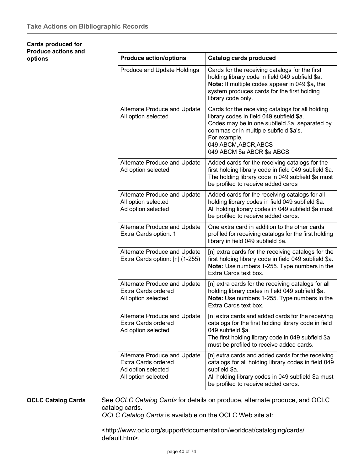### **Cards produced for Produce actions and options**

| Cards for the receiving catalogs for the first<br>holding library code in field 049 subfield \$a.<br>Note: If multiple codes appear in 049 \$a, the<br>system produces cards for the first holding<br>library code only.<br>Cards for the receiving catalogs for all holding<br>library codes in field 049 subfield \$a. |
|--------------------------------------------------------------------------------------------------------------------------------------------------------------------------------------------------------------------------------------------------------------------------------------------------------------------------|
|                                                                                                                                                                                                                                                                                                                          |
| Codes may be in one subfield \$a, separated by<br>commas or in multiple subfield \$a's.<br>For example,<br>049 ABCM, ABCR, ABCS<br>049 ABCM \$a ABCR \$a ABCS                                                                                                                                                            |
| Added cards for the receiving catalogs for the<br>first holding library code in field 049 subfield \$a.<br>The holding library code in 049 subfield \$a must<br>be profiled to receive added cards                                                                                                                       |
| Added cards for the receiving catalogs for all<br>holding library codes in field 049 subfield \$a.<br>All holding library codes in 049 subfield \$a must<br>be profiled to receive added cards.                                                                                                                          |
| One extra card in addition to the other cards<br>profiled for receiving catalogs for the first holding<br>library in field 049 subfield \$a.                                                                                                                                                                             |
| [n] extra cards for the receiving catalogs for the<br>first holding library code in field 049 subfield \$a.<br>Note: Use numbers 1-255. Type numbers in the<br>Extra Cards text box.                                                                                                                                     |
| [n] extra cards for the receiving catalogs for all<br>holding library codes in field 049 subfield \$a.<br>Note: Use numbers 1-255. Type numbers in the<br>Extra Cards text box.                                                                                                                                          |
| [n] extra cards and added cards for the receiving<br>catalogs for the first holding library code in field<br>049 subfield \$a.<br>The first holding library code in 049 subfield \$a<br>must be profiled to receive added cards.                                                                                         |
| [n] extra cards and added cards for the receiving<br>catalogs for all holding library codes in field 049<br>subfield \$a.<br>All holding library codes in 049 subfield \$a must<br>be profiled to receive added cards.                                                                                                   |
|                                                                                                                                                                                                                                                                                                                          |

**OCLC Catalog Cards** See *OCLC Catalog Cards* for details on produce, alternate produce, and OCLC catalog cards.

*OCLC Catalog Cards* is available on the OCLC Web site at:

[<http://www.oclc.org/support/documentation/worldcat/cataloging/cards/](http://www.oclc.org/support/documentation/worldcat/cataloging/cards/) default.htm>.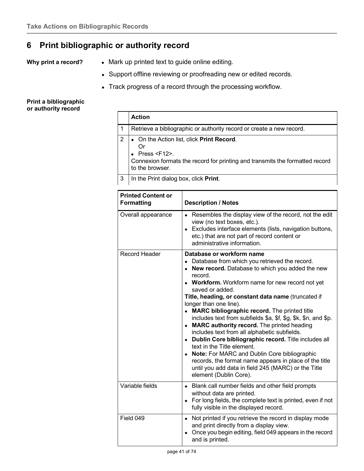# **6 Print bibliographic or authority record**

- **Why print a record?** . Mark up printed text to guide online editing.
	- Support offline reviewing or proofreading new or edited records.
	- Track progress of a record through the processing workflow.

## **Print a bibliographic or authority record**

|   | <b>Action</b>                                                                                                                                                                        |
|---|--------------------------------------------------------------------------------------------------------------------------------------------------------------------------------------|
|   | Retrieve a bibliographic or authority record or create a new record.                                                                                                                 |
| 2 | • On the Action list, click Print Record.<br>Or<br>$\bullet$ Press <f12>.<br/>Connexion formats the record for printing and transmits the formatted record<br/>to the browser.</f12> |
| 3 | In the Print dialog box, click Print.                                                                                                                                                |

| <b>Printed Content or</b><br><b>Formatting</b> | <b>Description / Notes</b>                                                                                                                                                                                                                                                                                                                                                                                                                                                                                                                                                                                                                                                                                                                                                                                    |
|------------------------------------------------|---------------------------------------------------------------------------------------------------------------------------------------------------------------------------------------------------------------------------------------------------------------------------------------------------------------------------------------------------------------------------------------------------------------------------------------------------------------------------------------------------------------------------------------------------------------------------------------------------------------------------------------------------------------------------------------------------------------------------------------------------------------------------------------------------------------|
| Overall appearance                             | Resembles the display view of the record, not the edit<br>view (no text boxes, etc.).<br>• Excludes interface elements (lists, navigation buttons,<br>etc.) that are not part of record content or<br>administrative information.                                                                                                                                                                                                                                                                                                                                                                                                                                                                                                                                                                             |
| <b>Record Header</b>                           | Database or workform name<br>• Database from which you retrieved the record.<br>• New record. Database to which you added the new<br>record.<br>• Workform. Workform name for new record not yet<br>saved or added.<br>Title, heading, or constant data name (truncated if<br>longer than one line).<br>• MARC bibliographic record. The printed title<br>includes text from subfields \$a, \$f, \$g, \$k, \$n, and \$p.<br>• MARC authority record. The printed heading<br>includes text from all alphabetic subfields.<br>• Dublin Core bibliographic record. Title includes all<br>text in the Title element.<br>• Note: For MARC and Dublin Core bibliographic<br>records, the format name appears in place of the title<br>until you add data in field 245 (MARC) or the Title<br>element (Dublin Core). |
| Variable fields                                | • Blank call number fields and other field prompts<br>without data are printed.<br>• For long fields, the complete text is printed, even if not<br>fully visible in the displayed record.                                                                                                                                                                                                                                                                                                                                                                                                                                                                                                                                                                                                                     |
| Field 049                                      | Not printed if you retrieve the record in display mode<br>$\bullet$<br>and print directly from a display view.<br>Once you begin editing, field 049 appears in the record<br>$\bullet$<br>and is printed.                                                                                                                                                                                                                                                                                                                                                                                                                                                                                                                                                                                                     |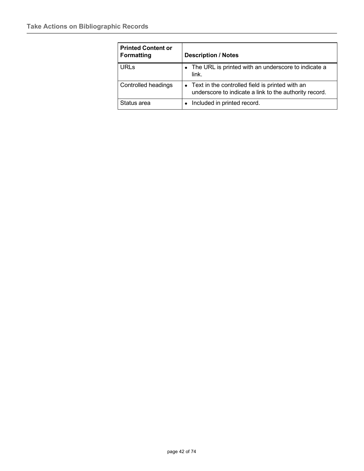| <b>Printed Content or</b><br><b>Formatting</b> | <b>Description / Notes</b>                                                                                  |
|------------------------------------------------|-------------------------------------------------------------------------------------------------------------|
| <b>URLs</b>                                    | • The URL is printed with an underscore to indicate a<br>link.                                              |
| <b>Controlled headings</b>                     | • Text in the controlled field is printed with an<br>underscore to indicate a link to the authority record. |
| Status area                                    | Included in printed record.                                                                                 |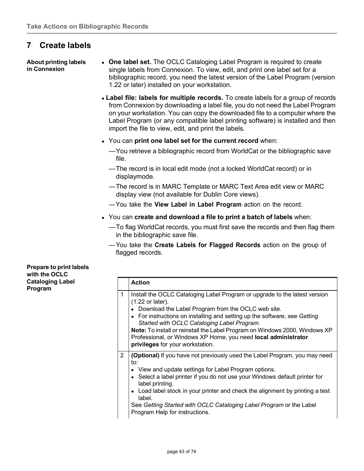# **7 Create labels**

**About printing labels in Connexion**

- **One label set.** The OCLC Cataloging Label Program is required to create single labels from Connexion. To view, edit, and print one label set for a bibliographic record, you need the latest version of the Label Program (version 1.22 or later) installed on your workstation.
- **Label file: labels for multiple records.** To create labels for a group of records from Connexion by downloading a label file, you do not need the Label Program on your workstation. You can copy the downloaded file to a computer where the Label Program (or any compatible label printing software) is installed and then import the file to view, edit, and print the labels.
- You can **print one label set for the current record** when:
	- —You retrieve a bibliographic record from WorldCat or the bibliographic save file.
	- —The record is in local edit mode (not a locked WorldCat record) or in displaymode.
	- —The record is in MARC Template or MARC Text Area edit view or MARC display view (not available for Dublin Core views).
	- —You take the **View Label in Label Program** action on the record.
- You can **create and download a file to print a batch of labels** when:
	- —To flag WorldCat records, you must first save the records and then flag them in the bibliographic save file.
	- —You take the **Create Labels for Flagged Records** action on the group of flagged records.

**Prepare to print labels with the OCLC Cataloging Label Program**

|                | <b>Action</b>                                                                                                                                                                                                                                                                                                                                                                                                                                                         |
|----------------|-----------------------------------------------------------------------------------------------------------------------------------------------------------------------------------------------------------------------------------------------------------------------------------------------------------------------------------------------------------------------------------------------------------------------------------------------------------------------|
| 1              | Install the OCLC Cataloging Label Program or upgrade to the latest version<br>(1.22 or later).<br>Download the Label Program from the OCLC web site.<br>• For instructions on installing and setting up the software, see Getting<br>Started with OCLC Cataloging Label Program.<br>Note: To install or reinstall the Label Program on Windows 2000, Windows XP<br>Professional, or Windows XP Home, you need local administrator<br>privileges for your workstation. |
| $\overline{2}$ | <b>(Optional)</b> If you have not previously used the Label Program, you may need<br>to:<br>• View and update settings for Label Program options.<br>• Select a label printer if you do not use your Windows default printer for<br>label printing.<br>• Load label stock in your printer and check the alignment by printing a test<br>label.<br>See Getting Started with OCLC Cataloging Label Program or the Label<br>Program Help for instructions.               |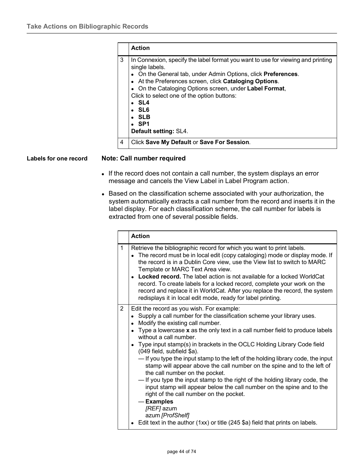|   | <b>Action</b>                                                                                                                                                                                                                                                                                                                                                                                                                   |
|---|---------------------------------------------------------------------------------------------------------------------------------------------------------------------------------------------------------------------------------------------------------------------------------------------------------------------------------------------------------------------------------------------------------------------------------|
| 3 | In Connexion, specify the label format you want to use for viewing and printing<br>single labels.<br>• On the General tab, under Admin Options, click <b>Preferences</b> .<br>• At the Preferences screen, click Cataloging Options.<br>• On the Cataloging Options screen, under Label Format,<br>Click to select one of the option buttons:<br>$\cdot$ SL4<br>• SL6<br>• SLB<br>$\bullet$ SP1<br><b>Default setting: SL4.</b> |
| 4 | Click Save My Default or Save For Session.                                                                                                                                                                                                                                                                                                                                                                                      |

## **Labels for one record Note: Call number required**

- If the record does not contain a call number, the system displays an error message and cancels the View Label in Label Program action.
- Based on the classification scheme associated with your authorization, the system automatically extracts a call number from the record and inserts it in the label display. For each classification scheme, the call number for labels is extracted from one of several possible fields.

|                | <b>Action</b>                                                                                                                                                                                                                                                                                                                                                                                                                                                                                                                                                                                                                                                                                                                                                                                                                                                                                                                |
|----------------|------------------------------------------------------------------------------------------------------------------------------------------------------------------------------------------------------------------------------------------------------------------------------------------------------------------------------------------------------------------------------------------------------------------------------------------------------------------------------------------------------------------------------------------------------------------------------------------------------------------------------------------------------------------------------------------------------------------------------------------------------------------------------------------------------------------------------------------------------------------------------------------------------------------------------|
| 1              | Retrieve the bibliographic record for which you want to print labels.<br>The record must be in local edit (copy cataloging) mode or display mode. If<br>the record is in a Dublin Core view, use the View list to switch to MARC<br>Template or MARC Text Area view.<br>• Locked record. The label action is not available for a locked WorldCat<br>record. To create labels for a locked record, complete your work on the<br>record and replace it in WorldCat. After you replace the record, the system<br>redisplays it in local edit mode, ready for label printing.                                                                                                                                                                                                                                                                                                                                                    |
| $\overline{2}$ | Edit the record as you wish. For example:<br>Supply a call number for the classification scheme your library uses.<br>Modify the existing call number.<br>Type a lowercase $x$ as the only text in a call number field to produce labels<br>without a call number.<br>Type input stamp(s) in brackets in the OCLC Holding Library Code field<br>(049 field, subfield \$a).<br>- If you type the input stamp to the left of the holding library code, the input<br>stamp will appear above the call number on the spine and to the left of<br>the call number on the pocket.<br>- If you type the input stamp to the right of the holding library code, the<br>input stamp will appear below the call number on the spine and to the<br>right of the call number on the pocket.<br>- Examples<br>[REF] azum<br>azum [ProfShelf]<br>Edit text in the author $(1xx)$ or title $(245 \, \text{Sa})$ field that prints on labels. |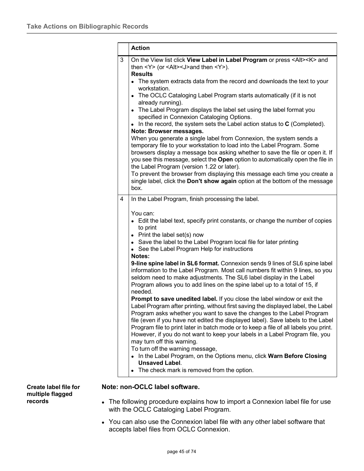|   | <b>Action</b>                                                                                                                                                                                                                                                                                                                                                    |
|---|------------------------------------------------------------------------------------------------------------------------------------------------------------------------------------------------------------------------------------------------------------------------------------------------------------------------------------------------------------------|
| 3 | On the View list click View Label in Label Program or press <alt><k> and<br/>then <math>&lt;\mathsf{Y}\geq</math> (or <math>&lt;\mathsf{Alt}\geq\mathsf{U}\geq\mathsf{and}</math> then <math>&lt;\mathsf{Y}\geq\mathsf{).}</math><br/><b>Results</b></k></alt>                                                                                                   |
|   | • The system extracts data from the record and downloads the text to your<br>workstation.                                                                                                                                                                                                                                                                        |
|   | • The OCLC Cataloging Label Program starts automatically (if it is not<br>already running).                                                                                                                                                                                                                                                                      |
|   | • The Label Program displays the label set using the label format you<br>specified in Connexion Cataloging Options.                                                                                                                                                                                                                                              |
|   | $\bullet$ In the record, the system sets the Label action status to C (Completed).<br>Note: Browser messages.                                                                                                                                                                                                                                                    |
|   | When you generate a single label from Connexion, the system sends a<br>temporary file to your workstation to load into the Label Program. Some<br>browsers display a message box asking whether to save the file or open it. If<br>you see this message, select the Open option to automatically open the file in<br>the Label Program (version 1.22 or later).  |
|   | To prevent the browser from displaying this message each time you create a<br>single label, click the Don't show again option at the bottom of the message<br>box.                                                                                                                                                                                               |
| 4 | In the Label Program, finish processing the label.                                                                                                                                                                                                                                                                                                               |
|   | You can:<br>• Edit the label text, specify print constants, or change the number of copies<br>to print<br>• Print the label set(s) now                                                                                                                                                                                                                           |
|   | • Save the label to the Label Program local file for later printing<br>• See the Label Program Help for instructions<br>Notes:                                                                                                                                                                                                                                   |
|   | 9-line spine label in SL6 format. Connexion sends 9 lines of SL6 spine label<br>information to the Label Program. Most call numbers fit within 9 lines, so you<br>seldom need to make adjustments. The SL6 label display in the Label<br>Program allows you to add lines on the spine label up to a total of 15, if<br>needed.                                   |
|   | Prompt to save unedited label. If you close the label window or exit the<br>Label Program after printing, without first saving the displayed label, the Label                                                                                                                                                                                                    |
|   | Program asks whether you want to save the changes to the Label Program<br>file (even if you have not edited the displayed label). Save labels to the Label<br>Program file to print later in batch mode or to keep a file of all labels you print.<br>However, if you do not want to keep your labels in a Label Program file, you<br>may turn off this warning. |
|   | To turn off the warning message,<br>• In the Label Program, on the Options menu, click Warn Before Closing<br><b>Unsaved Label.</b>                                                                                                                                                                                                                              |
|   |                                                                                                                                                                                                                                                                                                                                                                  |

**Create label file for multiple flagged records**

## **Note: non-OCLC label software.**

- The following procedure explains how to import a Connexion label file for use with the OCLC Cataloging Label Program.
- You can also use the Connexion label file with any other label software that accepts label files from OCLC Connexion.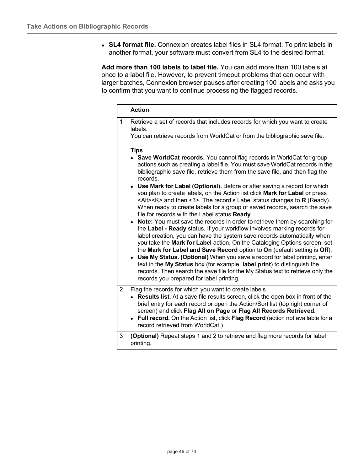**SL4 format file.** Connexion creates label files in SL4 format. To print labels in another format, your software must convert from SL4 to the desired format.

**Add more than 100 labels to label file.** You can add more than 100 labels at once to a label file. However, to prevent timeout problems that can occur with larger batches, Connexion browser pauses after creating 100 labels and asks you to confirm that you want to continue processing the flagged records.

|                | <b>Action</b>                                                                                                                                                                                                                                                                                                                                                                                                                                                                                                                                                                                                                                                                                                                                                                                                                                                                                                                                                                                                                                                                                                                                                                                                                                                                                                                                                                 |
|----------------|-------------------------------------------------------------------------------------------------------------------------------------------------------------------------------------------------------------------------------------------------------------------------------------------------------------------------------------------------------------------------------------------------------------------------------------------------------------------------------------------------------------------------------------------------------------------------------------------------------------------------------------------------------------------------------------------------------------------------------------------------------------------------------------------------------------------------------------------------------------------------------------------------------------------------------------------------------------------------------------------------------------------------------------------------------------------------------------------------------------------------------------------------------------------------------------------------------------------------------------------------------------------------------------------------------------------------------------------------------------------------------|
| 1              | Retrieve a set of records that includes records for which you want to create<br>labels.<br>You can retrieve records from WorldCat or from the bibliographic save file.                                                                                                                                                                                                                                                                                                                                                                                                                                                                                                                                                                                                                                                                                                                                                                                                                                                                                                                                                                                                                                                                                                                                                                                                        |
|                | <b>Tips</b><br>• Save WorldCat records. You cannot flag records in WorldCat for group<br>actions such as creating a label file. You must save WorldCat records in the<br>bibliographic save file, retrieve them from the save file, and then flag the<br>records.<br>Use Mark for Label (Optional). Before or after saving a record for which<br>you plan to create labels, on the Action list click Mark for Label or press<br><alt><k> and then &lt;3&gt;. The record's Label status changes to <math>\mathsf R</math> (Ready).<br/>When ready to create labels for a group of saved records, search the save<br/>file for records with the Label status Ready.<br/>• Note: You must save the records in order to retrieve them by searching for<br/>the Label - Ready status. If your workflow involves marking records for<br/>label creation, you can have the system save records automatically when<br/>you take the Mark for Label action. On the Cataloging Options screen, set<br/>the Mark for Label and Save Record option to On (default setting is Off).<br/>• Use My Status. (Optional) When you save a record for label printing, enter<br/>text in the My Status box (for example, label print) to distinguish the<br/>records. Then search the save file for the My Status text to retrieve only the<br/>records you prepared for label printing.</k></alt> |
| $\overline{2}$ | Flag the records for which you want to create labels.<br><b>Results list.</b> At a save file results screen, click the open box in front of the<br>brief entry for each record or open the Action/Sort list (top right corner of<br>screen) and click Flag All on Page or Flag All Records Retrieved.<br>• Full record. On the Action list, click Flag Record (action not available for a<br>record retrieved from WorldCat.)                                                                                                                                                                                                                                                                                                                                                                                                                                                                                                                                                                                                                                                                                                                                                                                                                                                                                                                                                 |
| 3              | (Optional) Repeat steps 1 and 2 to retrieve and flag more records for label<br>printing.                                                                                                                                                                                                                                                                                                                                                                                                                                                                                                                                                                                                                                                                                                                                                                                                                                                                                                                                                                                                                                                                                                                                                                                                                                                                                      |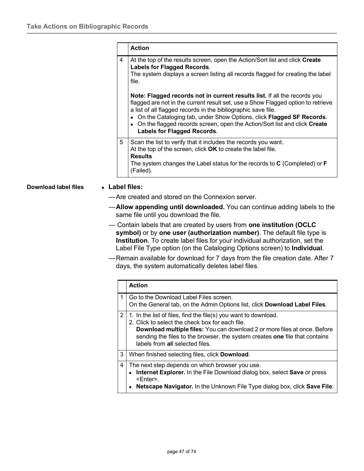|   | <b>Action</b>                                                                                                                                                                                                                                                                                                                                                                                                          |
|---|------------------------------------------------------------------------------------------------------------------------------------------------------------------------------------------------------------------------------------------------------------------------------------------------------------------------------------------------------------------------------------------------------------------------|
| 4 | At the top of the results screen, open the Action/Sort list and click Create<br><b>Labels for Flagged Records.</b><br>The system displays a screen listing all records flagged for creating the label<br>file.                                                                                                                                                                                                         |
|   | Note: Flagged records not in current results list. If all the records you<br>flagged are not in the current result set, use a Show Flagged option to retrieve<br>a list of all flagged records in the bibliographic save file.<br>• On the Cataloging tab, under Show Options, click Flagged SF Records.<br>• On the flagged records screen, open the Action/Sort list and click Create<br>Labels for Flagged Records. |
| 5 | Scan the list to verify that it includes the records you want.<br>At the top of the screen, click OK to create the label file.<br><b>Results</b><br>The system changes the Label status for the records to $C$ (Completed) or $F$<br>(Failed).                                                                                                                                                                         |

## **Download label files Label files:**

- —Are created and stored on the Connexion server.
- —**Allow appending until downloaded.** You can continue adding labels to the same file until you download the file.
- Contain labels that are created by users from **one institution (OCLC symbol)** or by **one user (authorization number)**. The default file type is **Institution**. To create label files for your individual authorization, set the Label File Type option (on the Cataloging Options screen) to **Individual**.
- —Remain available for download for 7 days from the file creation date. After 7 days, the system automatically deletes label files.

|                | <b>Action</b>                                                                                                                                                                                                                                                                                                            |
|----------------|--------------------------------------------------------------------------------------------------------------------------------------------------------------------------------------------------------------------------------------------------------------------------------------------------------------------------|
| 1              | Go to the Download Label Files screen.<br>On the General tab, on the Admin Options list, click <b>Download Label Files</b> .                                                                                                                                                                                             |
| $\overline{2}$ | 1. In the list of files, find the file(s) you want to download.<br>2. Click to select the check box for each file.<br><b>Download multiple files:</b> You can download 2 or more files at once. Before<br>sending the files to the browser, the system creates one file that contains<br>labels from all selected files. |
| 3              | When finished selecting files, click Download.                                                                                                                                                                                                                                                                           |
| 4              | The next step depends on which browser you use.<br>• Internet Explorer. In the File Download dialog box, select Save or press<br><enter>.<br/>Netscape Navigator. In the Unknown File Type dialog box, click Save File.</enter>                                                                                          |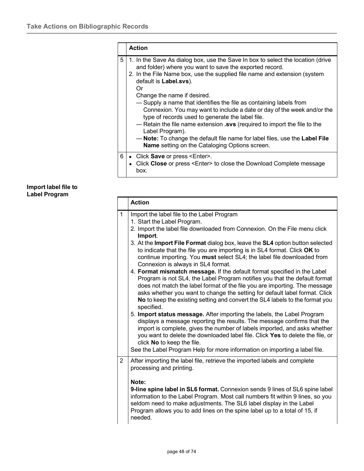|   | <b>Action</b>                                                                                                                                                                                                                                                                                                                                                                                                                                                                                                                                                                                                                                                                                                                       |
|---|-------------------------------------------------------------------------------------------------------------------------------------------------------------------------------------------------------------------------------------------------------------------------------------------------------------------------------------------------------------------------------------------------------------------------------------------------------------------------------------------------------------------------------------------------------------------------------------------------------------------------------------------------------------------------------------------------------------------------------------|
| 5 | 1. In the Save As dialog box, use the Save In box to select the location (drive<br>and folder) where you want to save the exported record.<br>2. In the File Name box, use the supplied file name and extension (system<br>default is Label.svs).<br>0r<br>Change the name if desired.<br>- Supply a name that identifies the file as containing labels from<br>Connexion. You may want to include a date or day of the week and/or the<br>type of records used to generate the label file.<br>- Retain the file name extension .svs (required to import the file to the<br>Label Program).<br>— Note: To change the default file name for label files, use the Label File<br><b>Name</b> setting on the Cataloging Options screen. |
| 6 | • Click Save or press <enter>.<br/>Click Close or press <enter> to close the Download Complete message<br/>box.</enter></enter>                                                                                                                                                                                                                                                                                                                                                                                                                                                                                                                                                                                                     |

## **Import label file to Label Program**

|                | <b>Action</b>                                                                                                                                                                                                                                                                                                                                                                                                                                                                                                                                                                                                                                                                            |  |  |  |
|----------------|------------------------------------------------------------------------------------------------------------------------------------------------------------------------------------------------------------------------------------------------------------------------------------------------------------------------------------------------------------------------------------------------------------------------------------------------------------------------------------------------------------------------------------------------------------------------------------------------------------------------------------------------------------------------------------------|--|--|--|
| $\mathbf{1}$   | Import the label file to the Label Program<br>1. Start the Label Program.<br>2. Import the label file downloaded from Connexion. On the File menu click<br>Import.<br>3. At the Import File Format dialog box, leave the SL4 option button selected<br>to indicate that the file you are importing is in SL4 format. Click OK to<br>continue importing. You must select SL4; the label file downloaded from<br>Connexion is always in SL4 format.<br>4. Format mismatch message. If the default format specified in the Label<br>Program is not SL4, the Label Program notifies you that the default format                                                                              |  |  |  |
|                | does not match the label format of the file you are importing. The message<br>asks whether you want to change the setting for default label format. Click<br>No to keep the existing setting and convert the SL4 labels to the format you<br>specified.<br>5. Import status message. After importing the labels, the Label Program<br>displays a message reporting the results. The message confirms that the<br>import is complete, gives the number of labels imported, and asks whether<br>you want to delete the downloaded label file. Click Yes to delete the file, or<br>click No to keep the file.<br>See the Label Program Help for more information on importing a label file. |  |  |  |
| $\overline{2}$ | After importing the label file, retrieve the imported labels and complete<br>processing and printing.<br>Note:<br>9-line spine label in SL6 format. Connexion sends 9 lines of SL6 spine label<br>information to the Label Program. Most call numbers fit within 9 lines, so you<br>seldom need to make adjustments. The SL6 label display in the Label<br>Program allows you to add lines on the spine label up to a total of 15, if<br>needed.                                                                                                                                                                                                                                         |  |  |  |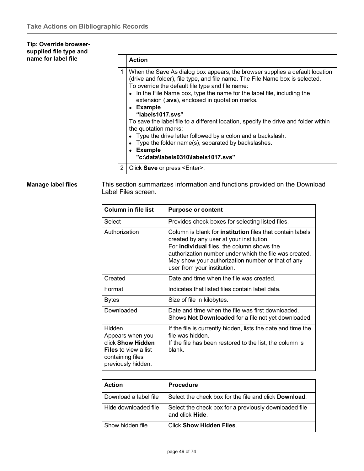## **Tip: Override browsersupplied file type and name for label file**

| pe anu |   |                                                                                                                                                                                                                                                                                                                                                                                                                                                                                                                                                                                                                                                                           |
|--------|---|---------------------------------------------------------------------------------------------------------------------------------------------------------------------------------------------------------------------------------------------------------------------------------------------------------------------------------------------------------------------------------------------------------------------------------------------------------------------------------------------------------------------------------------------------------------------------------------------------------------------------------------------------------------------------|
| file   |   | <b>Action</b>                                                                                                                                                                                                                                                                                                                                                                                                                                                                                                                                                                                                                                                             |
|        |   | When the Save As dialog box appears, the browser supplies a default location<br>(drive and folder), file type, and file name. The File Name box is selected.<br>To override the default file type and file name:<br>• In the File Name box, type the name for the label file, including the<br>extension (.svs), enclosed in quotation marks.<br>• Example<br>"labels1017.svs"<br>To save the label file to a different location, specify the drive and folder within<br>the quotation marks:<br>• Type the drive letter followed by a colon and a backslash.<br>• Type the folder name(s), separated by backslashes.<br>• Example<br>"c:\data\labels0310\labels1017.svs" |
|        | 2 | Click Save or press <enter>.</enter>                                                                                                                                                                                                                                                                                                                                                                                                                                                                                                                                                                                                                                      |

**Manage label files** This section summarizes information and functions provided on the Download Label Files screen.

| <b>Column in file list</b>                                                                                               | <b>Purpose or content</b>                                                                                                                                                                                                                                                                                       |  |  |
|--------------------------------------------------------------------------------------------------------------------------|-----------------------------------------------------------------------------------------------------------------------------------------------------------------------------------------------------------------------------------------------------------------------------------------------------------------|--|--|
| Select                                                                                                                   | Provides check boxes for selecting listed files.                                                                                                                                                                                                                                                                |  |  |
| Authorization                                                                                                            | Column is blank for <b>institution</b> files that contain labels<br>created by any user at your institution.<br>For <b>individual</b> files, the column shows the<br>authorization number under which the file was created.<br>May show your authorization number or that of any<br>user from your institution. |  |  |
| Created                                                                                                                  | Date and time when the file was created.                                                                                                                                                                                                                                                                        |  |  |
| Format                                                                                                                   | Indicates that listed files contain label data.                                                                                                                                                                                                                                                                 |  |  |
| Bytes                                                                                                                    | Size of file in kilobytes.                                                                                                                                                                                                                                                                                      |  |  |
| Downloaded                                                                                                               | Date and time when the file was first downloaded.<br>Shows Not Downloaded for a file not yet downloaded.                                                                                                                                                                                                        |  |  |
| Hidden<br>Appears when you<br>click Show Hidden<br><b>Files</b> to view a list<br>containing files<br>previously hidden. | If the file is currently hidden, lists the date and time the<br>file was hidden.<br>If the file has been restored to the list, the column is<br>blank.                                                                                                                                                          |  |  |

| <b>Action</b>         | <b>Procedure</b>                                                         |  |
|-----------------------|--------------------------------------------------------------------------|--|
| Download a label file | Select the check box for the file and click <b>Download</b> .            |  |
| Hide downloaded file  | Select the check box for a previously downloaded file<br>and click Hide. |  |
| Show hidden file      | <b>Click Show Hidden Files.</b>                                          |  |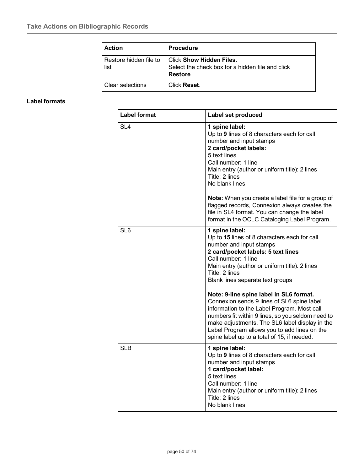| <b>Action</b>                  | <b>Procedure</b>                                                                                |
|--------------------------------|-------------------------------------------------------------------------------------------------|
| Restore hidden file to<br>list | <b>Click Show Hidden Files.</b><br>Select the check box for a hidden file and click<br>Restore. |
| Clear selections               | Click Reset.                                                                                    |

## **Label formats**

| <b>Label format</b> | Label set produced                                                                                                                                                                                                                                                                                                                         |  |
|---------------------|--------------------------------------------------------------------------------------------------------------------------------------------------------------------------------------------------------------------------------------------------------------------------------------------------------------------------------------------|--|
| SL <sub>4</sub>     | 1 spine label:<br>Up to 9 lines of 8 characters each for call<br>number and input stamps<br>2 card/pocket labels:<br>5 text lines<br>Call number: 1 line<br>Main entry (author or uniform title): 2 lines<br>Title: 2 lines<br>No blank lines                                                                                              |  |
|                     | Note: When you create a label file for a group of<br>flagged records, Connexion always creates the<br>file in SL4 format. You can change the label<br>format in the OCLC Cataloging Label Program.                                                                                                                                         |  |
| SL <sub>6</sub>     | 1 spine label:<br>Up to 15 lines of 8 characters each for call<br>number and input stamps<br>2 card/pocket labels: 5 text lines<br>Call number: 1 line<br>Main entry (author or uniform title): 2 lines<br>Title: 2 lines<br>Blank lines separate text groups                                                                              |  |
|                     | Note: 9-line spine label in SL6 format.<br>Connexion sends 9 lines of SL6 spine label<br>information to the Label Program. Most call<br>numbers fit within 9 lines, so you seldom need to<br>make adjustments. The SL6 label display in the<br>Label Program allows you to add lines on the<br>spine label up to a total of 15, if needed. |  |
| <b>SLB</b>          | 1 spine label:<br>Up to 9 lines of 8 characters each for call<br>number and input stamps<br>1 card/pocket label:<br>5 text lines<br>Call number: 1 line<br>Main entry (author or uniform title): 2 lines<br>Title: 2 lines<br>No blank lines                                                                                               |  |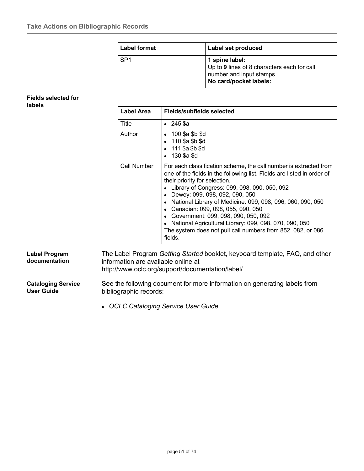| <b>Label format</b> | Label set produced                                                                                                 |  |
|---------------------|--------------------------------------------------------------------------------------------------------------------|--|
| SP <sub>1</sub>     | 1 spine label:<br>Up to 9 lines of 8 characters each for call<br>number and input stamps<br>No card/pocket labels: |  |

### **Fields selected for labels**

| <b>Label Area</b><br>Fields/subfields selected |                                                                                                                                                                                                                                                                                                                                                                                                                                                                                                                                                  |  |
|------------------------------------------------|--------------------------------------------------------------------------------------------------------------------------------------------------------------------------------------------------------------------------------------------------------------------------------------------------------------------------------------------------------------------------------------------------------------------------------------------------------------------------------------------------------------------------------------------------|--|
| Title                                          | $\bullet$ 245 \$a                                                                                                                                                                                                                                                                                                                                                                                                                                                                                                                                |  |
| Author                                         | $\bullet$ 100 \$a \$b \$d<br>$\bullet$ 110 \$a \$b \$d<br>$\bullet$ 111 \$a \$b \$d<br>130 \$a \$d                                                                                                                                                                                                                                                                                                                                                                                                                                               |  |
| Call Number                                    | For each classification scheme, the call number is extracted from<br>one of the fields in the following list. Fields are listed in order of<br>their priority for selection.<br>Library of Congress: 099, 098, 090, 050, 092<br>• Dewey: 099, 098, 092, 090, 050<br>National Library of Medicine: 099, 098, 096, 060, 090, 050<br>Canadian: 099, 098, 055, 090, 050<br>• Government: 099, 098, 090, 050, 092<br>National Agricultural Library: 099, 098, 070, 090, 050<br>The system does not pull call numbers from 852, 082, or 086<br>fields. |  |

<http://www.oclc.org/support/documentation/label/>

**Cataloging Service User Guide**

**Label Program documentation**

> See the following document for more information on generating labels from bibliographic records:

*OCLC Cataloging Service User Guide*.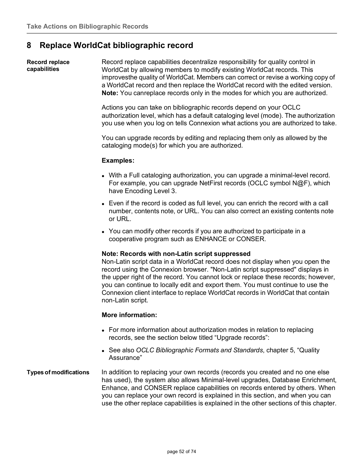# **8 Replace WorldCat bibliographic record**

**Record replace capabilities** Record replace capabilities decentralize responsibility for quality control in WorldCat by allowing members to modify existing WorldCat records. This improvesthe quality of WorldCat. Members can correct or revise a working copy of a WorldCat record and then replace the WorldCat record with the edited version. **Note:** You canreplace records only in the modes for which you are authorized.

> Actions you can take on bibliographic records depend on your OCLC authorization level, which has a default cataloging level (mode). The authorization you use when you log on tells Connexion what actions you are authorized to take.

You can upgrade records by editing and replacing them only as allowed by the cataloging mode(s) for which you are authorized.

## **Examples:**

- With a Full cataloging authorization, you can upgrade a minimal-level record. For example, you can upgrade NetFirst records (OCLC symbol N@F), which have Encoding Level 3.
- Even if the record is coded as full level, you can enrich the record with a call number, contents note, or URL. You can also correct an existing contents note or URL.
- You can modify other records if you are authorized to participate in a cooperative program such as ENHANCE or CONSER.

### **Note: Records with non-Latin script suppressed**

Non-Latin script data in a WorldCat record does not display when you open the record using the Connexion browser. "Non-Latin script suppressed" displays in the upper right of the record. You cannot lock or replace these records; however, you can continue to locally edit and export them. You must continue to use the Connexion client interface to replace WorldCat records in WorldCat that contain non-Latin script.

## **More information:**

- For more information about authorization modes in relation to replacing records, see the section below titled "Upgrade records":
- See also *OCLC Bibliographic Formats and Standards*, chapter 5, "Quality Assurance"
- **Types of modifications** In addition to replacing your own records (records you created and no one else has used), the system also allows Minimal-level upgrades, Database Enrichment, Enhance, and CONSER replace capabilities on records entered by others. When you can replace your own record is explained in this section, and when you can use the other replace capabilities is explained in the other sections of this chapter.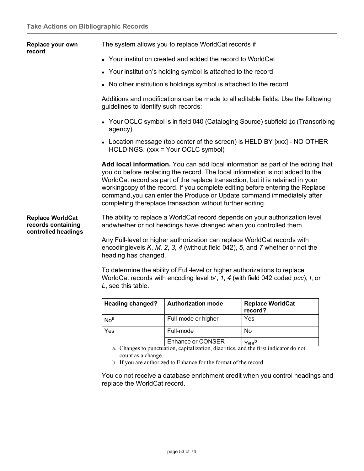|                                                                      | <b>Heading changed?</b>                                                                                                                                                                                                                                                                                                                                                                                                                                                       | <b>Authorization mode</b>                                                                                                                                     | <b>Replace WorldCat</b><br>record?                                               |  |  |
|----------------------------------------------------------------------|-------------------------------------------------------------------------------------------------------------------------------------------------------------------------------------------------------------------------------------------------------------------------------------------------------------------------------------------------------------------------------------------------------------------------------------------------------------------------------|---------------------------------------------------------------------------------------------------------------------------------------------------------------|----------------------------------------------------------------------------------|--|--|
|                                                                      | L, see this table.                                                                                                                                                                                                                                                                                                                                                                                                                                                            | To determine the ability of Full-level or higher authorizations to replace<br>WorldCat records with encoding level b/, 1, 4 (with field 042 coded pcc), I, or |                                                                                  |  |  |
|                                                                      | Any Full-level or higher authorization can replace WorldCat records with<br>encodinglevels $K, M, 2, 3, 4$ (without field 042), 5, and 7 whether or not the<br>heading has changed.                                                                                                                                                                                                                                                                                           |                                                                                                                                                               |                                                                                  |  |  |
| <b>Replace WorldCat</b><br>records containing<br>controlled headings | The ability to replace a WorldCat record depends on your authorization level<br>andwhether or not headings have changed when you controlled them.                                                                                                                                                                                                                                                                                                                             |                                                                                                                                                               |                                                                                  |  |  |
|                                                                      | Add local information. You can add local information as part of the editing that<br>you do before replacing the record. The local information is not added to the<br>WorldCat record as part of the replace transaction, but it is retained in your<br>workingcopy of the record. If you complete editing before entering the Replace<br>command, you can enter the Produce or Update command immediately after<br>completing thereplace transaction without further editing. |                                                                                                                                                               |                                                                                  |  |  |
|                                                                      |                                                                                                                                                                                                                                                                                                                                                                                                                                                                               | • Location message (top center of the screen) is HELD BY [xxx] - NO OTHER<br>HOLDINGS. (xxx = Your OCLC symbol)                                               |                                                                                  |  |  |
|                                                                      | agency)                                                                                                                                                                                                                                                                                                                                                                                                                                                                       |                                                                                                                                                               | • Your OCLC symbol is in field 040 (Cataloging Source) subfield ‡c (Transcribing |  |  |
|                                                                      |                                                                                                                                                                                                                                                                                                                                                                                                                                                                               | Additions and modifications can be made to all editable fields. Use the following<br>guidelines to identify such records:                                     |                                                                                  |  |  |
|                                                                      |                                                                                                                                                                                                                                                                                                                                                                                                                                                                               | • No other institution's holdings symbol is attached to the record                                                                                            |                                                                                  |  |  |
|                                                                      |                                                                                                                                                                                                                                                                                                                                                                                                                                                                               | • Your institution's holding symbol is attached to the record                                                                                                 |                                                                                  |  |  |
| record                                                               |                                                                                                                                                                                                                                                                                                                                                                                                                                                                               | • Your institution created and added the record to WorldCat                                                                                                   |                                                                                  |  |  |
| Replace your own                                                     | The system allows you to replace WorldCat records if                                                                                                                                                                                                                                                                                                                                                                                                                          |                                                                                                                                                               |                                                                                  |  |  |

| <b>Heading Changed:</b> | <b>AULIIUI IZALIUII IIIUUU</b> | <b>Neplace World Cat</b><br>record? |
|-------------------------|--------------------------------|-------------------------------------|
| No <sup>a</sup>         | Full-mode or higher            | Yes                                 |
| Yes                     | Full-mode                      | No                                  |
|                         | <b>Enhance or CONSER</b>       | Yes <sup>b</sup>                    |

a. Changes to punctuation, capitalization, diacritics, and the first indicator do not count as a change.

b. If you are authorized to Enhance for the format of the record

You do not receive a database enrichment credit when you control headings and replace the WorldCat record.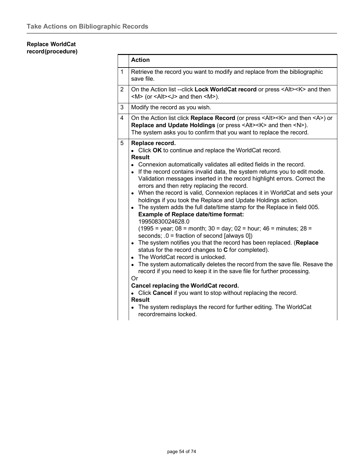## **Replace WorldCat record(procedure)**

|                | <b>Action</b>                                                                                                                                                                                                                                                                                                                                                                                                                                                                                                                                                                                                                                                                                                                                                                                                                                                                                                                                                                                                                                                                                                                                                                                                                                                                                                      |  |  |
|----------------|--------------------------------------------------------------------------------------------------------------------------------------------------------------------------------------------------------------------------------------------------------------------------------------------------------------------------------------------------------------------------------------------------------------------------------------------------------------------------------------------------------------------------------------------------------------------------------------------------------------------------------------------------------------------------------------------------------------------------------------------------------------------------------------------------------------------------------------------------------------------------------------------------------------------------------------------------------------------------------------------------------------------------------------------------------------------------------------------------------------------------------------------------------------------------------------------------------------------------------------------------------------------------------------------------------------------|--|--|
| $\mathbf{1}$   | Retrieve the record you want to modify and replace from the bibliographic<br>save file.                                                                                                                                                                                                                                                                                                                                                                                                                                                                                                                                                                                                                                                                                                                                                                                                                                                                                                                                                                                                                                                                                                                                                                                                                            |  |  |
| $\overline{2}$ | On the Action list --click Lock WorldCat record or press <alt><k> and then<br/><math>\langle M \rangle</math> (or <math>\langle A t \rangle \langle J \rangle</math> and then <math>\langle M \rangle</math>).</k></alt>                                                                                                                                                                                                                                                                                                                                                                                                                                                                                                                                                                                                                                                                                                                                                                                                                                                                                                                                                                                                                                                                                           |  |  |
| 3              | Modify the record as you wish.                                                                                                                                                                                                                                                                                                                                                                                                                                                                                                                                                                                                                                                                                                                                                                                                                                                                                                                                                                                                                                                                                                                                                                                                                                                                                     |  |  |
| 4              | On the Action list click Replace Record (or press <alt><k> and then <a>) or<br/>Replace and Update Holdings (or press <alt><k> and then <n>).<br/>The system asks you to confirm that you want to replace the record.</n></k></alt></a></k></alt>                                                                                                                                                                                                                                                                                                                                                                                                                                                                                                                                                                                                                                                                                                                                                                                                                                                                                                                                                                                                                                                                  |  |  |
| 5              | Replace record.<br>• Click OK to continue and replace the WorldCat record.<br><b>Result</b><br>• Connexion automatically validates all edited fields in the record.<br>• If the record contains invalid data, the system returns you to edit mode.<br>Validation messages inserted in the record highlight errors. Correct the<br>errors and then retry replacing the record.<br>When the record is valid, Connexion replaces it in WorldCat and sets your<br>holdings if you took the Replace and Update Holdings action.<br>• The system adds the full date/time stamp for the Replace in field 005.<br><b>Example of Replace date/time format:</b><br>19950830024628.0<br>$(1995 = \text{year}; 08 = \text{month}; 30 = \text{day}; 02 = \text{hour}; 46 = \text{minutes}; 28 = \text{m})$<br>seconds; $.0 =$ fraction of second [always 0])<br>• The system notifies you that the record has been replaced. (Replace<br>status for the record changes to C for completed).<br>• The WorldCat record is unlocked.<br>• The system automatically deletes the record from the save file. Resave the<br>record if you need to keep it in the save file for further processing.<br>Or<br>Cancel replacing the WorldCat record.<br>• Click Cancel if you want to stop without replacing the record.<br><b>Result</b> |  |  |
|                | The system redisplays the record for further editing. The WorldCat<br>recordremains locked.                                                                                                                                                                                                                                                                                                                                                                                                                                                                                                                                                                                                                                                                                                                                                                                                                                                                                                                                                                                                                                                                                                                                                                                                                        |  |  |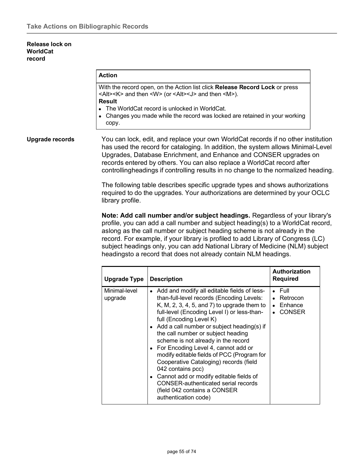### **Release lock on WorldCat record**

## **Action**

With the record open, on the Action list click **Release Record Lock** or press <Alt><K> and then <W> (or <Alt><J> and then <M>). **Result**

- The WorldCat record is unlocked in WorldCat.
- Changes you made while the record was locked are retained in your working copy.

**Upgrade records** You can lock, edit, and replace your own WorldCat records if no other institution has used the record for cataloging. In addition, the system allows Minimal-Level Upgrades, Database Enrichment, and Enhance and CONSER upgrades on records entered by others. You can also replace a WorldCat record after controllingheadings if controlling results in no change to the normalized heading.

> The following table describes specific upgrade types and shows authorizations required to do the upgrades. Your authorizations are determined by your OCLC library profile.

> **Note: Add call number and/or subject headings.** Regardless of your library's profile, you can add a call number and subject heading(s) to a WorldCat record, aslong as the call number or subject heading scheme is not already in the record. For example, if your library is profiled to add Library of Congress (LC) subject headings only, you can add National Library of Medicine (NLM) subject headingsto a record that does not already contain NLM headings.

| <b>Upgrade Type</b>      | <b>Description</b>                                                                                                                                                                                                                                                                                                                                                                                                                                                                                                                                                                                                                                                   | <b>Authorization</b><br><b>Required</b>                |
|--------------------------|----------------------------------------------------------------------------------------------------------------------------------------------------------------------------------------------------------------------------------------------------------------------------------------------------------------------------------------------------------------------------------------------------------------------------------------------------------------------------------------------------------------------------------------------------------------------------------------------------------------------------------------------------------------------|--------------------------------------------------------|
| Minimal-level<br>upgrade | Add and modify all editable fields of less-<br>$\bullet$<br>than-full-level records (Encoding Levels:<br>K, M, 2, 3, 4, 5, and 7) to upgrade them to<br>full-level (Encoding Level I) or less-than-<br>full (Encoding Level K)<br>• Add a call number or subject heading(s) if<br>the call number or subject heading<br>scheme is not already in the record<br>• For Encoding Level 4, cannot add or<br>modify editable fields of PCC (Program for<br>Cooperative Cataloging) records (field<br>042 contains pcc)<br>• Cannot add or modify editable fields of<br><b>CONSER-authenticated serial records</b><br>(field 042 contains a CONSER<br>authentication code) | $\bullet$ Full<br>Retrocon<br>Enhance<br><b>CONSER</b> |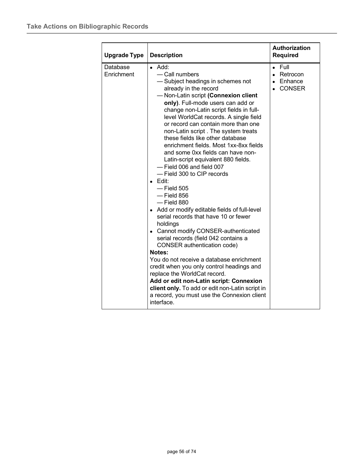| <b>Upgrade Type</b>    | <b>Description</b>                                                                                                                                                                                                                                                                                                                                                                                                                                                                                                                                                                                                                                                                                                                                                                                                                                                                                                                                                                                                                                                                                                                              | <b>Authorization</b><br><b>Required</b>                           |
|------------------------|-------------------------------------------------------------------------------------------------------------------------------------------------------------------------------------------------------------------------------------------------------------------------------------------------------------------------------------------------------------------------------------------------------------------------------------------------------------------------------------------------------------------------------------------------------------------------------------------------------------------------------------------------------------------------------------------------------------------------------------------------------------------------------------------------------------------------------------------------------------------------------------------------------------------------------------------------------------------------------------------------------------------------------------------------------------------------------------------------------------------------------------------------|-------------------------------------------------------------------|
| Database<br>Enrichment | $\bullet$ Add:<br>- Call numbers<br>-Subject headings in schemes not<br>already in the record<br>-Non-Latin script (Connexion client<br>only). Full-mode users can add or<br>change non-Latin script fields in full-<br>level WorldCat records. A single field<br>or record can contain more than one<br>non-Latin script. The system treats<br>these fields like other database<br>enrichment fields. Most 1xx-8xx fields<br>and some 0xx fields can have non-<br>Latin-script equivalent 880 fields.<br>- Field 006 and field 007<br>- Field 300 to CIP records<br>Edit:<br>$-$ Field 505<br>$-$ Field 856<br>$-$ Field 880<br>• Add or modify editable fields of full-level<br>serial records that have 10 or fewer<br>holdings<br>• Cannot modify CONSER-authenticated<br>serial records (field 042 contains a<br>CONSER authentication code)<br>Notes:<br>You do not receive a database enrichment<br>credit when you only control headings and<br>replace the WorldCat record.<br>Add or edit non-Latin script: Connexion<br>client only. To add or edit non-Latin script in<br>a record, you must use the Connexion client<br>interface. | Full<br>$\bullet$<br>Retrocon<br>$\bullet$<br>• Enhance<br>CONSER |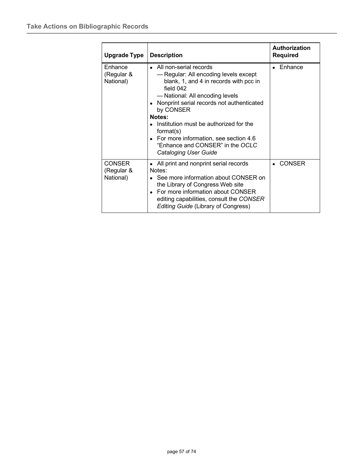| Upgrade Type                             | <b>Description</b>                                                                                                                                                                                                                                                                                                                                                                                      | Authorization<br>Required |
|------------------------------------------|---------------------------------------------------------------------------------------------------------------------------------------------------------------------------------------------------------------------------------------------------------------------------------------------------------------------------------------------------------------------------------------------------------|---------------------------|
| Enhance<br>(Regular &<br>National)       | • All non-serial records<br>- Regular: All encoding levels except<br>blank, 1, and 4 in records with pcc in<br>field $042$<br>— National: All encoding levels<br>Nonprint serial records not authenticated<br>by CONSER<br>Notes:<br>Institution must be authorized for the<br>format(s)<br>• For more information, see section 4.6<br>"Enhance and CONSER" in the OCLC<br><b>Cataloging User Guide</b> | • Enhance                 |
| <b>CONSER</b><br>(Regular &<br>National) | • All print and nonprint serial records<br>Notes:<br>• See more information about CONSER on<br>the Library of Congress Web site<br>• For more information about CONSER<br>editing capabilities, consult the CONSER<br><b>Editing Guide (Library of Congress)</b>                                                                                                                                        | <b>CONSER</b>             |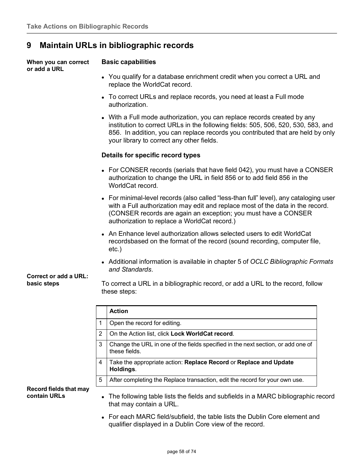# **9 Maintain URLs in bibliographic records**

**When you can correct or add a URL**

## **Basic capabilities**

- You qualify for a database enrichment credit when you correct a URL and replace the WorldCat record.
- To correct URLs and replace records, you need at least a Full mode authorization.
- With a Full mode authorization, you can replace records created by any institution to correct URLs in the following fields: 505, 506, 520, 530, 583, and 856. In addition, you can replace records you contributed that are held by only your library to correct any other fields.

## **Details for specific record types**

- For CONSER records (serials that have field 042), you must have a CONSER authorization to change the URL in field 856 or to add field 856 in the WorldCat record.
- For minimal-level records (also called "less-than full" level), any cataloging user with a Full authorization may edit and replace most of the data in the record. (CONSER records are again an exception; you must have a CONSER authorization to replace a WorldCat record.)
- An Enhance level authorization allows selected users to edit WorldCat recordsbased on the format of the record (sound recording, computer file, etc.)
- Additional information is available in chapter 5 of *OCLC Bibliographic Formats and Standards*.

### **Correct or add a URL: basic steps**

To correct a URL in a bibliographic record, or add a URL to the record, follow these steps:

|   | <b>Action</b>                                                                                     |
|---|---------------------------------------------------------------------------------------------------|
|   | Open the record for editing.                                                                      |
| 2 | On the Action list, click Lock WorldCat record.                                                   |
| 3 | Change the URL in one of the fields specified in the next section, or add one of<br>these fields. |
| 4 | Take the appropriate action: Replace Record or Replace and Update<br>Holdings.                    |
| 5 | After completing the Replace transaction, edit the record for your own use.                       |

**Record fields that may contain URLs**

- The following table lists the fields and subfields in a MARC bibliographic record that may contain a URL.
- For each MARC field/subfield, the table lists the Dublin Core element and qualifier displayed in a Dublin Core view of the record.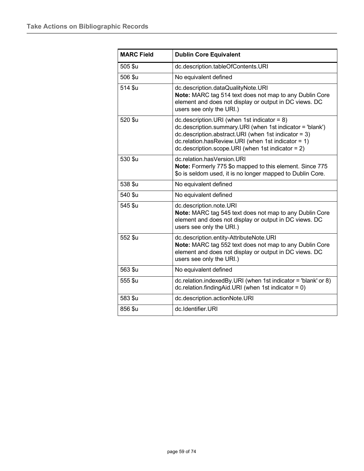| <b>MARC Field</b> | <b>Dublin Core Equivalent</b>                                                                                                                                                                                                                                                            |  |  |
|-------------------|------------------------------------------------------------------------------------------------------------------------------------------------------------------------------------------------------------------------------------------------------------------------------------------|--|--|
| 505 \$u           | dc.description.tableOfContents.URI                                                                                                                                                                                                                                                       |  |  |
| 506 \$u           | No equivalent defined                                                                                                                                                                                                                                                                    |  |  |
| 514 \$u           | dc.description.dataQualityNote.URI<br>Note: MARC tag 514 text does not map to any Dublin Core<br>element and does not display or output in DC views. DC<br>users see only the URI.)                                                                                                      |  |  |
| 520 \$u           | dc.description. URI (when 1st indicator = $8$ )<br>dc.description.summary.URI (when 1st indicator = 'blank')<br>$dc.description. abstract. URI$ (when 1st indicator = 3)<br>$dc$ .relation.hasReview.URI (when 1st indicator = 1)<br>$dc.description.scope.URI (when 1st indicator = 2)$ |  |  |
| 530 \$u           | dc.relation.hasVersion.URI<br>Note: Formerly 775 \$o mapped to this element. Since 775<br>\$o is seldom used, it is no longer mapped to Dublin Core.                                                                                                                                     |  |  |
| 538 \$u           | No equivalent defined                                                                                                                                                                                                                                                                    |  |  |
| 540 \$u           | No equivalent defined                                                                                                                                                                                                                                                                    |  |  |
| 545 \$u           | dc.description.note.URI<br>Note: MARC tag 545 text does not map to any Dublin Core<br>element and does not display or output in DC views. DC<br>users see only the URI.)                                                                                                                 |  |  |
| 552 \$u           | dc.description.entity-AttributeNote.URI<br>Note: MARC tag 552 text does not map to any Dublin Core<br>element and does not display or output in DC views. DC<br>users see only the URI.)                                                                                                 |  |  |
| 563 \$u           | No equivalent defined                                                                                                                                                                                                                                                                    |  |  |
| 555 \$u           | dc.relation.indexedBy.URI (when 1st indicator = 'blank' or 8)<br>$dc$ .relation.findingAid.URI (when 1st indicator = 0)                                                                                                                                                                  |  |  |
| 583 \$u           | dc.description.actionNote.URI                                                                                                                                                                                                                                                            |  |  |
| 856 \$u           | dc.Identifier.URI                                                                                                                                                                                                                                                                        |  |  |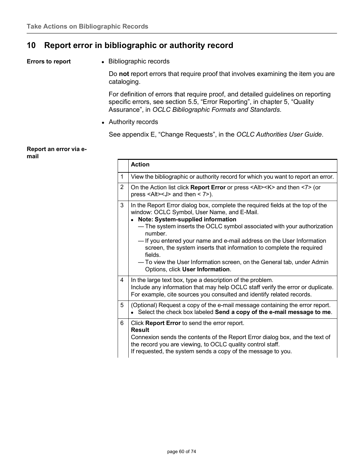# **10 Report error in bibliographic or authority record**

**Errors to report a** Bibliographic records

Do **not** report errors that require proof that involves examining the item you are cataloging.

For definition of errors that require proof, and detailed guidelines on reporting specific errors, see section 5.5, "Error Reporting", in chapter 5, "Quality Assurance", in *OCLC Bibliographic Formats and Standards*.

Authority records

See appendix E, "Change Requests", in the *OCLC Authorities User Guide*.

### **Report an error via email**

|                | <b>Action</b>                                                                                                                                                                                                                                                                                                                                                                                                                                                                                                                      |
|----------------|------------------------------------------------------------------------------------------------------------------------------------------------------------------------------------------------------------------------------------------------------------------------------------------------------------------------------------------------------------------------------------------------------------------------------------------------------------------------------------------------------------------------------------|
| 1              | View the bibliographic or authority record for which you want to report an error.                                                                                                                                                                                                                                                                                                                                                                                                                                                  |
| $\overline{2}$ | On the Action list click Report Error or press <alt><k> and then &lt;7&gt; (or<br/>press &lt;<math>Alt</math>&gt; &lt;<math>J</math>&gt; and then &lt; <math>7</math>&gt;).</k></alt>                                                                                                                                                                                                                                                                                                                                              |
| 3              | In the Report Error dialog box, complete the required fields at the top of the<br>window: OCLC Symbol, User Name, and E-Mail.<br>Note: System-supplied information<br>- The system inserts the OCLC symbol associated with your authorization<br>number.<br>- If you entered your name and e-mail address on the User Information<br>screen, the system inserts that information to complete the required<br>fields.<br>- To view the User Information screen, on the General tab, under Admin<br>Options, click User Information. |
| $\overline{4}$ | In the large text box, type a description of the problem.<br>Include any information that may help OCLC staff verify the error or duplicate.<br>For example, cite sources you consulted and identify related records.                                                                                                                                                                                                                                                                                                              |
| 5              | (Optional) Request a copy of the e-mail message containing the error report.<br>Select the check box labeled Send a copy of the e-mail message to me.                                                                                                                                                                                                                                                                                                                                                                              |
| 6              | Click Report Error to send the error report.<br><b>Result</b><br>Connexion sends the contents of the Report Error dialog box, and the text of<br>the record you are viewing, to OCLC quality control staff.<br>If requested, the system sends a copy of the message to you.                                                                                                                                                                                                                                                        |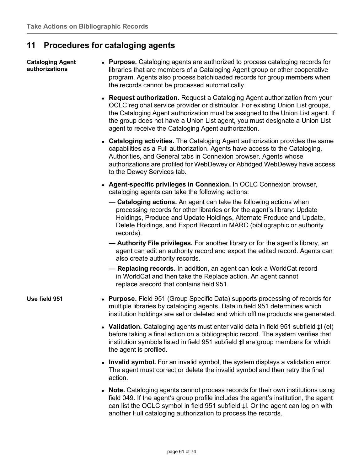# **11 Procedures for cataloging agents**

### **Cataloging Agent authorizations**

- **Purpose.** Cataloging agents are authorized to process cataloging records for libraries that are members of a Cataloging Agent group or other cooperative program. Agents also process batchloaded records for group members when the records cannot be processed automatically.
- **Request authorization.** Request a Cataloging Agent authorization from your OCLC regional service provider or distributor. For existing Union List groups, the Cataloging Agent authorization must be assigned to the Union List agent. If the group does not have a Union List agent, you must designate a Union List agent to receive the Cataloging Agent authorization.
- **Cataloging activities.** The Cataloging Agent authorization provides the same capabilities as a Full authorization. Agents have access to the Cataloging, Authorities, and General tabs in Connexion browser. Agents whose authorizations are profiled for WebDewey or Abridged WebDewey have access to the Dewey Services tab.
- **Agent-specific privileges in Connexion.** In OCLC Connexion browser, cataloging agents can take the following actions:
	- **Cataloging actions.** An agent can take the following actions when processing records for other libraries or for the agent's library: Update Holdings, Produce and Update Holdings, Alternate Produce and Update, Delete Holdings, and Export Record in MARC (bibliographic or authority records).
	- **Authority File privileges.** For another library or for the agent's library, an agent can edit an authority record and export the edited record. Agents can also create authority records.
	- **Replacing records.** In addition, an agent can lock a WorldCat record in WorldCat and then take the Replace action. An agent cannot replace arecord that contains field 951.
- **Use field 951 Purpose.** Field 951 (Group Specific Data) supports processing of records for multiple libraries by cataloging agents. Data in field 951 determines which institution holdings are set or deleted and which offline products are generated.
	- **Validation.** Cataloging agents must enter valid data in field 951 subfield **‡l** (el) before taking a final action on a bibliographic record. The system verifies that institution symbols listed in field 951 subfield **‡l** are group members for which the agent is profiled.
	- **Invalid symbol.** For an invalid symbol, the system displays a validation error. The agent must correct or delete the invalid symbol and then retry the final action.
	- **Note.** Cataloging agents cannot process records for their own institutions using field 049. If the agent's group profile includes the agent's institution, the agent can list the OCLC symbol in field 951 subfield ‡l. Or the agent can log on with another Full cataloging authorization to process the records.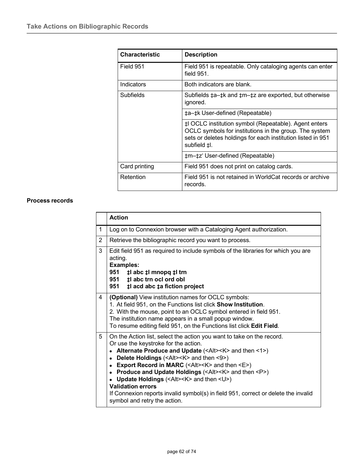| <b>Characteristic</b> | <b>Description</b>                                                                                                                                                                             |  |
|-----------------------|------------------------------------------------------------------------------------------------------------------------------------------------------------------------------------------------|--|
| Field 951             | Field 951 is repeatable. Only cataloging agents can enter<br>field $951$ .                                                                                                                     |  |
| Indicators            | Both indicators are blank.                                                                                                                                                                     |  |
| Subfields             | Subfields $\pm$ a- $\pm$ k and $\pm$ m- $\pm$ z are exported, but otherwise<br>ignored.                                                                                                        |  |
|                       | ta-tk User-defined (Repeatable)                                                                                                                                                                |  |
|                       | ‡l OCLC institution symbol (Repeatable). Agent enters<br>OCLC symbols for institutions in the group. The system<br>sets or deletes holdings for each institution listed in 951<br>subfield ‡l. |  |
|                       | tm-tz' User-defined (Repeatable)                                                                                                                                                               |  |
| Card printing         | Field 951 does not print on catalog cards.                                                                                                                                                     |  |
| Retention             | Field 951 is not retained in WorldCat records or archive<br>records.                                                                                                                           |  |

## **Process records**

|                | <b>Action</b>                                                                                                                                                                                                                                                                                                                                                                                                                                                                                                                                                                                                                                      |  |  |
|----------------|----------------------------------------------------------------------------------------------------------------------------------------------------------------------------------------------------------------------------------------------------------------------------------------------------------------------------------------------------------------------------------------------------------------------------------------------------------------------------------------------------------------------------------------------------------------------------------------------------------------------------------------------------|--|--|
| 1              | Log on to Connexion browser with a Cataloging Agent authorization.                                                                                                                                                                                                                                                                                                                                                                                                                                                                                                                                                                                 |  |  |
| $\overline{2}$ | Retrieve the bibliographic record you want to process.                                                                                                                                                                                                                                                                                                                                                                                                                                                                                                                                                                                             |  |  |
| 3              | Edit field 951 as required to include symbols of the libraries for which you are<br>acting.<br><b>Examples:</b><br>951 # abc # 1 mnopq # 1 trn<br>951 <b>‡l abc trn ocl ord obl</b><br>951<br># acd abc ‡a fiction project                                                                                                                                                                                                                                                                                                                                                                                                                         |  |  |
| 4              | (Optional) View institution names for OCLC symbols:<br>1. At field 951, on the Functions list click Show Institution.<br>2. With the mouse, point to an OCLC symbol entered in field 951.<br>The institution name appears in a small popup window.<br>To resume editing field 951, on the Functions list click Edit Field.                                                                                                                                                                                                                                                                                                                         |  |  |
| 5              | On the Action list, select the action you want to take on the record.<br>Or use the keystroke for the action.<br>• Alternate Produce and Update $(\leq A t \geq K)$ and then $\leq 1$ )<br>Delete Holdings ( <alt><k> and then &lt;9&gt;)<br/><math display="inline">\bullet</math><br/>Export Record in MARC (<alt><k> and then <e>)<br/>Produce and Update Holdings (<alt><k> and then <p>)<br/>Update Holdings (<alt><k> and then <u>)<br/><b>Validation errors</b><br/>If Connexion reports invalid symbol(s) in field 951, correct or delete the invalid<br/>symbol and retry the action.</u></k></alt></p></k></alt></e></k></alt></k></alt> |  |  |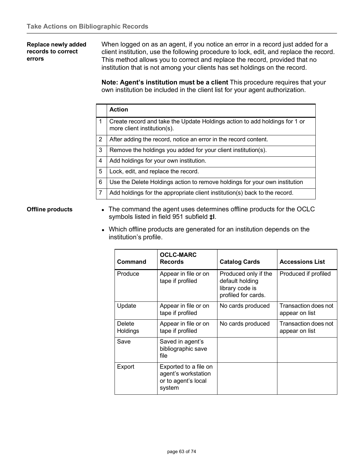## **Replace newly added records to correct errors**

When logged on as an agent, if you notice an error in a record just added for a client institution, use the following procedure to lock, edit, and replace the record. This method allows you to correct and replace the record, provided that no institution that is not among your clients has set holdings on the record.

**Note: Agent's institution must be a client** This procedure requires that your own institution be included in the client list for your agent authorization.

|   | <b>Action</b>                                                                                             |
|---|-----------------------------------------------------------------------------------------------------------|
| 1 | Create record and take the Update Holdings action to add holdings for 1 or<br>more client institution(s). |
| 2 | After adding the record, notice an error in the record content.                                           |
| 3 | Remove the holdings you added for your client institution(s).                                             |
| 4 | Add holdings for your own institution.                                                                    |
| 5 | Lock, edit, and replace the record.                                                                       |
| 6 | Use the Delete Holdings action to remove holdings for your own institution                                |
| 7 | Add holdings for the appropriate client institution(s) back to the record.                                |

- **Offline products** The command the agent uses determines offline products for the OCLC symbols listed in field 951 subfield **‡l**.
	- Which offline products are generated for an institution depends on the institution's profile.

| Command                   | <b>OCLC-MARC</b><br><b>Records</b>                                            | <b>Catalog Cards</b>                                                              | <b>Accessions List</b>                 |
|---------------------------|-------------------------------------------------------------------------------|-----------------------------------------------------------------------------------|----------------------------------------|
| Produce                   | Appear in file or on<br>tape if profiled                                      | Produced only if the<br>default holding<br>library code is<br>profiled for cards. | Produced if profiled                   |
| Update                    | Appear in file or on<br>tape if profiled                                      | No cards produced                                                                 | Transaction does not<br>appear on list |
| Delete<br><b>Holdings</b> | Appear in file or on<br>tape if profiled                                      | No cards produced                                                                 | Transaction does not<br>appear on list |
| Save                      | Saved in agent's<br>bibliographic save<br>file                                |                                                                                   |                                        |
| Export                    | Exported to a file on<br>agent's workstation<br>or to agent's local<br>system |                                                                                   |                                        |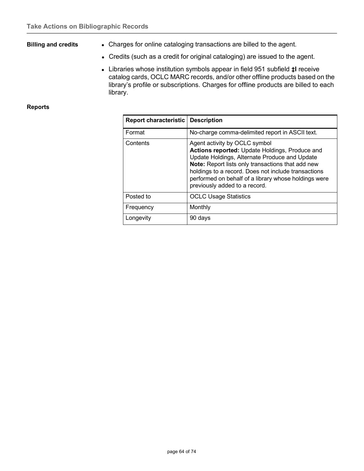- **Billing and credits** Charges for online cataloging transactions are billed to the agent.
	- Credits (such as a credit for original cataloging) are issued to the agent.
	- Libraries whose institution symbols appear in field 951 subfield **‡l** receive catalog cards, OCLC MARC records, and/or other offline products based on the library's profile or subscriptions. Charges for offline products are billed to each library.

### **Reports**

| <b>Report characteristic   Description</b> |                                                                                                                                                                                                                                                                                                                                       |
|--------------------------------------------|---------------------------------------------------------------------------------------------------------------------------------------------------------------------------------------------------------------------------------------------------------------------------------------------------------------------------------------|
| Format                                     | No-charge comma-delimited report in ASCII text.                                                                                                                                                                                                                                                                                       |
| Contents                                   | Agent activity by OCLC symbol<br>Actions reported: Update Holdings, Produce and<br>Update Holdings, Alternate Produce and Update<br>Note: Report lists only transactions that add new<br>holdings to a record. Does not include transactions<br>performed on behalf of a library whose holdings were<br>previously added to a record. |
| Posted to                                  | <b>OCLC Usage Statistics</b>                                                                                                                                                                                                                                                                                                          |
| Frequency                                  | Monthly                                                                                                                                                                                                                                                                                                                               |
| Longevity                                  | 90 days                                                                                                                                                                                                                                                                                                                               |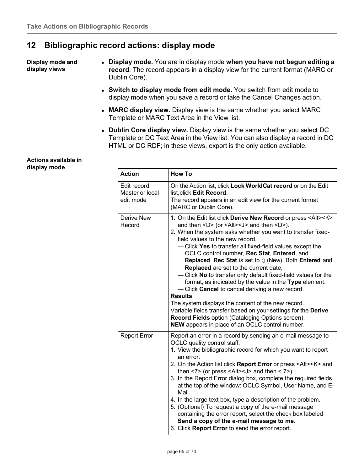# **12 Bibliographic record actions: display mode**

**Display mode and display views**

- **Display mode.** You are in display mode **when you have not begun editing a record**. The record appears in a display view for the current format (MARC or Dublin Core).
	- **Switch to display mode from edit mode.** You switch from edit mode to display mode when you save a record or take the Cancel Changes action.
	- **MARC display view.** Display view is the same whether you select MARC Template or MARC Text Area in the View list.
	- **Dublin Core display view.** Display view is the same whether you select DC Template or DC Text Area in the View list. You can also display a record in DC HTML or DC RDF; in these views, export is the only action available.

### **Actions available in display mode**

| <b>Action</b>                               | <b>How To</b>                                                                                                                                                                                                                                                                                                                                                                                                                                                                                                                                                                                                                                                                                                                                                                                                                                                                                                                                                                                     |
|---------------------------------------------|---------------------------------------------------------------------------------------------------------------------------------------------------------------------------------------------------------------------------------------------------------------------------------------------------------------------------------------------------------------------------------------------------------------------------------------------------------------------------------------------------------------------------------------------------------------------------------------------------------------------------------------------------------------------------------------------------------------------------------------------------------------------------------------------------------------------------------------------------------------------------------------------------------------------------------------------------------------------------------------------------|
| Edit record<br>Master or local<br>edit mode | On the Action list, click Lock WorldCat record or on the Edit<br>list, click Edit Record.<br>The record appears in an edit view for the current format<br>(MARC or Dublin Core).                                                                                                                                                                                                                                                                                                                                                                                                                                                                                                                                                                                                                                                                                                                                                                                                                  |
| <b>Derive New</b><br>Record                 | 1. On the Edit list click Derive New Record or press <alt><k><br/>and then <math>\langle D \rangle</math> (or <math>\langle A t \rangle \langle J \rangle</math> and then <math>\langle D \rangle</math>).<br/>2. When the system asks whether you want to transfer fixed-<br/>field values to the new record,<br/>- Click Yes to transfer all fixed-field values except the<br/>OCLC control number, Rec Stat, Entered, and<br/>Replaced. Rec Stat is set to <math>Q</math> (New). Both Entered and<br/>Replaced are set to the current date,<br/>- Click No to transfer only default fixed-field values for the<br/>format, as indicated by the value in the Type element.<br/>- Click Cancel to cancel deriving a new record.<br/><b>Results</b><br/>The system displays the content of the new record.<br/>Variable fields transfer based on your settings for the Derive<br/>Record Fields option (Cataloging Options screen).<br/>NEW appears in place of an OCLC control number.</k></alt> |
| <b>Report Error</b>                         | Report an error in a record by sending an e-mail message to<br>OCLC quality control staff.<br>1. View the bibliographic record for which you want to report<br>an error.<br>2. On the Action list click Report Error or press <alt><k> and<br/>then <math>&lt;</math>7&gt; (or press <math>&lt;</math>Alt&gt;<math>&lt;</math>J&gt; and then <math>&lt;</math> 7&gt;).<br/>3. In the Report Error dialog box, complete the required fields<br/>at the top of the window: OCLC Symbol, User Name, and E-<br/>Mail.<br/>4. In the large text box, type a description of the problem.<br/>5. (Optional) To request a copy of the e-mail message<br/>containing the error report, select the check box labeled<br/>Send a copy of the e-mail message to me.<br/>6. Click Report Error to send the error report.</k></alt>                                                                                                                                                                             |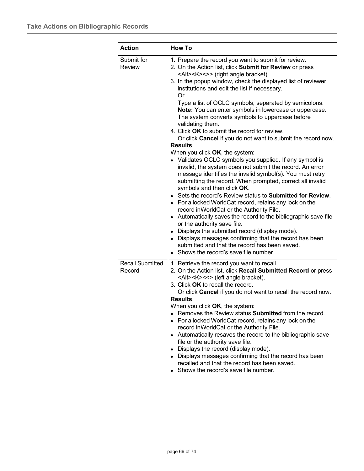| <b>Action</b>                     | <b>How To</b>                                                                                                                                                                                                                                                                                                                                                                                                                                                                                                                                                                                                                                                                                                                                                                                                                                                                                                                                                                                                                                                                                                                                                                                                                                                                                                                                                                                                                                                |
|-----------------------------------|--------------------------------------------------------------------------------------------------------------------------------------------------------------------------------------------------------------------------------------------------------------------------------------------------------------------------------------------------------------------------------------------------------------------------------------------------------------------------------------------------------------------------------------------------------------------------------------------------------------------------------------------------------------------------------------------------------------------------------------------------------------------------------------------------------------------------------------------------------------------------------------------------------------------------------------------------------------------------------------------------------------------------------------------------------------------------------------------------------------------------------------------------------------------------------------------------------------------------------------------------------------------------------------------------------------------------------------------------------------------------------------------------------------------------------------------------------------|
| Submit for<br><b>Review</b>       | 1. Prepare the record you want to submit for review.<br>2. On the Action list, click Submit for Review or press<br><alt><k>&lt;&gt;&gt; (right angle bracket).<br/>3. In the popup window, check the displayed list of reviewer<br/>institutions and edit the list if necessary.<br/>Or<br/>Type a list of OCLC symbols, separated by semicolons.<br/>Note: You can enter symbols in lowercase or uppercase.<br/>The system converts symbols to uppercase before<br/>validating them.<br/>4. Click OK to submit the record for review.<br/>Or click Cancel if you do not want to submit the record now.<br/><b>Results</b><br/>When you click OK, the system:<br/>• Validates OCLC symbols you supplied. If any symbol is<br/>invalid, the system does not submit the record. An error<br/>message identifies the invalid symbol(s). You must retry<br/>submitting the record. When prompted, correct all invalid<br/>symbols and then click OK.<br/>• Sets the record's Review status to <b>Submitted for Review</b>.<br/>• For a locked WorldCat record, retains any lock on the<br/>record in World Cat or the Authority File.<br/>• Automatically saves the record to the bibliographic save file<br/>or the authority save file.<br/>• Displays the submitted record (display mode).<br/>• Displays messages confirming that the record has been<br/>submitted and that the record has been saved.<br/>• Shows the record's save file number.</k></alt> |
| <b>Recall Submitted</b><br>Record | 1. Retrieve the record you want to recall.<br>2. On the Action list, click Recall Submitted Record or press<br><alt><k>&lt;&lt;&gt; (left angle bracket).<br/>3. Click OK to recall the record.<br/>Or click Cancel if you do not want to recall the record now.<br/><b>Results</b><br/>When you click OK, the system:<br/>• Removes the Review status Submitted from the record.<br/>• For a locked WorldCat record, retains any lock on the<br/>record in World Cat or the Authority File.<br/>• Automatically resaves the record to the bibliographic save<br/>file or the authority save file.<br/>• Displays the record (display mode).<br/>• Displays messages confirming that the record has been<br/>recalled and that the record has been saved.<br/>• Shows the record's save file number.</k></alt>                                                                                                                                                                                                                                                                                                                                                                                                                                                                                                                                                                                                                                               |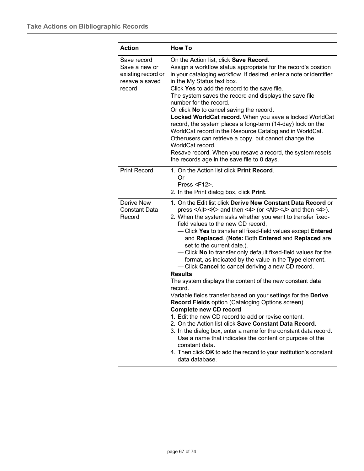| <b>Action</b>                                                                  | <b>How To</b>                                                                                                                                                                                                                                                                                                                                                                                                                                                                                                                                                                                                                                                                                                                                                                                                                                                                                                                                                                                                                                                                                                                                                                                                                                           |
|--------------------------------------------------------------------------------|---------------------------------------------------------------------------------------------------------------------------------------------------------------------------------------------------------------------------------------------------------------------------------------------------------------------------------------------------------------------------------------------------------------------------------------------------------------------------------------------------------------------------------------------------------------------------------------------------------------------------------------------------------------------------------------------------------------------------------------------------------------------------------------------------------------------------------------------------------------------------------------------------------------------------------------------------------------------------------------------------------------------------------------------------------------------------------------------------------------------------------------------------------------------------------------------------------------------------------------------------------|
| Save record<br>Save a new or<br>existing record or<br>resave a saved<br>record | On the Action list, click Save Record.<br>Assign a workflow status appropriate for the record's position<br>in your cataloging workflow. If desired, enter a note or identifier<br>in the My Status text box.<br>Click Yes to add the record to the save file.<br>The system saves the record and displays the save file<br>number for the record.<br>Or click No to cancel saving the record.<br>Locked WorldCat record. When you save a locked WorldCat<br>record, the system places a long-term (14-day) lock on the<br>WorldCat record in the Resource Catalog and in WorldCat.<br>Otherusers can retrieve a copy, but cannot change the<br>WorldCat record.<br>Resave record. When you resave a record, the system resets<br>the records age in the save file to 0 days.                                                                                                                                                                                                                                                                                                                                                                                                                                                                           |
| <b>Print Record</b>                                                            | 1. On the Action list click Print Record.<br>Or<br>Press $\le$ F12>.<br>2. In the Print dialog box, click Print.                                                                                                                                                                                                                                                                                                                                                                                                                                                                                                                                                                                                                                                                                                                                                                                                                                                                                                                                                                                                                                                                                                                                        |
| Derive New<br><b>Constant Data</b><br>Record                                   | 1. On the Edit list click Derive New Constant Data Record or<br>press <alt><k> and then &lt;4&gt; (or <alt><j> and then &lt;4&gt;).<br/>2. When the system asks whether you want to transfer fixed-<br/>field values to the new CD record,<br/>- Click Yes to transfer all fixed-field values except Entered<br/>and Replaced. (Note: Both Entered and Replaced are<br/>set to the current date.).<br/>- Click No to transfer only default fixed-field values for the<br/>format, as indicated by the value in the Type element.<br/>- Click <b>Cancel</b> to cancel deriving a new CD record.<br/><b>Results</b><br/>The system displays the content of the new constant data<br/>record.<br/>Variable fields transfer based on your settings for the Derive<br/><b>Record Fields option (Cataloging Options screen).</b><br/><b>Complete new CD record</b><br/>1. Edit the new CD record to add or revise content.<br/>2. On the Action list click <b>Save Constant Data Record</b>.<br/>3. In the dialog box, enter a name for the constant data record.<br/>Use a name that indicates the content or purpose of the<br/>constant data.<br/>4. Then click OK to add the record to your institution's constant<br/>data database.</j></alt></k></alt> |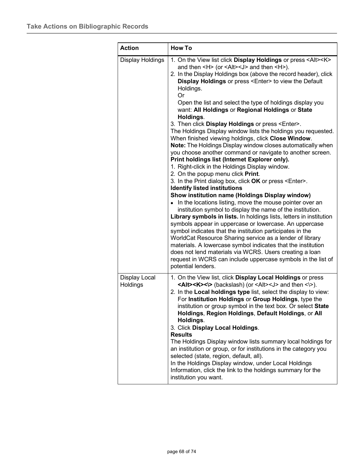| <b>Action</b>             | <b>How To</b>                                                                                                                                                                                                                                                                                                                                                                                                                                                                                                                                                                                                                                                                                                                                                                                                                                                                                                                                                                                                                                                                                                                                                                                                                                                                                                                                                                                                                                                                                                                                                                                                                                              |
|---------------------------|------------------------------------------------------------------------------------------------------------------------------------------------------------------------------------------------------------------------------------------------------------------------------------------------------------------------------------------------------------------------------------------------------------------------------------------------------------------------------------------------------------------------------------------------------------------------------------------------------------------------------------------------------------------------------------------------------------------------------------------------------------------------------------------------------------------------------------------------------------------------------------------------------------------------------------------------------------------------------------------------------------------------------------------------------------------------------------------------------------------------------------------------------------------------------------------------------------------------------------------------------------------------------------------------------------------------------------------------------------------------------------------------------------------------------------------------------------------------------------------------------------------------------------------------------------------------------------------------------------------------------------------------------------|
| Display Holdings          | 1. On the View list click Display Holdings or press <alt><k><br/>and then <h> (or <alt><j> and then <h>).<br/>2. In the Display Holdings box (above the record header), click<br/>Display Holdings or press <enter> to view the Default<br/>Holdings.<br/>Or<br/>Open the list and select the type of holdings display you<br/>want: All Holdings or Regional Holdings or State<br/>Holdings.<br/>3. Then click Display Holdings or press <enter>.<br/>The Holdings Display window lists the holdings you requested.<br/>When finished viewing holdings, click Close Window.<br/>Note: The Holdings Display window closes automatically when<br/>you choose another command or navigate to another screen.<br/>Print holdings list (Internet Explorer only).<br/>1. Right-click in the Holdings Display window.<br/>2. On the popup menu click Print.<br/>3. In the Print dialog box, click OK or press <enter>.<br/><b>Identify listed institutions</b><br/>Show institution name (Holdings Display window)<br/>• In the locations listing, move the mouse pointer over an<br/>institution symbol to display the name of the institution.<br/>Library symbols in lists. In holdings lists, letters in institution<br/>symbols appear in uppercase or lowercase. An uppercase<br/>symbol indicates that the institution participates in the<br/>WorldCat Resource Sharing service as a lender of library<br/>materials. A lowercase symbol indicates that the institution<br/>does not lend materials via WCRS. Users creating a loan<br/>request in WCRS can include uppercase symbols in the list of</enter></enter></enter></h></j></alt></h></k></alt> |
| Display Local<br>Holdings | potential lenders.<br>1. On the View list, click Display Local Holdings or press<br><alt><k>&lt;\&gt; (backslash) (or <alt><j> and then &lt;\&gt;).<br/>2. In the Local holdings type list, select the display to view:<br/>For Institution Holdings or Group Holdings, type the<br/>institution or group symbol in the text box. Or select State<br/>Holdings, Region Holdings, Default Holdings, or All<br/>Holdings.<br/>3. Click Display Local Holdings.<br/><b>Results</b><br/>The Holdings Display window lists summary local holdings for<br/>an institution or group, or for institutions in the category you<br/>selected (state, region, default, all).<br/>In the Holdings Display window, under Local Holdings<br/>Information, click the link to the holdings summary for the<br/>institution you want.</j></alt></k></alt>                                                                                                                                                                                                                                                                                                                                                                                                                                                                                                                                                                                                                                                                                                                                                                                                                   |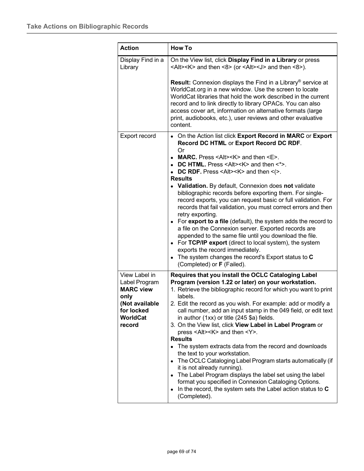| <b>Action</b>                                                                                                           | <b>How To</b>                                                                                                                                                                                                                                                                                                                                                                                                                                                                                                                                                                                                                                                                                                                                                                                                                                                                                                                                                                                           |  |  |  |  |  |
|-------------------------------------------------------------------------------------------------------------------------|---------------------------------------------------------------------------------------------------------------------------------------------------------------------------------------------------------------------------------------------------------------------------------------------------------------------------------------------------------------------------------------------------------------------------------------------------------------------------------------------------------------------------------------------------------------------------------------------------------------------------------------------------------------------------------------------------------------------------------------------------------------------------------------------------------------------------------------------------------------------------------------------------------------------------------------------------------------------------------------------------------|--|--|--|--|--|
| Display Find in a<br>Library                                                                                            | On the View list, click Display Find in a Library or press<br><alt><k> and then &lt;8&gt; (or <alt><j> and then &lt;8&gt;).</j></alt></k></alt>                                                                                                                                                                                                                                                                                                                                                                                                                                                                                                                                                                                                                                                                                                                                                                                                                                                         |  |  |  |  |  |
|                                                                                                                         | <b>Result:</b> Connexion displays the Find in a Library <sup>®</sup> service at<br>WorldCat.org in a new window. Use the screen to locate<br>WorldCat libraries that hold the work described in the current<br>record and to link directly to library OPACs. You can also<br>access cover art, information on alternative formats (large<br>print, audiobooks, etc.), user reviews and other evaluative<br>content.                                                                                                                                                                                                                                                                                                                                                                                                                                                                                                                                                                                     |  |  |  |  |  |
| Export record                                                                                                           | • On the Action list click Export Record in MARC or Export<br>Record DC HTML or Export Record DC RDF.<br>Or<br>• MARC. Press <alt><k> and then <e>.<br/>• DC HTML. Press <alt><k> and then <math>\lt^*</math>&gt;.<br/>• DC RDF. Press <alt><k> and then &lt;<math>(&gt;</math>.<br/><b>Results</b><br/>• Validation. By default, Connexion does not validate<br/>bibliographic records before exporting them. For single-<br/>record exports, you can request basic or full validation. For<br/>records that fail validation, you must correct errors and then<br/>retry exporting.<br/>• For export to a file (default), the system adds the record to<br/>a file on the Connexion server. Exported records are<br/>appended to the same file until you download the file.<br/>• For TCP/IP export (direct to local system), the system<br/>exports the record immediately.<br/>• The system changes the record's Export status to C<br/>(Completed) or F (Failed).</k></alt></k></alt></e></k></alt> |  |  |  |  |  |
| View Label in<br>Label Program<br><b>MARC view</b><br>only<br>(Not available<br>for locked<br><b>WorldCat</b><br>record | Requires that you install the OCLC Cataloging Label<br>Program (version 1.22 or later) on your workstation.<br>1. Retrieve the bibliographic record for which you want to print<br>labels.<br>2. Edit the record as you wish. For example: add or modify a<br>call number, add an input stamp in the 049 field, or edit text<br>in author (1xx) or title (245 \$a) fields.<br>3. On the View list, click View Label in Label Program or<br>press <alt><k> and then <y>.<br/><b>Results</b><br/>• The system extracts data from the record and downloads<br/>the text to your workstation.<br/>• The OCLC Cataloging Label Program starts automatically (if<br/>it is not already running).<br/>• The Label Program displays the label set using the label<br/>format you specified in Connexion Cataloging Options.<br/>In the record, the system sets the Label action status to C<br/><math>\bullet</math><br/>(Completed).</y></k></alt>                                                             |  |  |  |  |  |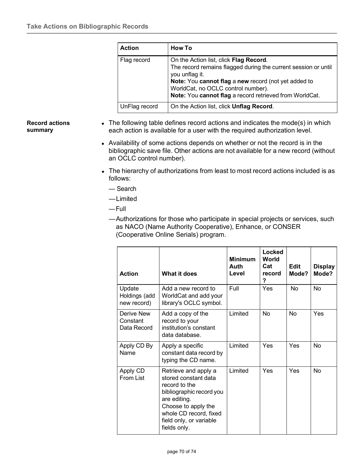| <b>Action</b> | <b>How To</b>                                                                                                                                                                                                                                                                       |
|---------------|-------------------------------------------------------------------------------------------------------------------------------------------------------------------------------------------------------------------------------------------------------------------------------------|
| Flag record   | On the Action list, click Flag Record.<br>The record remains flagged during the current session or until<br>you unflag it.<br>Note: You cannot flag a new record (not yet added to<br>WorldCat, no OCLC control number).<br>Note: You cannot flag a record retrieved from WorldCat. |
| UnFlag record | On the Action list, click <b>Unflag Record</b> .                                                                                                                                                                                                                                    |

### **Record actions summary**

- The following table defines record actions and indicates the mode(s) in which each action is available for a user with the required authorization level.
- Availability of some actions depends on whether or not the record is in the bibliographic save file. Other actions are not available for a new record (without an OCLC control number).
- The hierarchy of authorizations from least to most record actions included is as follows:
	- Search
	- —Limited
	- —Full
	- —Authorizations for those who participate in special projects or services, such as NACO (Name Authority Cooperative), Enhance, or CONSER (Cooperative Online Serials) program.

| <b>Action</b>                          | What it does                                                                                                                                                                                          | <b>Minimum</b><br>Auth<br>Level | Locked<br>World<br>Cat<br>record<br>? | <b>Edit</b><br>Mode? | <b>Display</b><br>Mode? |
|----------------------------------------|-------------------------------------------------------------------------------------------------------------------------------------------------------------------------------------------------------|---------------------------------|---------------------------------------|----------------------|-------------------------|
| Update<br>Holdings (add<br>new record) | Add a new record to<br>WorldCat and add your<br>library's OCLC symbol.                                                                                                                                | Full                            | Yes                                   | No                   | No                      |
| Derive New<br>Constant<br>Data Record  | Add a copy of the<br>record to your<br>institution's constant<br>data database.                                                                                                                       | Limited                         | No                                    | No                   | Yes                     |
| Apply CD By<br>Name                    | Apply a specific<br>constant data record by<br>typing the CD name.                                                                                                                                    | Limited                         | <b>Yes</b>                            | <b>Yes</b>           | No                      |
| Apply CD<br>From List                  | Retrieve and apply a<br>stored constant data<br>record to the<br>bibliographic record you<br>are editing.<br>Choose to apply the<br>whole CD record, fixed<br>field only, or variable<br>fields only. | Limited                         | <b>Yes</b>                            | Yes                  | No                      |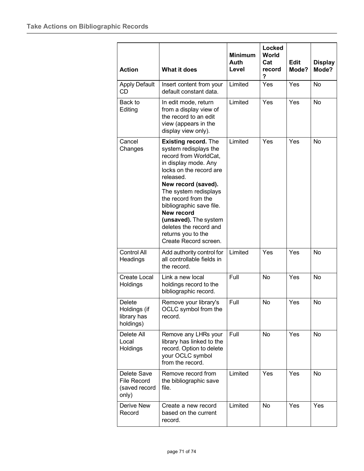| <b>Action</b>                                               | <b>What it does</b>                                                                                                                                                                                                                                                                                                                                              | <b>Minimum</b><br>Auth<br>Level | Locked<br>World<br>Cat<br>record<br>? | <b>Edit</b><br>Mode? | <b>Display</b><br>Mode? |
|-------------------------------------------------------------|------------------------------------------------------------------------------------------------------------------------------------------------------------------------------------------------------------------------------------------------------------------------------------------------------------------------------------------------------------------|---------------------------------|---------------------------------------|----------------------|-------------------------|
| <b>Apply Default</b><br>CD                                  | Insert content from your<br>default constant data.                                                                                                                                                                                                                                                                                                               | Limited                         | Yes                                   | Yes                  | No                      |
| Back to<br>Editing                                          | In edit mode, return<br>from a display view of<br>the record to an edit<br>view (appears in the<br>display view only).                                                                                                                                                                                                                                           | Limited                         | Yes                                   | Yes                  | No                      |
| Cancel<br>Changes                                           | <b>Existing record. The</b><br>system redisplays the<br>record from WorldCat,<br>in display mode. Any<br>locks on the record are<br>released.<br>New record (saved).<br>The system redisplays<br>the record from the<br>bibliographic save file.<br>New record<br>(unsaved). The system<br>deletes the record and<br>returns you to the<br>Create Record screen. | Limited                         | Yes                                   | Yes                  | No                      |
| <b>Control All</b><br>Headings                              | Add authority control for<br>all controllable fields in<br>the record.                                                                                                                                                                                                                                                                                           | Limited                         | Yes                                   | Yes                  | No                      |
| <b>Create Local</b><br><b>Holdings</b>                      | Link a new local<br>holdings record to the<br>bibliographic record.                                                                                                                                                                                                                                                                                              | Full                            | <b>No</b>                             | Yes                  | No                      |
| <b>Delete</b><br>Holdings (if<br>library has<br>holdings)   | Remove your library's<br>OCLC symbol from the<br>record.                                                                                                                                                                                                                                                                                                         | Full                            | No                                    | Yes                  | No                      |
| Delete All<br>Local<br>Holdings                             | Remove any LHRs your<br>library has linked to the<br>record. Option to delete<br>your OCLC symbol<br>from the record.                                                                                                                                                                                                                                            | Full                            | No                                    | Yes                  | No                      |
| Delete Save<br><b>File Record</b><br>(saved record<br>only) | Remove record from<br>the bibliographic save<br>file.                                                                                                                                                                                                                                                                                                            | Limited                         | Yes                                   | Yes                  | No                      |
| Derive New<br>Record                                        | Create a new record<br>based on the current<br>record.                                                                                                                                                                                                                                                                                                           | Limited                         | No                                    | Yes                  | Yes                     |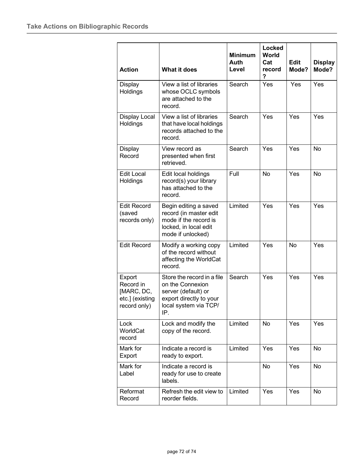| <b>Action</b>                                                        | What it does                                                                                                                     | <b>Minimum</b><br>Auth<br>Level | Locked<br>World<br>Cat<br>record<br>? | <b>Edit</b><br>Mode? | <b>Display</b><br>Mode? |
|----------------------------------------------------------------------|----------------------------------------------------------------------------------------------------------------------------------|---------------------------------|---------------------------------------|----------------------|-------------------------|
| Display<br>Holdings                                                  | View a list of libraries<br>whose OCLC symbols<br>are attached to the<br>record.                                                 | Search                          | Yes                                   | Yes                  | Yes                     |
| <b>Display Local</b><br>Holdings                                     | View a list of libraries<br>that have local holdings<br>records attached to the<br>record.                                       | Search                          | Yes                                   | Yes                  | Yes                     |
| Display<br>Record                                                    | View record as<br>presented when first<br>retrieved.                                                                             | Search                          | Yes                                   | Yes                  | <b>No</b>               |
| <b>Edit Local</b><br>Holdings                                        | Edit local holdings<br>record(s) your library<br>has attached to the<br>record.                                                  | Full                            | No                                    | Yes                  | <b>No</b>               |
| <b>Edit Record</b><br>(saved<br>records only)                        | Begin editing a saved<br>record (in master edit<br>mode if the record is<br>locked, in local edit<br>mode if unlocked)           | Limited                         | Yes                                   | Yes                  | Yes                     |
| <b>Edit Record</b>                                                   | Modify a working copy<br>of the record without<br>affecting the WorldCat<br>record.                                              | Limited                         | Yes                                   | No                   | Yes                     |
| Export<br>Record in<br>[MARC, DC,<br>etc.] (existing<br>record only) | Store the record in a file<br>on the Connexion<br>server (default) or<br>export directly to your<br>local system via TCP/<br>IP. | Search                          | Yes                                   | Yes                  | Yes                     |
| Lock<br>WorldCat<br>record                                           | Lock and modify the<br>copy of the record.                                                                                       | Limited                         | No                                    | Yes                  | Yes                     |
| Mark for<br>Export                                                   | Indicate a record is<br>ready to export.                                                                                         | Limited                         | Yes                                   | Yes                  | No                      |
| Mark for<br>Label                                                    | Indicate a record is<br>ready for use to create<br>labels.                                                                       |                                 | No                                    | Yes                  | No                      |
| Reformat<br>Record                                                   | Refresh the edit view to<br>reorder fields.                                                                                      | Limited                         | Yes                                   | Yes                  | No                      |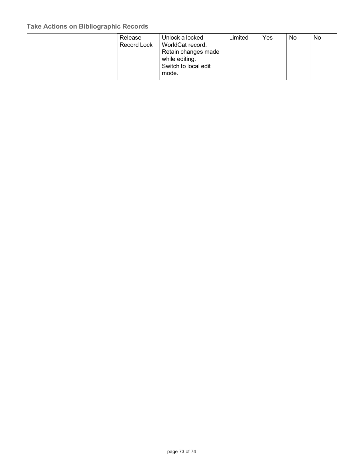## **Take Actions on Bibliographic Records**

| Release     | Unlock a locked      | Limited | Yes | No | No |
|-------------|----------------------|---------|-----|----|----|
| Record Lock | WorldCat record.     |         |     |    |    |
|             | Retain changes made  |         |     |    |    |
|             | while editing.       |         |     |    |    |
|             | Switch to local edit |         |     |    |    |
|             | mode.                |         |     |    |    |
|             |                      |         |     |    |    |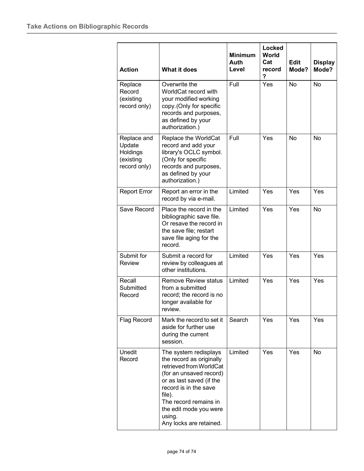| <b>Action</b>                                                  | <b>What it does</b>                                                                                                                                                                                                                                            | <b>Minimum</b><br>Auth<br>Level | Locked<br><b>World</b><br>Cat<br>record<br>? | <b>Edit</b><br>Mode? | <b>Display</b><br>Mode? |
|----------------------------------------------------------------|----------------------------------------------------------------------------------------------------------------------------------------------------------------------------------------------------------------------------------------------------------------|---------------------------------|----------------------------------------------|----------------------|-------------------------|
| Replace<br>Record<br>(existing<br>record only)                 | Overwrite the<br>WorldCat record with<br>your modified working<br>copy. (Only for specific<br>records and purposes,<br>as defined by your<br>authorization.)                                                                                                   | Full                            | Yes                                          | <b>No</b>            | <b>No</b>               |
| Replace and<br>Update<br>Holdings<br>(existing<br>record only) | Replace the WorldCat<br>record and add your<br>library's OCLC symbol.<br>(Only for specific<br>records and purposes,<br>as defined by your<br>authorization.)                                                                                                  | Full                            | Yes                                          | No                   | No                      |
| <b>Report Error</b>                                            | Report an error in the<br>record by via e-mail.                                                                                                                                                                                                                | Limited                         | Yes                                          | Yes                  | Yes                     |
| Save Record                                                    | Place the record in the<br>bibliographic save file.<br>Or resave the record in<br>the save file; restart<br>save file aging for the<br>record.                                                                                                                 | Limited                         | Yes                                          | Yes                  | <b>No</b>               |
| Submit for<br><b>Review</b>                                    | Submit a record for<br>review by colleagues at<br>other institutions.                                                                                                                                                                                          | Limited                         | Yes                                          | Yes                  | Yes                     |
| Recall<br>Submitted<br>Record                                  | <b>Remove Review status</b><br>from a submitted<br>record; the record is no<br>longer available for<br>review.                                                                                                                                                 | Limited                         | Yes                                          | Yes                  | Yes                     |
| Flag Record                                                    | Mark the record to set it<br>aside for further use<br>during the current<br>session.                                                                                                                                                                           | Search                          | Yes                                          | Yes                  | Yes                     |
| Unedit<br>Record                                               | The system redisplays<br>the record as originally<br>retrieved from WorldCat<br>(for an unsaved record)<br>or as last saved (if the<br>record is in the save<br>file).<br>The record remains in<br>the edit mode you were<br>using.<br>Any locks are retained. | Limited                         | Yes                                          | Yes                  | No                      |